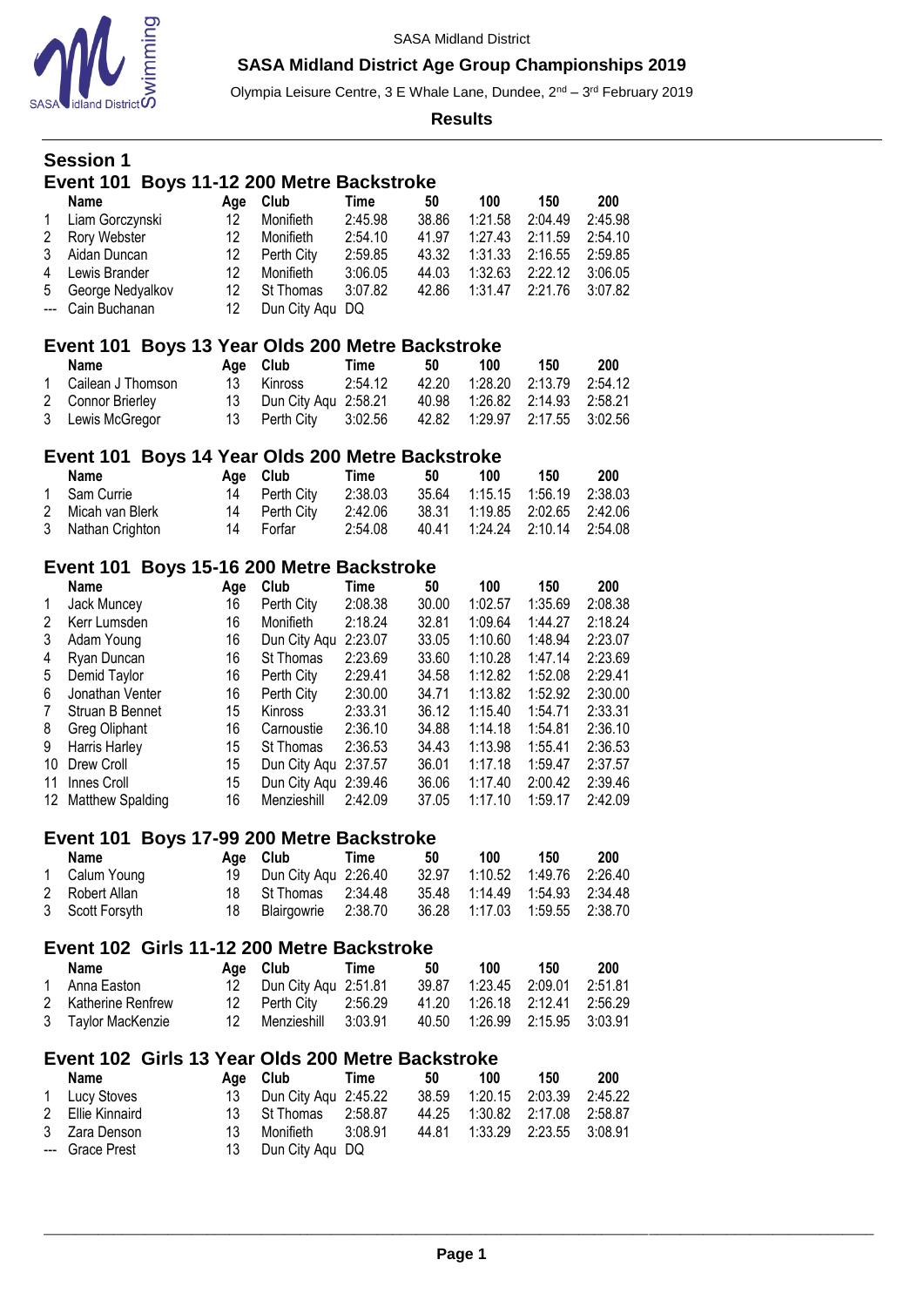

Olympia Leisure Centre, 3 E Whale Lane, Dundee, 2<sup>nd</sup> – 3<sup>rd</sup> February 2019

|             | <b>Session 1</b>                                  |                 |                                         |                                   |                         |                               |                               |                               |
|-------------|---------------------------------------------------|-----------------|-----------------------------------------|-----------------------------------|-------------------------|-------------------------------|-------------------------------|-------------------------------|
|             | Event 101                                         |                 | Boys 11-12 200 Metre Backstroke         |                                   |                         |                               |                               |                               |
| 1<br>2      | <b>Name</b><br>Liam Gorczynski<br>Rory Webster    | Age<br>12<br>12 | Club<br>Monifieth<br>Monifieth          | <b>Time</b><br>2:45.98<br>2:54.10 | 50<br>38.86<br>41.97    | 100<br>1:21.58<br>1:27.43     | 150<br>2:04.49<br>2:11.59     | 200<br>2:45.98<br>2:54.10     |
| 3<br>4<br>5 | Aidan Duncan<br>Lewis Brander<br>George Nedyalkov | 12<br>12<br>12  | Perth City<br>Monifieth<br>St Thomas    | 2:59.85<br>3:06.05<br>3:07.82     | 43.32<br>44.03<br>42.86 | 1:31.33<br>1:32.63<br>1:31.47 | 2:16.55<br>2:22.12<br>2:21.76 | 2:59.85<br>3:06.05<br>3:07.82 |
| ---         | Cain Buchanan                                     | 12              | Dun City Aqu DQ                         |                                   |                         |                               |                               |                               |
|             | Event 101 Boys 13 Year Olds 200 Metre Backstroke  |                 |                                         |                                   | 50                      |                               | 150                           |                               |
| 1           | <b>Name</b><br>Cailean J Thomson                  | Age<br>13       | Club<br>Kinross                         | <b>Time</b><br>2:54.12            | 42.20                   | 100<br>1:28.20                | 2:13.79                       | 200<br>2:54.12                |
| 2           | <b>Connor Brierley</b>                            | 13              | Dun City Aqu 2:58.21                    |                                   | 40.98                   | 1:26.82                       | 2:14.93                       | 2:58.21                       |
| 3           | Lewis McGregor                                    | 13              | Perth City                              | 3:02.56                           | 42.82                   | 1:29.97                       | 2:17.55                       | 3:02.56                       |
|             | Event 101 Boys 14 Year Olds 200 Metre Backstroke  |                 |                                         |                                   |                         |                               |                               |                               |
|             | Name                                              | Age             | Club                                    | <b>Time</b>                       | 50                      | 100                           | 150                           | 200                           |
| 1<br>2      | Sam Currie<br>Micah van Blerk                     | 14<br>14        | Perth City<br>Perth City                | 2:38.03<br>2:42.06                | 35.64<br>38.31          | 1:15.15<br>1:19.85            | 1:56.19<br>2:02.65            | 2:38.03<br>2:42.06            |
| 3           | Nathan Crighton                                   | 14              | Forfar                                  | 2:54.08                           | 40.41                   | 1:24.24                       | 2:10.14                       | 2:54.08                       |
|             | Event 101 Boys 15-16 200 Metre Backstroke         |                 |                                         |                                   |                         |                               |                               |                               |
|             | <b>Name</b>                                       | Age             | Club                                    | <b>Time</b>                       | 50                      | 100                           | 150                           | 200                           |
| 1           | Jack Muncey                                       | 16              | Perth City                              | 2:08.38                           | 30.00                   | 1:02.57                       | 1:35.69                       | 2:08.38                       |
| 2           | Kerr Lumsden                                      | 16              | Monifieth                               | 2:18.24                           | 32.81                   | 1:09.64                       | 1:44.27                       | 2:18.24                       |
| 3<br>4      | Adam Young<br>Ryan Duncan                         | 16<br>16        | Dun City Aqu 2:23.07<br>St Thomas       | 2:23.69                           | 33.05<br>33.60          | 1:10.60<br>1:10.28            | 1:48.94<br>1:47.14            | 2:23.07<br>2:23.69            |
| 5           | Demid Taylor                                      | 16              | Perth City                              | 2:29.41                           | 34.58                   | 1:12.82                       | 1:52.08                       | 2:29.41                       |
| 6           | Jonathan Venter                                   | 16              | Perth City                              | 2:30.00                           | 34.71                   | 1:13.82                       | 1:52.92                       | 2:30.00                       |
| 7           | Struan B Bennet                                   | 15              | Kinross                                 | 2:33.31                           | 36.12                   | 1:15.40                       | 1:54.71                       | 2:33.31                       |
| 8           | <b>Greg Oliphant</b>                              | 16              | Carnoustie                              | 2:36.10                           | 34.88                   | 1:14.18                       | 1:54.81                       | 2:36.10                       |
| 9           | Harris Harley                                     | 15              | St Thomas                               | 2:36.53                           | 34.43                   | 1:13.98                       | 1:55.41                       | 2:36.53                       |
| 10          | Drew Croll                                        | 15              | Dun City Aqu 2:37.57                    |                                   | 36.01                   | 1:17.18                       | 1:59.47                       | 2:37.57                       |
| 11          | Innes Croll                                       | 15              | Dun City Aqu 2:39.46                    |                                   | 36.06                   | 1:17.40                       | 2:00.42                       | 2:39.46                       |
| 12          | Matthew Spalding                                  | 16              | Menzieshill                             | 2:42.09                           | 37.05                   | 1:17.10                       | 1:59.17                       | 2:42.09                       |
|             | Event 101<br>Name                                 |                 | Boys 17-99 200 Metre Backstroke<br>Club | <b>Time</b>                       | 50                      | 100                           | 150                           | 200                           |
| 1           | Calum Young                                       | Age<br>19       | Dun City Aqu 2:26.40                    |                                   | 32.97                   | 1:10.52                       | 1:49.76                       | 2:26.40                       |
| 2           | Robert Allan                                      | 18              | St Thomas                               | 2:34.48                           | 35.48                   | 1:14.49                       | 1:54.93                       | 2:34.48                       |
| 3           | Scott Forsyth                                     | 18              | Blairgowrie                             | 2:38.70                           | 36.28                   | 1:17.03                       | 1:59.55                       | 2:38.70                       |
|             | Event 102 Girls 11-12 200 Metre Backstroke        |                 |                                         |                                   |                         |                               |                               |                               |
|             | <b>Name</b>                                       | Age             | Club                                    | <b>Time</b>                       | 50                      | 100                           | 150                           | 200                           |
| 1           | Anna Easton                                       | 12              | Dun City Aqu 2:51.81                    |                                   | 39.87                   | 1:23.45                       | 2:09.01                       | 2:51.81                       |
| 2<br>3      | Katherine Renfrew<br><b>Taylor MacKenzie</b>      | 12<br>12        | Perth City<br>Menzieshill               | 2:56.29<br>3:03.91                | 41.20<br>40.50          | 1:26.18<br>1:26.99            | 2:12.41<br>2:15.95            | 2:56.29<br>3:03.91            |
|             | Event 102 Girls 13 Year Olds 200 Metre Backstroke |                 |                                         |                                   |                         |                               |                               |                               |
|             | <b>Name</b>                                       | Age             | Club                                    | <b>Time</b>                       | 50                      | 100                           | 150                           | 200                           |
| 1           | Lucy Stoves                                       | 13              | Dun City Aqu 2:45.22                    |                                   | 38.59                   | 1:20.15                       | 2:03.39                       | 2:45.22                       |
| 2           | Ellie Kinnaird                                    | 13              | St Thomas                               | 2:58.87                           | 44.25                   | 1:30.82                       | 2:17.08                       | 2:58.87                       |
| 3           | Zara Denson<br><b>Grace Prest</b>                 | 13<br>13        | Monifieth                               | 3:08.91                           | 44.81                   | 1:33.29                       | 2:23.55                       | 3:08.91                       |
| ---         |                                                   |                 | Dun City Aqu DQ                         |                                   |                         |                               |                               |                               |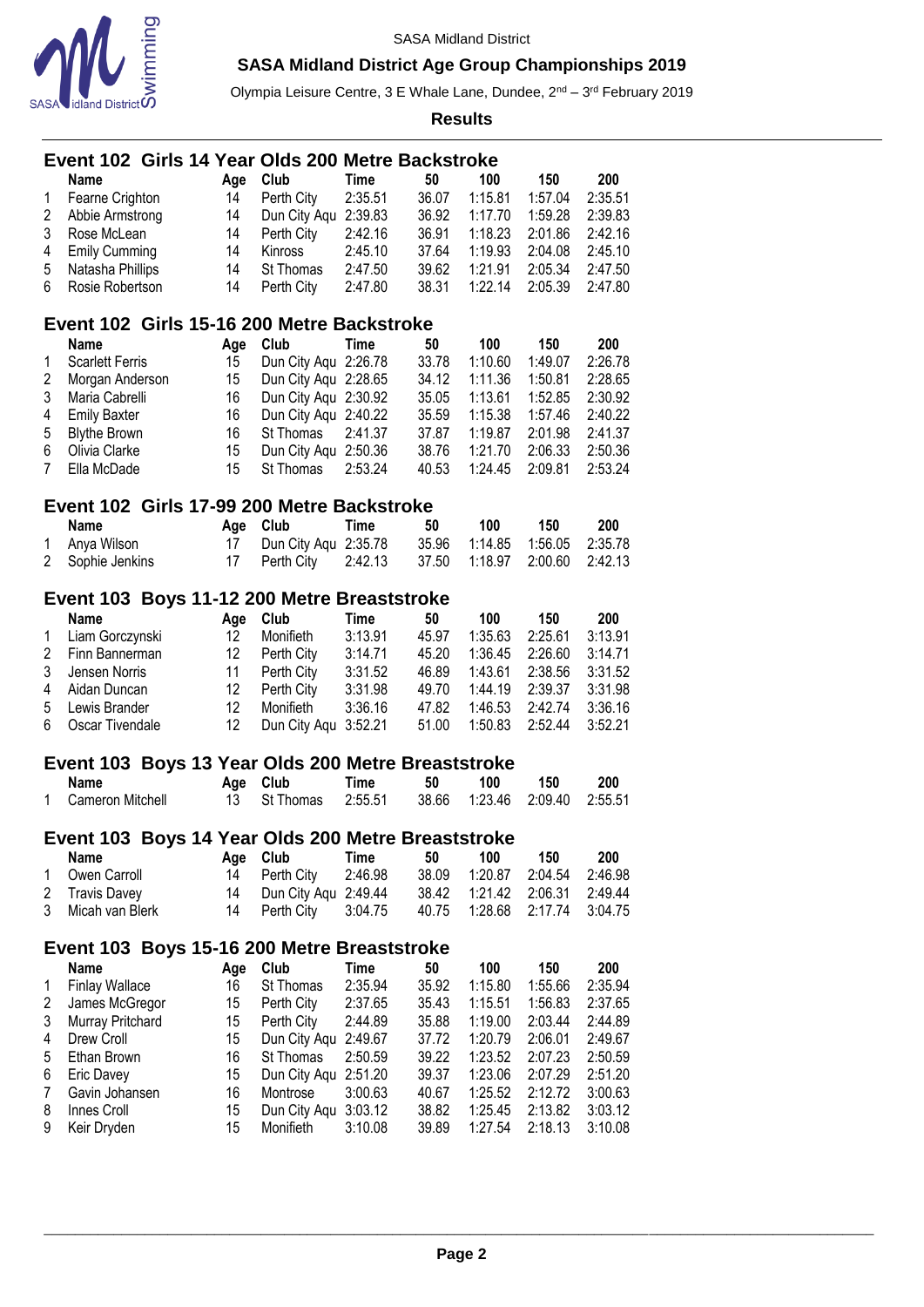

Olympia Leisure Centre, 3 E Whale Lane, Dundee, 2<sup>nd</sup> – 3<sup>rd</sup> February 2019

|   |                        |  |     | Event 102 Girls 14 Year Olds 200 Metre Backstroke  |             |       |         |         |         |
|---|------------------------|--|-----|----------------------------------------------------|-------------|-------|---------|---------|---------|
|   | <b>Name</b>            |  | Age | Club                                               | Time        | 50    | 100     | 150     | 200     |
| 1 | Fearne Crighton        |  | 14  | Perth City                                         | 2:35.51     | 36.07 | 1:15.81 | 1:57.04 | 2:35.51 |
| 2 | Abbie Armstrong        |  | 14  | Dun City Aqu 2:39.83                               |             | 36.92 | 1:17.70 | 1:59.28 | 2:39.83 |
| 3 | Rose McLean            |  | 14  |                                                    | 2:42.16     | 36.91 |         |         |         |
|   |                        |  |     | Perth City                                         |             |       | 1:18.23 | 2:01.86 | 2:42.16 |
| 4 | <b>Emily Cumming</b>   |  | 14  | Kinross                                            | 2:45.10     | 37.64 | 1:19.93 | 2:04.08 | 2:45.10 |
| 5 | Natasha Phillips       |  | 14  | St Thomas                                          | 2:47.50     | 39.62 | 1:21.91 | 2:05.34 | 2:47.50 |
| 6 | Rosie Robertson        |  | 14  | Perth City                                         | 2:47.80     | 38.31 | 1:22.14 | 2:05.39 | 2:47.80 |
|   |                        |  |     | Event 102 Girls 15-16 200 Metre Backstroke         |             |       |         |         |         |
|   | Name                   |  | Age | Club                                               | <b>Time</b> | 50    | 100     | 150     | 200     |
| 1 | <b>Scarlett Ferris</b> |  | 15  | Dun City Aqu 2:26.78                               |             | 33.78 | 1:10.60 | 1:49.07 | 2:26.78 |
| 2 | Morgan Anderson        |  | 15  | Dun City Aqu 2:28.65                               |             | 34.12 | 1:11.36 | 1:50.81 | 2:28.65 |
| 3 | Maria Cabrelli         |  | 16  | Dun City Aqu 2:30.92                               |             | 35.05 | 1:13.61 | 1:52.85 | 2:30.92 |
| 4 | <b>Emily Baxter</b>    |  | 16  | Dun City Aqu 2:40.22                               |             | 35.59 | 1:15.38 | 1:57.46 | 2:40.22 |
| 5 | <b>Blythe Brown</b>    |  | 16  | St Thomas                                          | 2:41.37     | 37.87 | 1:19.87 | 2:01.98 | 2:41.37 |
| 6 | Olivia Clarke          |  | 15  |                                                    |             |       |         |         |         |
|   |                        |  |     | Dun City Aqu 2:50.36                               |             | 38.76 | 1:21.70 | 2:06.33 | 2:50.36 |
| 7 | Ella McDade            |  | 15  | St Thomas                                          | 2:53.24     | 40.53 | 1:24.45 | 2:09.81 | 2:53.24 |
|   |                        |  |     | Event 102 Girls 17-99 200 Metre Backstroke         |             |       |         |         |         |
|   | Name                   |  | Age | Club                                               | Time        | 50    | 100     | 150     | 200     |
| 1 | Anya Wilson            |  | 17  | Dun City Aqu                                       | 2:35.78     | 35.96 | 1:14.85 | 1:56.05 | 2:35.78 |
| 2 | Sophie Jenkins         |  | 17  | Perth City                                         | 2:42.13     | 37.50 | 1:18.97 | 2:00.60 | 2:42.13 |
|   |                        |  |     | Event 103 Boys 11-12 200 Metre Breaststroke        |             |       |         |         |         |
|   | <b>Name</b>            |  | Age | Club                                               | <b>Time</b> | 50    | 100     | 150     | 200     |
| 1 |                        |  | 12  | Monifieth                                          | 3:13.91     | 45.97 | 1:35.63 | 2:25.61 | 3:13.91 |
|   | Liam Gorczynski        |  |     |                                                    |             |       |         |         |         |
| 2 | Finn Bannerman         |  | 12  | Perth City                                         | 3:14.71     | 45.20 | 1:36.45 | 2:26.60 | 3:14.71 |
| 3 | Jensen Norris          |  | 11  | Perth City                                         | 3:31.52     | 46.89 | 1:43.61 | 2:38.56 | 3:31.52 |
| 4 | Aidan Duncan           |  | 12  | Perth City                                         | 3:31.98     | 49.70 | 1:44.19 | 2:39.37 | 3:31.98 |
| 5 | Lewis Brander          |  | 12  | Monifieth                                          | 3:36.16     | 47.82 | 1:46.53 | 2:42.74 | 3:36.16 |
| 6 | Oscar Tivendale        |  | 12  | Dun City Aqu 3:52.21                               |             | 51.00 | 1:50.83 | 2:52.44 | 3:52.21 |
|   |                        |  |     | Event 103 Boys 13 Year Olds 200 Metre Breaststroke |             |       |         |         |         |
|   | <b>Name</b>            |  | Age | Club                                               | <b>Time</b> | 50    | 100     | 150     | 200     |
| 1 | Cameron Mitchell       |  | 13  | St Thomas                                          | 2:55.51     | 38.66 | 1:23.46 | 2:09.40 | 2:55.51 |
|   |                        |  |     | Event 103 Boys 14 Year Olds 200 Metre Breaststroke |             |       |         |         |         |
|   | Name                   |  |     | Club                                               | Time        | 50    | 100     | 150     | 200     |
| 1 |                        |  | Age |                                                    |             | 38.09 | 1:20.87 |         | 2:46.98 |
|   | Owen Carroll           |  | 14  | Perth City                                         | 2:46.98     |       |         | 2:04.54 |         |
| 2 | <b>Travis Davey</b>    |  | 14  | Dun City Aqu 2:49.44                               |             | 38.42 | 1:21.42 | 2:06.31 | 2:49.44 |
| 3 | Micah van Blerk        |  | 14  | Perth City                                         | 3:04.75     | 40.75 | 1:28.68 | 2:17.74 | 3:04.75 |
|   |                        |  |     | Event 103 Boys 15-16 200 Metre Breaststroke        |             |       |         |         |         |
|   | Name                   |  | Age | Club                                               | <b>Time</b> | 50    | 100     | 150     | 200     |
| 1 | <b>Finlay Wallace</b>  |  | 16  | St Thomas                                          | 2:35.94     | 35.92 | 1:15.80 | 1:55.66 | 2:35.94 |
| 2 | James McGregor         |  | 15  | Perth City                                         | 2:37.65     | 35.43 | 1:15.51 | 1:56.83 | 2:37.65 |
| 3 | Murray Pritchard       |  | 15  | Perth City                                         | 2:44.89     | 35.88 | 1:19.00 | 2:03.44 | 2:44.89 |
| 4 | Drew Croll             |  | 15  | Dun City Aqu 2:49.67                               |             | 37.72 | 1:20.79 | 2:06.01 | 2:49.67 |
| 5 | Ethan Brown            |  | 16  | St Thomas                                          | 2:50.59     | 39.22 | 1:23.52 | 2:07.23 | 2:50.59 |
| 6 | Eric Davey             |  | 15  | Dun City Aqu 2:51.20                               |             | 39.37 | 1:23.06 | 2:07.29 | 2:51.20 |
| 7 | Gavin Johansen         |  | 16  | Montrose                                           | 3:00.63     | 40.67 | 1:25.52 | 2:12.72 | 3:00.63 |
| 8 | Innes Croll            |  | 15  |                                                    |             |       |         |         |         |
|   |                        |  |     | Dun City Aqu 3:03.12                               |             | 38.82 | 1:25.45 | 2:13.82 | 3:03.12 |
| 9 | Keir Dryden            |  | 15  | Monifieth                                          | 3:10.08     | 39.89 | 1:27.54 | 2:18.13 | 3:10.08 |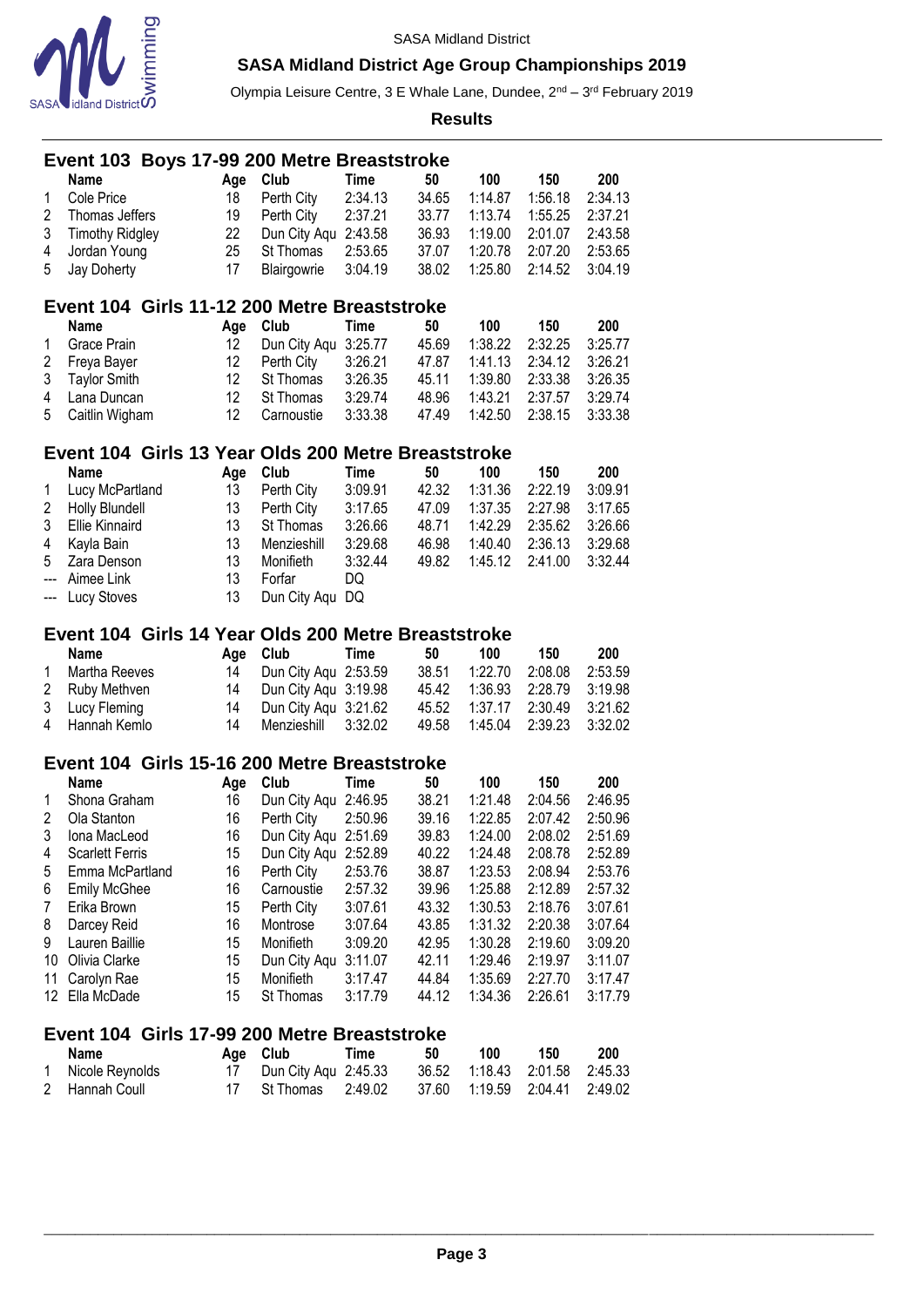

Olympia Leisure Centre, 3 E Whale Lane, Dundee, 2<sup>nd</sup> – 3<sup>rd</sup> February 2019

**Results**

|                | Event 103 Boys 17-99 200 Metre Breaststroke         |     |                      |             |       |         |         |         |
|----------------|-----------------------------------------------------|-----|----------------------|-------------|-------|---------|---------|---------|
|                | Name                                                | Age | Club                 | <b>Time</b> | 50    | 100     | 150     | 200     |
| 1              | Cole Price                                          | 18  | Perth City           | 2:34.13     | 34.65 | 1:14.87 | 1:56.18 | 2:34.13 |
| 2              | Thomas Jeffers                                      | 19  | Perth City           | 2:37.21     | 33.77 | 1:13.74 | 1:55.25 | 2:37.21 |
| 3              | <b>Timothy Ridgley</b>                              | 22  | Dun City Aqu         | 2:43.58     | 36.93 | 1:19.00 | 2:01.07 | 2:43.58 |
| 4              | Jordan Young                                        | 25  | St Thomas            | 2:53.65     | 37.07 | 1:20.78 | 2:07.20 | 2:53.65 |
| 5              | Jay Doherty                                         | 17  | Blairgowrie          | 3:04.19     | 38.02 | 1:25.80 | 2:14.52 | 3:04.19 |
|                | Event 104 Girls 11-12 200 Metre Breaststroke        |     |                      |             |       |         |         |         |
|                | Name                                                | Age | Club                 | <b>Time</b> | 50    | 100     | 150     | 200     |
| 1              | Grace Prain                                         | 12  | Dun City Aqu         | 3:25.77     | 45.69 | 1:38.22 | 2:32.25 | 3:25.77 |
| $\overline{c}$ | Freya Bayer                                         | 12  | Perth City           | 3:26.21     | 47.87 | 1:41.13 | 2:34.12 | 3:26.21 |
| 3              | <b>Taylor Smith</b>                                 | 12  | St Thomas            | 3:26.35     | 45.11 | 1:39.80 | 2:33.38 | 3:26.35 |
| 4              | Lana Duncan                                         | 12  | St Thomas            | 3:29.74     | 48.96 | 1:43.21 | 2:37.57 | 3:29.74 |
| 5              | Caitlin Wigham                                      | 12  | Carnoustie           | 3:33.38     | 47.49 | 1:42.50 | 2:38.15 | 3:33.38 |
|                | Event 104 Girls 13 Year Olds 200 Metre Breaststroke |     |                      |             |       |         |         |         |
|                | <b>Name</b>                                         | Age | Club                 | <b>Time</b> | 50    | 100     | 150     | 200     |
| 1              | Lucy McPartland                                     | 13  | Perth City           | 3:09.91     | 42.32 | 1:31.36 | 2:22.19 | 3:09.91 |
| $\overline{2}$ | Holly Blundell                                      | 13  | Perth City           | 3:17.65     | 47.09 | 1:37.35 | 2:27.98 | 3:17.65 |
| 3              | <b>Ellie Kinnaird</b>                               | 13  | St Thomas            | 3:26.66     | 48.71 | 1:42.29 | 2:35.62 | 3:26.66 |
| 4              | Kayla Bain                                          | 13  | Menzieshill          | 3:29.68     | 46.98 | 1:40.40 | 2:36.13 | 3:29.68 |
| 5              | Zara Denson                                         | 13  | Monifieth            | 3:32.44     | 49.82 | 1:45.12 | 2:41.00 | 3:32.44 |
|                | Aimee Link                                          | 13  | Forfar               | DQ          |       |         |         |         |
| ---            | Lucy Stoves                                         | 13  | Dun City Aqu DQ      |             |       |         |         |         |
|                | Event 104 Girls 14 Year Olds 200 Metre Breaststroke |     |                      |             |       |         |         |         |
|                | <b>Name</b>                                         | Age | Club                 | <b>Time</b> | 50    | 100     | 150     | 200     |
| 1              | Martha Reeves                                       | 14  | Dun City Aqu 2:53.59 |             | 38.51 | 1:22.70 | 2:08.08 | 2:53.59 |
| 2              | Ruby Methven                                        | 14  | Dun City Aqu 3:19.98 |             | 45.42 | 1:36.93 | 2:28.79 | 3:19.98 |
| 3              | Lucy Fleming                                        | 14  | Dun City Aqu 3:21.62 |             | 45.52 | 1:37.17 | 2:30.49 | 3:21.62 |
| 4              | Hannah Kemlo                                        | 14  | Menzieshill          | 3:32.02     | 49.58 | 1:45.04 | 2:39.23 | 3:32.02 |
|                | Event 104 Girls 15-16 200 Metre Breaststroke        |     |                      |             |       |         |         |         |
|                | Name                                                | Age | Club                 | Time        | 50    | 100     | 150     | 200     |
| 1              | Shona Graham                                        | 16  | Dun City Aqu 2:46.95 |             | 38.21 | 1:21.48 | 2:04.56 | 2:46.95 |
| $\overline{2}$ | Ola Stanton                                         | 16  | Perth City           | 2:50.96     | 39.16 | 1:22.85 | 2:07.42 | 2:50.96 |
| 3              | Iona MacLeod                                        | 16  | Dun City Aqu 2:51.69 |             | 39.83 | 1:24.00 | 2:08.02 | 2:51.69 |
| 4              | <b>Scarlett Ferris</b>                              | 15  | Dun City Aqu         | 2:52.89     | 40.22 | 1:24.48 | 2:08.78 | 2:52.89 |
| 5              | Emma McPartland                                     | 16  | Perth City           | 2:53.76     | 38.87 | 1:23.53 | 2:08.94 | 2:53.76 |
| 6              | Emily McGhee                                        | 16  | Carnoustie           | 2:57.32     | 39.96 | 1:25.88 | 2:12.89 | 2:57.32 |
| 7              | Erika Brown                                         | 15  | Perth City           | 3:07.61     | 43.32 | 1:30.53 | 2:18.76 | 3:07.61 |
| 8              | Darcey Reid                                         | 16  | Montrose             | 3:07.64     | 43.85 | 1:31.32 | 2:20.38 | 3:07.64 |
| 9              | Lauren Baillie                                      | 15  | Monifieth            | 3:09.20     | 42.95 | 1:30.28 | 2:19.60 | 3:09.20 |

# **Event 104 Girls 17-99 200 Metre Breaststroke**

| Name              | Age Club                                                | Time | 50 | 100 - | 150 | -200 |
|-------------------|---------------------------------------------------------|------|----|-------|-----|------|
| 1 Nicole Reynolds | 17 Dun City Agu 2:45.33                                 |      |    |       |     |      |
| 2 Hannah Coull    | 17 St Thomas  2:49.02  37.60  1:19.59  2:04.41  2:49.02 |      |    |       |     |      |

 Olivia Clarke 15 Dun City Aqu 3:11.07 42.11 1:29.46 2:19.97 3:11.07 Carolyn Rae 15 Monifieth 3:17.47 44.84 1:35.69 2:27.70 3:17.47

15 St Thomas 3:17.79 44.12 1:34.36 2:26.61 3:17.79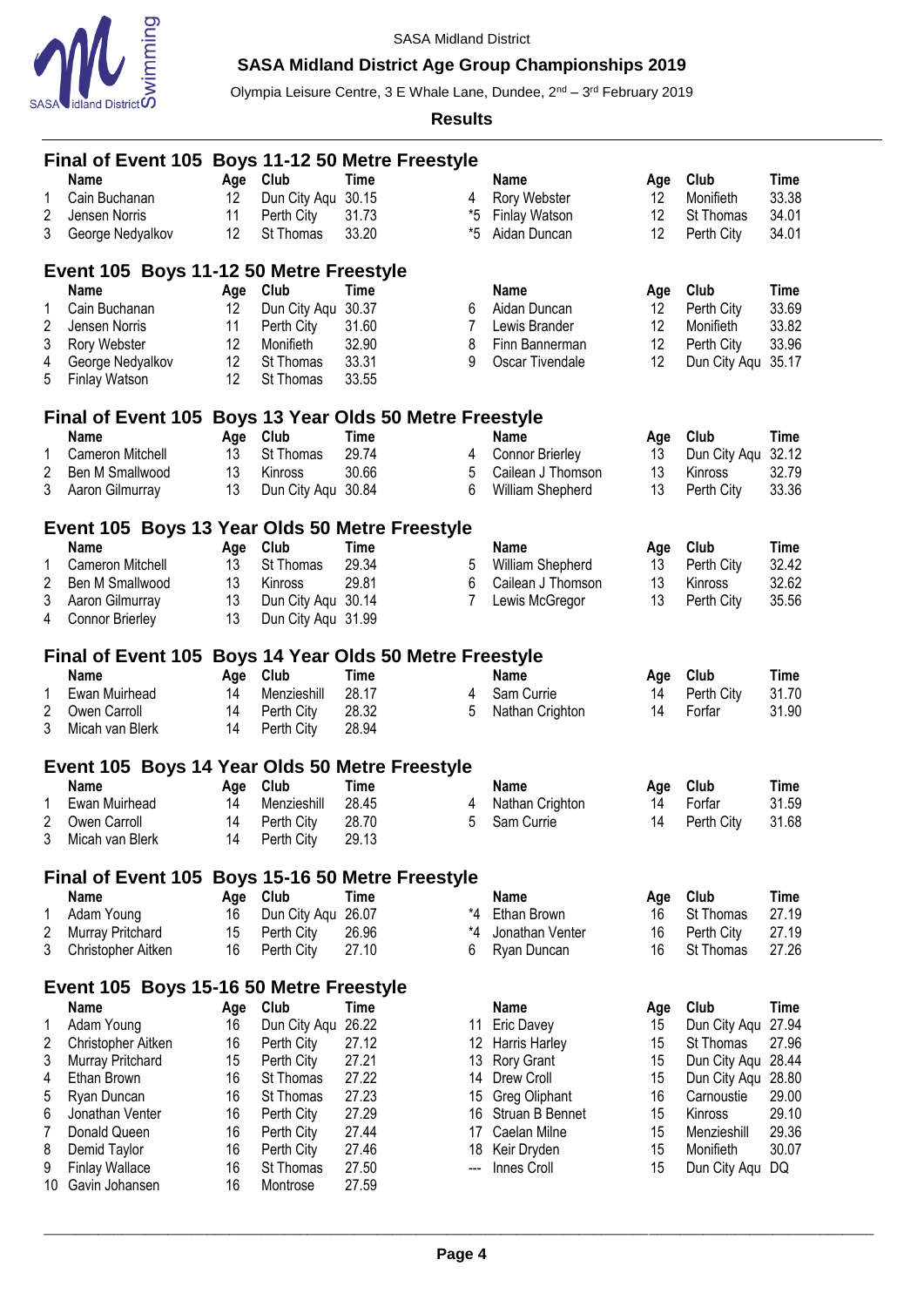

# **SASA Midland District Age Group Championships 2019**

Olympia Leisure Centre, 3 E Whale Lane, Dundee, 2<sup>nd</sup> – 3<sup>rd</sup> February 2019

|                      | Final of Event 105 Boys 11-12 50 Metre Freestyle        |          |                            |                                                            |          |                                      |          |                           |                |
|----------------------|---------------------------------------------------------|----------|----------------------------|------------------------------------------------------------|----------|--------------------------------------|----------|---------------------------|----------------|
|                      | <b>Name</b>                                             | Age      | Club                       | <b>Time</b>                                                |          | <b>Name</b>                          | Age      | Club                      | Time           |
| 1                    | Cain Buchanan                                           | 12       | Dun City Aqu               | 30.15                                                      | 4        | Rory Webster                         | 12       | Monifieth                 | 33.38          |
| 2<br>3               | Jensen Norris<br>George Nedyalkov                       | 11<br>12 | Perth City<br>St Thomas    | 31.73<br>33.20                                             | *5<br>*5 | <b>Finlay Watson</b><br>Aidan Duncan | 12<br>12 | St Thomas<br>Perth City   | 34.01<br>34.01 |
|                      |                                                         |          |                            |                                                            |          |                                      |          |                           |                |
|                      | Event 105 Boys 11-12 50 Metre Freestyle                 |          |                            |                                                            |          |                                      |          |                           |                |
|                      | <b>Name</b>                                             | Age      | Club                       | <b>Time</b>                                                |          | <b>Name</b>                          | Age      | Club                      | <b>Time</b>    |
| 1                    | Cain Buchanan                                           | 12       | Dun City Aqu               | 30.37                                                      | 6        | Aidan Duncan                         | 12       | Perth City                | 33.69          |
| 2<br>3               | Jensen Norris<br>Rory Webster                           | 11<br>12 | Perth City<br>Monifieth    | 31.60<br>32.90                                             | 7<br>8   | Lewis Brander<br>Finn Bannerman      | 12<br>12 | Monifieth<br>Perth City   | 33.82<br>33.96 |
| 4                    | George Nedyalkov                                        | 12       | St Thomas                  | 33.31                                                      | 9        | Oscar Tivendale                      | 12       | Dun City Aqu              | 35.17          |
| 5                    | <b>Finlay Watson</b>                                    | 12       | St Thomas                  | 33.55                                                      |          |                                      |          |                           |                |
|                      |                                                         |          |                            |                                                            |          |                                      |          |                           |                |
|                      | <b>Final of Event 105</b><br>Name                       | Age      | Club                       | <b>Boys 13 Year Olds 50 Metre Freestyle</b><br><b>Time</b> |          | <b>Name</b>                          | Age      | Club                      | Time           |
| 1                    | Cameron Mitchell                                        | 13       | St Thomas                  | 29.74                                                      | 4        | <b>Connor Brierley</b>               | 13       | Dun City Aqu              | 32.12          |
| 2                    | Ben M Smallwood                                         | 13       | Kinross                    | 30.66                                                      | 5        | Cailean J Thomson                    | 13       | Kinross                   | 32.79          |
| 3                    | Aaron Gilmurray                                         | 13       | Dun City Agu 30.84         |                                                            | 6        | William Shepherd                     | 13       | Perth City                | 33.36          |
|                      |                                                         |          |                            |                                                            |          |                                      |          |                           |                |
|                      | Event 105 Boys 13 Year Olds 50 Metre Freestyle<br>Name  | Age      | Club                       | <b>Time</b>                                                |          | <b>Name</b>                          | Age      | Club                      | Time           |
| 1                    | Cameron Mitchell                                        | 13       | St Thomas                  | 29.34                                                      | 5        | William Shepherd                     | 13       | Perth City                | 32.42          |
| 2                    | Ben M Smallwood                                         | 13       | Kinross                    | 29.81                                                      | 6        | Cailean J Thomson                    | 13       | Kinross                   | 32.62          |
| 3                    | Aaron Gilmurray                                         | 13       | Dun City Aqu 30.14         |                                                            | 7        | Lewis McGregor                       | 13       | Perth City                | 35.56          |
| 4                    | <b>Connor Brierley</b>                                  | 13       | Dun City Aqu 31.99         |                                                            |          |                                      |          |                           |                |
|                      | Final of Event 105 Boys 14 Year Olds 50 Metre Freestyle |          |                            |                                                            |          |                                      |          |                           |                |
|                      | <b>Name</b>                                             | Age      | Club                       | <b>Time</b>                                                |          | <b>Name</b>                          | Age      | Club                      | Time           |
| 1                    | Ewan Muirhead                                           | 14       | Menzieshill                | 28.17                                                      | 4        | Sam Currie                           | 14       | Perth City                | 31.70          |
| 2                    | Owen Carroll                                            | 14       | Perth City                 | 28.32                                                      | 5        | Nathan Crighton                      | 14       | Forfar                    | 31.90          |
| 3                    | Micah van Blerk                                         | 14       | Perth City                 | 28.94                                                      |          |                                      |          |                           |                |
|                      | Event 105 Boys 14 Year Olds 50 Metre Freestyle          |          |                            |                                                            |          |                                      |          |                           |                |
|                      | Name                                                    | Age      | Club                       | <b>Time</b>                                                |          | <b>Name</b>                          | Age      | Club                      | Time           |
| 1                    | Ewan Muirhead                                           | 14       | Menzieshill                | 28.45                                                      | 4        | Nathan Crighton                      | 14       | Forfar                    | 31.59          |
| 2                    | Owen Carroll                                            | 14       | Perth City                 | 28.70                                                      | 5        | Sam Currie                           | 14       | Perth City                | 31.68          |
| 3                    | Micah van Blerk                                         | 14       | Perth City                 | 29.13                                                      |          |                                      |          |                           |                |
|                      | <b>Final of Event 105</b>                               |          |                            | <b>Boys 15-16 50 Metre Freestyle</b>                       |          |                                      |          |                           |                |
|                      | Name                                                    | Age      | Club                       | <b>Time</b>                                                |          | <b>Name</b>                          | Age      | Club                      | Time           |
| 1                    | Adam Young                                              | 16       | Dun City Aqu               | 26.07                                                      | *4       | Ethan Brown                          | 16       | St Thomas                 | 27.19          |
| 2<br>3               | Murray Pritchard<br>Christopher Aitken                  | 15<br>16 | Perth City<br>Perth City   | 26.96<br>27.10                                             | *4<br>6  | Jonathan Venter<br>Ryan Duncan       | 16<br>16 | Perth City<br>St Thomas   | 27.19<br>27.26 |
|                      |                                                         |          |                            |                                                            |          |                                      |          |                           |                |
|                      | Event 105 Boys 15-16 50 Metre Freestyle                 |          |                            |                                                            |          |                                      |          |                           |                |
|                      | <b>Name</b>                                             | Age      | Club                       | <b>Time</b>                                                |          | <b>Name</b>                          | Age      | Club                      | <b>Time</b>    |
| 1<br>2               | Adam Young<br>Christopher Aitken                        | 16<br>16 | Dun City Aqu<br>Perth City | 26.22<br>27.12                                             |          | 11 Eric Davey<br>Harris Harley       | 15<br>15 | Dun City Aqu<br>St Thomas | 27.94<br>27.96 |
| 3                    | Murray Pritchard                                        | 15       | Perth City                 | 27.21                                                      | 12<br>13 | <b>Rory Grant</b>                    | 15       | Dun City Aqu 28.44        |                |
| 4                    | Ethan Brown                                             | 16       | St Thomas                  | 27.22                                                      | 14       | Drew Croll                           | 15       | Dun City Aqu 28.80        |                |
| 5                    | Ryan Duncan                                             | 16       | St Thomas                  | 27.23                                                      | 15       | Greg Oliphant                        | 16       | Carnoustie                | 29.00          |
| 6                    | Jonathan Venter                                         | 16       | Perth City                 | 27.29                                                      | 16       | Struan B Bennet                      | 15       | Kinross                   | 29.10          |
| 7                    | Donald Queen                                            | 16       | Perth City                 | 27.44                                                      | 17       | Caelan Milne                         | 15       | Menzieshill               | 29.36          |
| 8                    | Demid Taylor                                            | 16       | Perth City                 | 27.46                                                      | 18       | Keir Dryden                          | 15       | Monifieth                 | 30.07          |
| 9<br>10 <sup>°</sup> | <b>Finlay Wallace</b><br>Gavin Johansen                 | 16<br>16 | St Thomas<br>Montrose      | 27.50<br>27.59                                             | ---      | Innes Croll                          | 15       | Dun City Aqu              | DQ             |
|                      |                                                         |          |                            |                                                            |          |                                      |          |                           |                |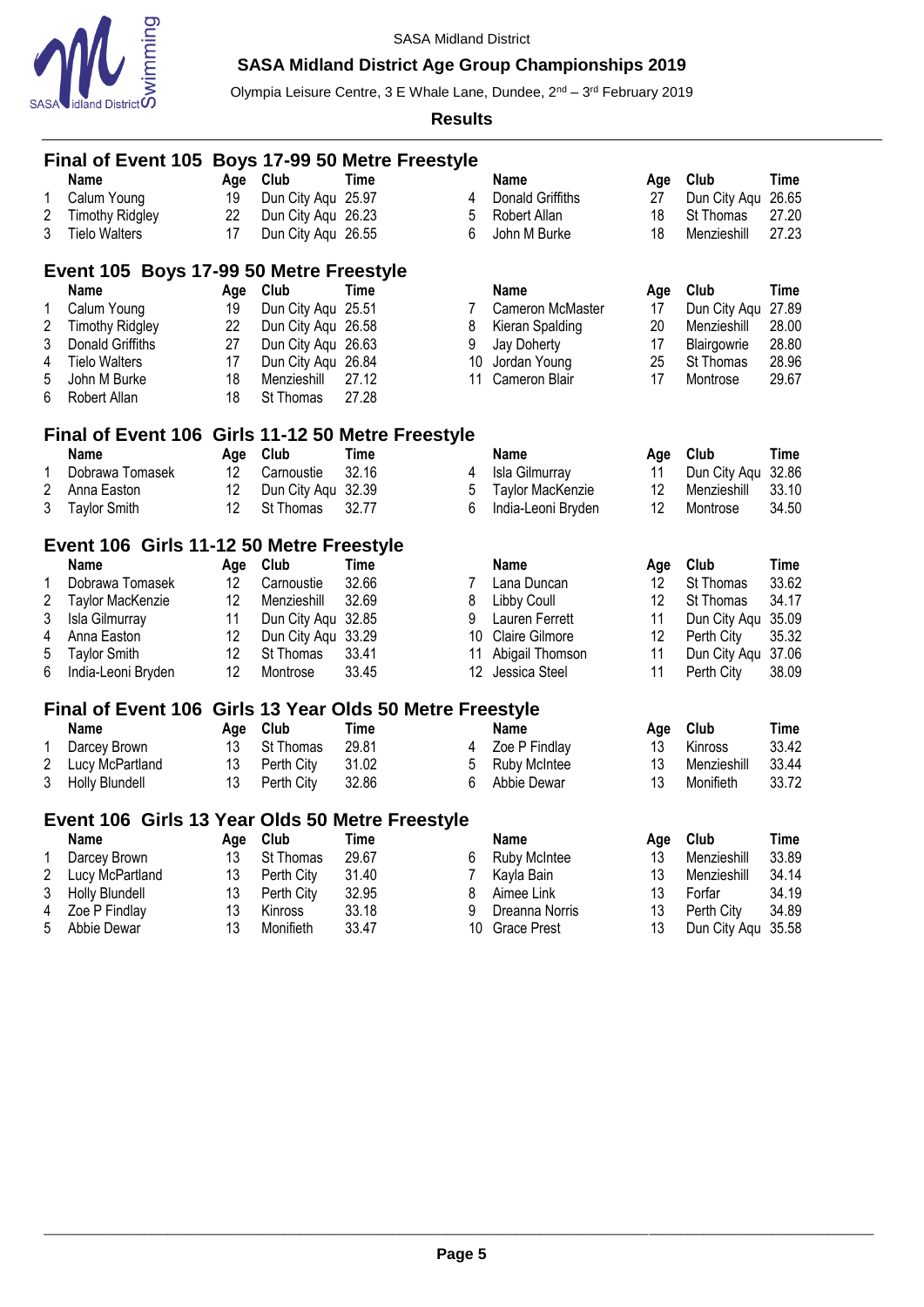

# **SASA Midland District Age Group Championships 2019**

Olympia Leisure Centre, 3 E Whale Lane, Dundee, 2<sup>nd</sup> – 3<sup>rd</sup> February 2019

|                | Final of Event 105 Boys 17-99 50 Metre Freestyle         |     |                    |             |    |                         |                 |                    |             |  |  |
|----------------|----------------------------------------------------------|-----|--------------------|-------------|----|-------------------------|-----------------|--------------------|-------------|--|--|
|                | <b>Name</b>                                              | Age | Club               | Time        |    | Name                    | Age             | Club               | Time        |  |  |
| 1              | Calum Young                                              | 19  | Dun City Agu 25.97 |             | 4  | <b>Donald Griffiths</b> | 27              | Dun City Agu 26.65 |             |  |  |
| $\overline{2}$ | <b>Timothy Ridgley</b>                                   | 22  | Dun City Aqu 26.23 |             | 5  | Robert Allan            | 18              | St Thomas          | 27.20       |  |  |
| 3              | <b>Tielo Walters</b>                                     | 17  | Dun City Aqu 26.55 |             | 6  | John M Burke            | 18              | Menzieshill        | 27.23       |  |  |
|                | Event 105 Boys 17-99 50 Metre Freestyle                  |     |                    |             |    |                         |                 |                    |             |  |  |
|                | <b>Name</b>                                              | Age | Club               | Time        |    | Name                    | Age             | Club               | Time        |  |  |
| 1              | Calum Young                                              | 19  | Dun City Aqu 25.51 |             | 7  | Cameron McMaster        | 17              | Dun City Aqu 27.89 |             |  |  |
| 2              | <b>Timothy Ridgley</b>                                   | 22  | Dun City Aqu 26.58 |             | 8  | Kieran Spalding         | 20              | Menzieshill        | 28.00       |  |  |
| 3              | Donald Griffiths                                         | 27  | Dun City Aqu 26.63 |             | 9  | Jay Doherty             | 17              | Blairgowrie        | 28.80       |  |  |
| 4              | <b>Tielo Walters</b>                                     | 17  | Dun City Aqu 26.84 |             | 10 | Jordan Young            | 25              | St Thomas          | 28.96       |  |  |
| 5              | John M Burke                                             | 18  | Menzieshill        | 27.12       | 11 | Cameron Blair           | 17              | Montrose           | 29.67       |  |  |
| 6              | Robert Allan                                             | 18  | St Thomas          | 27.28       |    |                         |                 |                    |             |  |  |
|                | Final of Event 106 Girls 11-12 50 Metre Freestyle        |     |                    |             |    |                         |                 |                    |             |  |  |
|                | <b>Name</b>                                              | Age | Club               | <b>Time</b> |    | <b>Name</b>             | Age             | Club               | <b>Time</b> |  |  |
| 1              | Dobrawa Tomasek                                          | 12  | Carnoustie         | 32.16       | 4  | Isla Gilmurray          | 11              | Dun City Aqu       | 32.86       |  |  |
| $\overline{c}$ | Anna Easton                                              | 12  | Dun City Aqu 32.39 |             | 5  | Taylor MacKenzie        | 12              | Menzieshill        | 33.10       |  |  |
| 3              | <b>Taylor Smith</b>                                      | 12  | St Thomas          | 32.77       | 6  | India-Leoni Bryden      | 12              | Montrose           | 34.50       |  |  |
|                |                                                          |     |                    |             |    |                         |                 |                    |             |  |  |
|                | Event 106 Girls 11-12 50 Metre Freestyle                 |     |                    |             |    |                         |                 |                    |             |  |  |
|                | <b>Name</b>                                              | Age | Club               | Time        |    | <b>Name</b>             | Age             | Club               | <b>Time</b> |  |  |
| 1              | Dobrawa Tomasek                                          | 12  | Carnoustie         | 32.66       | 7  | Lana Duncan             | 12 <sup>°</sup> | St Thomas          | 33.62       |  |  |
| $\overline{2}$ | Taylor MacKenzie                                         | 12  | Menzieshill        | 32.69       | 8  | <b>Libby Coull</b>      | 12              | St Thomas          | 34.17       |  |  |
| 3              | Isla Gilmurray                                           | 11  | Dun City Aqu       | 32.85       | 9  | Lauren Ferrett          | 11              | Dun City Aqu       | 35.09       |  |  |
| 4              | Anna Easton                                              | 12  | Dun City Aqu 33.29 |             | 10 | <b>Claire Gilmore</b>   | 12              | Perth City         | 35.32       |  |  |
| 5              | <b>Taylor Smith</b>                                      | 12  | St Thomas          | 33.41       | 11 | Abigail Thomson         | 11              | Dun City Aqu 37.06 |             |  |  |
| 6              | India-Leoni Bryden                                       | 12  | Montrose           | 33.45       |    | 12 Jessica Steel        | 11              | Perth City         | 38.09       |  |  |
|                | Final of Event 106 Girls 13 Year Olds 50 Metre Freestyle |     |                    |             |    |                         |                 |                    |             |  |  |
|                | Name                                                     | Age | Club               | <b>Time</b> |    | <b>Name</b>             | Age             | Club               | Time        |  |  |
| 1              | Darcey Brown                                             | 13  | St Thomas          | 29.81       | 4  | Zoe P Findlay           | 13              | Kinross            | 33.42       |  |  |
| 2              | Lucy McPartland                                          | 13  | Perth City         | 31.02       | 5  | <b>Ruby McIntee</b>     | 13              | Menzieshill        | 33.44       |  |  |
| 3              | Holly Blundell                                           | 13  | Perth City         | 32.86       | 6  | Abbie Dewar             | 13              | Monifieth          | 33.72       |  |  |
|                |                                                          |     |                    |             |    |                         |                 |                    |             |  |  |
|                | Event 106 Girls 13 Year Olds 50 Metre Freestyle          |     |                    |             |    |                         |                 |                    |             |  |  |
|                | <b>Name</b>                                              | Age | Club               | Time        |    | Name                    | Age             | Club               | Time        |  |  |
| 1              | Darcey Brown                                             | 13  | St Thomas          | 29.67       | 6  | Ruby McIntee            | 13              | Menzieshill        | 33.89       |  |  |
| 2              | Lucy McPartland                                          | 13  | Perth City         | 31.40       | 7  | Kayla Bain              | 13              | Menzieshill        | 34.14       |  |  |
|                |                                                          |     |                    |             |    |                         |                 |                    |             |  |  |
| 3              | <b>Holly Blundell</b>                                    | 13  | Perth City         | 32.95       | 8  | Aimee Link              | 13              | Forfar             | 34.19       |  |  |
| 4              | Zoe P Findlay                                            | 13  | Kinross            | 33.18       | 9  | Dreanna Norris          | 13              | Perth City         | 34.89       |  |  |
| 5              | Abbie Dewar                                              | 13  | Monifieth          | 33.47       | 10 | <b>Grace Prest</b>      | 13              | Dun City Aqu 35.58 |             |  |  |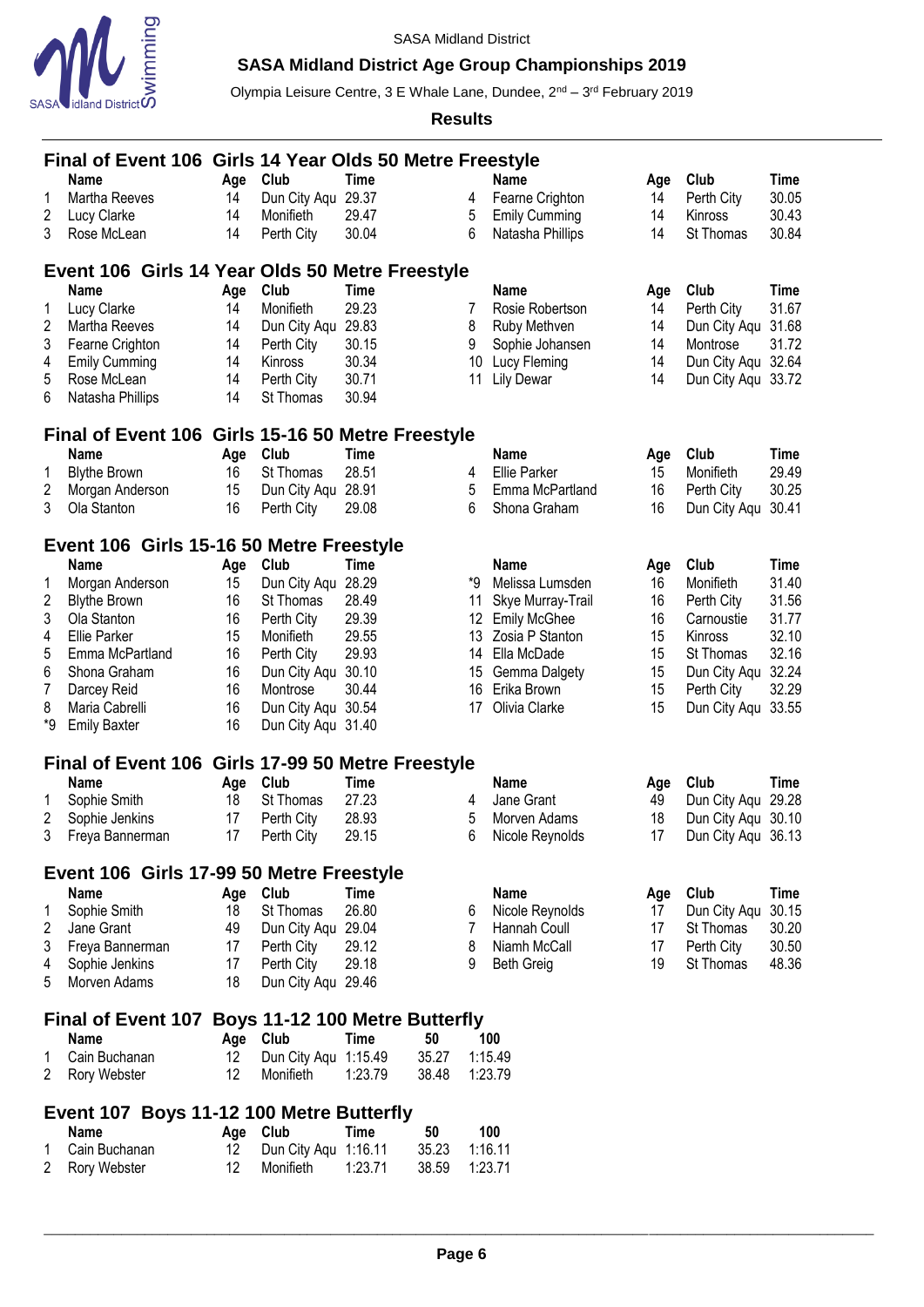

# **SASA Midland District Age Group Championships 2019**

Olympia Leisure Centre, 3 E Whale Lane, Dundee, 2<sup>nd</sup> – 3<sup>rd</sup> February 2019

|                      | Final of Event 106 Girls 14 Year Olds 50 Metre Freestyle |           |                      |             |       |    |                      |           |                    |             |
|----------------------|----------------------------------------------------------|-----------|----------------------|-------------|-------|----|----------------------|-----------|--------------------|-------------|
|                      | <b>Name</b>                                              | Age       | Club                 | Time        |       |    | <b>Name</b>          | Age       | Club               | <b>Time</b> |
| 1                    | Martha Reeves                                            | 14        | Dun City Aqu 29.37   |             |       | 4  | Fearne Crighton      | 14        | Perth City         | 30.05       |
| 2                    | Lucy Clarke                                              | 14        | Monifieth            | 29.47       |       | 5  | <b>Emily Cumming</b> | 14        | Kinross            | 30.43       |
| 3                    | Rose McLean                                              | 14        | Perth City           | 30.04       |       | 6  | Natasha Phillips     | 14        | St Thomas          | 30.84       |
|                      | Event 106 Girls 14 Year Olds 50 Metre Freestyle          |           |                      |             |       |    |                      |           |                    |             |
|                      | <b>Name</b>                                              |           | Club                 | Time        |       |    | <b>Name</b>          |           | Club               | Time        |
| 1                    | Lucy Clarke                                              | Age<br>14 | Monifieth            | 29.23       |       | 7  | Rosie Robertson      | Age<br>14 | Perth City         | 31.67       |
| 2                    | Martha Reeves                                            | 14        | Dun City Aqu         | 29.83       |       | 8  | Ruby Methven         | 14        | Dun City Aqu       | 31.68       |
| 3                    | Fearne Crighton                                          | 14        | Perth City           | 30.15       |       | 9  | Sophie Johansen      | 14        | Montrose           | 31.72       |
| 4                    | <b>Emily Cumming</b>                                     | 14        | Kinross              | 30.34       |       | 10 | Lucy Fleming         | 14        | Dun City Aqu 32.64 |             |
| 5                    | Rose McLean                                              | 14        | Perth City           | 30.71       |       | 11 | <b>Lily Dewar</b>    | 14        | Dun City Aqu 33.72 |             |
| 6                    | Natasha Phillips                                         | 14        | St Thomas            | 30.94       |       |    |                      |           |                    |             |
|                      |                                                          |           |                      |             |       |    |                      |           |                    |             |
|                      | Final of Event 106 Girls 15-16 50 Metre Freestyle        |           |                      |             |       |    |                      |           |                    |             |
|                      | <b>Name</b>                                              | Age       | Club                 | Time        |       |    | Name                 | Age       | Club               | <b>Time</b> |
| 1                    | <b>Blythe Brown</b>                                      | 16        | St Thomas            | 28.51       |       | 4  | Ellie Parker         | 15        | Monifieth          | 29.49       |
| 2                    | Morgan Anderson                                          | 15        | Dun City Aqu         | 28.91       |       | 5  | Emma McPartland      | 16        | Perth City         | 30.25       |
| 3                    | Ola Stanton                                              | 16        | Perth City           | 29.08       |       | 6  | Shona Graham         | 16        | Dun City Aqu       | 30.41       |
|                      | Event 106 Girls 15-16 50 Metre Freestyle                 |           |                      |             |       |    |                      |           |                    |             |
|                      | <b>Name</b>                                              | Age       | Club                 | Time        |       |    | <b>Name</b>          | Age       | Club               | <b>Time</b> |
| 1                    | Morgan Anderson                                          | 15        | Dun City Aqu         | 28.29       |       | *9 | Melissa Lumsden      | 16        | Monifieth          | 31.40       |
| 2                    | <b>Blythe Brown</b>                                      | 16        | St Thomas            | 28.49       |       | 11 | Skye Murray-Trail    | 16        | Perth City         | 31.56       |
| 3                    | Ola Stanton                                              | 16        | Perth City           | 29.39       |       | 12 | <b>Emily McGhee</b>  | 16        | Carnoustie         | 31.77       |
| 4                    | <b>Ellie Parker</b>                                      | 15        | Monifieth            | 29.55       |       |    | 13 Zosia P Stanton   | 15        | Kinross            | 32.10       |
| 5                    | Emma McPartland                                          | 16        | Perth City           | 29.93       |       | 14 | Ella McDade          | 15        | St Thomas          | 32.16       |
| 6                    | Shona Graham                                             | 16        | Dun City Aqu 30.10   |             |       | 15 | Gemma Dalgety        | 15        | Dun City Agu       | 32.24       |
| 7                    | Darcey Reid                                              | 16        | Montrose             | 30.44       |       | 16 | Erika Brown          | 15        | Perth City         | 32.29       |
| 8                    | Maria Cabrelli                                           | 16        | Dun City Aqu 30.54   |             |       | 17 | Olivia Clarke        | 15        | Dun City Aqu       | 33.55       |
| *9                   | <b>Emily Baxter</b>                                      | 16        | Dun City Aqu 31.40   |             |       |    |                      |           |                    |             |
|                      | Final of Event 106 Girls 17-99 50 Metre Freestyle        |           |                      |             |       |    |                      |           |                    |             |
|                      | <b>Name</b>                                              | Age       | Club                 | <b>Time</b> |       |    | <b>Name</b>          | Age       | Club               | Time        |
| 1                    | Sophie Smith                                             | 18        | St Thomas            | 27.23       |       | 4  | Jane Grant           | 49        | Dun City Aqu       | 29.28       |
| 2                    | Sophie Jenkins                                           | 17        | Perth City           | 28.93       |       | 5  | Morven Adams         | 18        | Dun City Aqu 30.10 |             |
|                      | Freya Bannerman                                          | 17        | Perth City           | 29.15       |       | 6  | Nicole Reynolds      | 17        | Dun City Aqu 36.13 |             |
|                      |                                                          |           |                      |             |       |    |                      |           |                    |             |
|                      | Event 106 Girls 17-99 50 Metre Freestyle                 |           |                      |             |       |    |                      |           |                    |             |
|                      | <b>Name</b>                                              | Age       | Club                 | <b>Time</b> |       |    | <b>Name</b>          | Age       | Club               | <b>Time</b> |
| 1                    | Sophie Smith                                             | 18        | St Thomas            | 26.80       |       | 6  | Nicole Reynolds      | 17        | Dun City Aqu       | 30.15       |
| 2                    | Jane Grant                                               | 49        | Dun City Aqu 29.04   |             |       | 7  | Hannah Coull         | 17        | St Thomas          | 30.20       |
| 3                    | Freya Bannerman                                          | 17        | Perth City           | 29.12       |       | 8  | Niamh McCall         | 17        | Perth City         | 30.50       |
| 4                    | Sophie Jenkins                                           | 17        | Perth City           | 29.18       |       | 9  | <b>Beth Greig</b>    | 19        | St Thomas          | 48.36       |
| 5                    | Morven Adams                                             | 18        | Dun City Aqu 29.46   |             |       |    |                      |           |                    |             |
|                      | Final of Event 107 Boys 11-12 100 Metre Butterfly        |           |                      |             |       |    |                      |           |                    |             |
|                      | <b>Name</b>                                              | Age       | Club                 | <b>Time</b> | 50    |    | 100                  |           |                    |             |
| 1                    | Cain Buchanan                                            | 12        | Dun City Aqu 1:15.49 |             | 35.27 |    | 1:15.49              |           |                    |             |
| $\overline{2}$       | Rory Webster                                             | 12        | Monifieth            | 1:23.79     | 38.48 |    | 1:23.79              |           |                    |             |
|                      |                                                          |           |                      |             |       |    |                      |           |                    |             |
|                      | Event 107 Boys 11-12 100 Metre Butterfly<br><b>Name</b>  | Age       | Club                 | <b>Time</b> | 50    |    | 100                  |           |                    |             |
| 1                    | Cain Buchanan                                            | 12        | Dun City Aqu         | 1:16.11     | 35.23 |    | 1:16.11              |           |                    |             |
| $\mathbf{2}^{\circ}$ | Rory Webster                                             | 12        | Monifieth            | 1:23.71     | 38.59 |    | 1:23.71              |           |                    |             |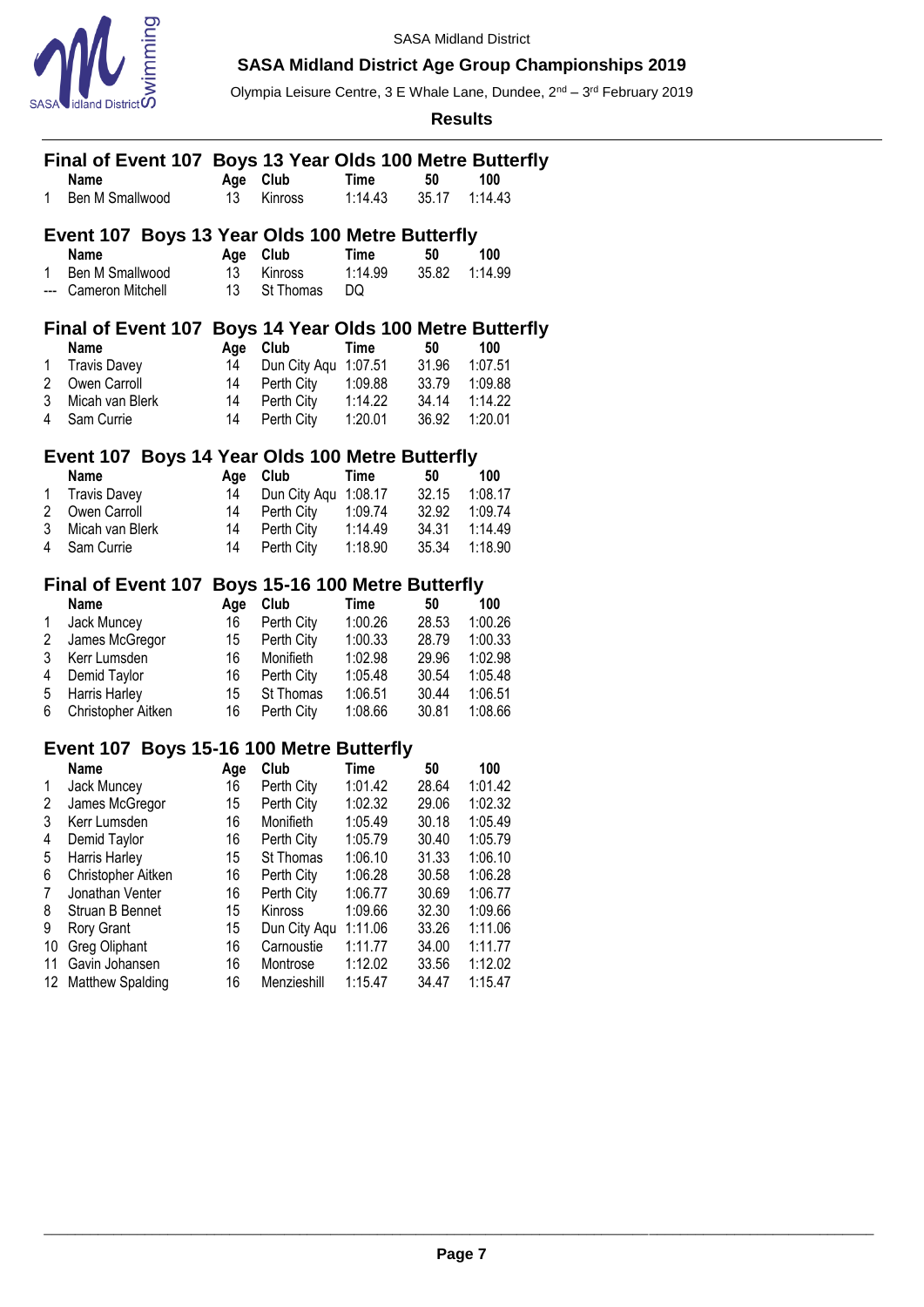

# **SASA Midland District Age Group Championships 2019**

Olympia Leisure Centre, 3 E Whale Lane, Dundee, 2<sup>nd</sup> – 3<sup>rd</sup> February 2019

|                | Final of Event 107 Boys 13 Year Olds 100 Metre Butterfly |           |                                    |                        |             |                |
|----------------|----------------------------------------------------------|-----------|------------------------------------|------------------------|-------------|----------------|
|                | Name<br>Ben M Smallwood                                  | Age       | Club                               | <b>Time</b><br>1:14.43 | 50<br>35.17 | 100<br>1:14.43 |
| 1              |                                                          | 13        | Kinross                            |                        |             |                |
|                | Event 107 Boys 13 Year Olds 100 Metre Butterfly          |           |                                    |                        |             |                |
|                | <b>Name</b>                                              | Age       | Club                               | <b>Time</b>            | 50          | 100            |
| 1.             | Ben M Smallwood                                          | 13        | <b>Kinross</b>                     | 1:14.99                | 35.82       | 1:14.99        |
| ---            | Cameron Mitchell                                         | 13        | St Thomas                          | DQ                     |             |                |
|                | Final of Event 107 Boys 14 Year Olds 100 Metre Butterfly |           |                                    |                        |             |                |
|                | Name                                                     | Age       | Club                               | <b>Time</b>            | 50          | 100            |
| 1              | <b>Travis Davey</b>                                      | 14        | Dun City Aqu                       | 1:07.51                | 31.96       | 1:07.51        |
| 2              | Owen Carroll                                             | 14        | Perth City                         | 1:09.88                | 33.79       | 1:09.88        |
| 3              | Micah van Blerk                                          | 14        | Perth City                         | 1:14.22                | 34.14       | 1:14.22        |
| 4              | Sam Currie                                               | 14        | Perth City                         | 1:20.01                | 36.92       | 1:20.01        |
|                |                                                          |           |                                    |                        |             |                |
|                | Event 107 Boys 14 Year Olds 100 Metre Butterfly          |           |                                    |                        |             |                |
|                | <b>Name</b><br><b>Travis Davey</b>                       | Age<br>14 | Club                               | Time                   | 50<br>32.15 | 100<br>1:08.17 |
| 1<br>2         | Owen Carroll                                             | 14        | Dun City Aqu 1:08.17<br>Perth City | 1:09.74                | 32.92       | 1:09.74        |
| 3              | Micah van Blerk                                          | 14        | Perth City                         | 1:14.49                | 34.31       | 1:14.49        |
| 4              | Sam Currie                                               | 14        | Perth City                         | 1:18.90                | 35.34       | 1:18.90        |
|                |                                                          |           |                                    |                        |             |                |
|                | Final of Event 107 Boys 15-16 100 Metre Butterfly        |           |                                    |                        |             |                |
|                | Name                                                     | Age       | Club                               | Time                   | 50          | 100            |
| 1              | Jack Muncey                                              | 16        | Perth City                         | 1:00.26                | 28.53       | 1:00.26        |
| 2              | James McGregor                                           | 15        | Perth City                         | 1:00.33                | 28.79       | 1:00.33        |
| 3              | Kerr Lumsden                                             | 16        | Monifieth                          | 1:02.98                | 29.96       | 1:02.98        |
| 4              | Demid Taylor                                             | 16        | Perth City                         | 1:05.48                | 30.54       | 1:05.48        |
| 5              | Harris Harley                                            | 15        | St Thomas                          | 1:06.51                | 30.44       | 1:06.51        |
| 6              | Christopher Aitken                                       | 16        | Perth City                         | 1:08.66                | 30.81       | 1:08.66        |
|                | Event 107 Boys 15-16 100 Metre Butterfly                 |           |                                    |                        |             |                |
|                | <b>Name</b>                                              | Age       | Club                               | <b>Time</b>            | 50          | 100            |
| 1              | Jack Muncey                                              | 16        | Perth City                         | 1:01.42                | 28.64       | 1:01.42        |
| $\overline{2}$ | James McGregor                                           | 15        | Perth City                         | 1:02.32                | 29.06       | 1:02.32        |
| 3              | Kerr Lumsden                                             | 16        | Monifieth                          | 1:05.49                | 30.18       | 1:05.49        |
| 4              | Demid Taylor                                             | 16        | Perth City                         | 1:05.79                | 30.40       | 1:05.79        |
| 5              | Harris Harley                                            | 15        | St Thomas                          | 1:06.10                | 31.33       | 1:06.10        |
| 6              | Christopher Aitken                                       | 16        | Perth City                         | 1:06.28                | 30.58       | 1:06.28        |
| 7              | Jonathan Venter                                          | 16        | Perth City                         | 1:06.77                | 30.69       | 1:06.77        |
| 8              | Struan B Bennet                                          | 15        | Kinross                            | 1:09.66                | 32.30       | 1:09.66        |
| 9              | Rory Grant                                               | 15        | Dun City Aqu                       | 1:11.06                | 33.26       | 1:11.06        |
| 10             | Greg Oliphant                                            | 16        | Carnoustie                         | 1:11.77                | 34.00       | 1:11.77        |
| 11             | Gavin Johansen                                           | 16        | Montrose                           | 1:12.02                | 33.56       | 1:12.02        |
| 12             | Matthew Spalding                                         | 16        | Menzieshill                        | 1:15.47                | 34.47       | 1:15.47        |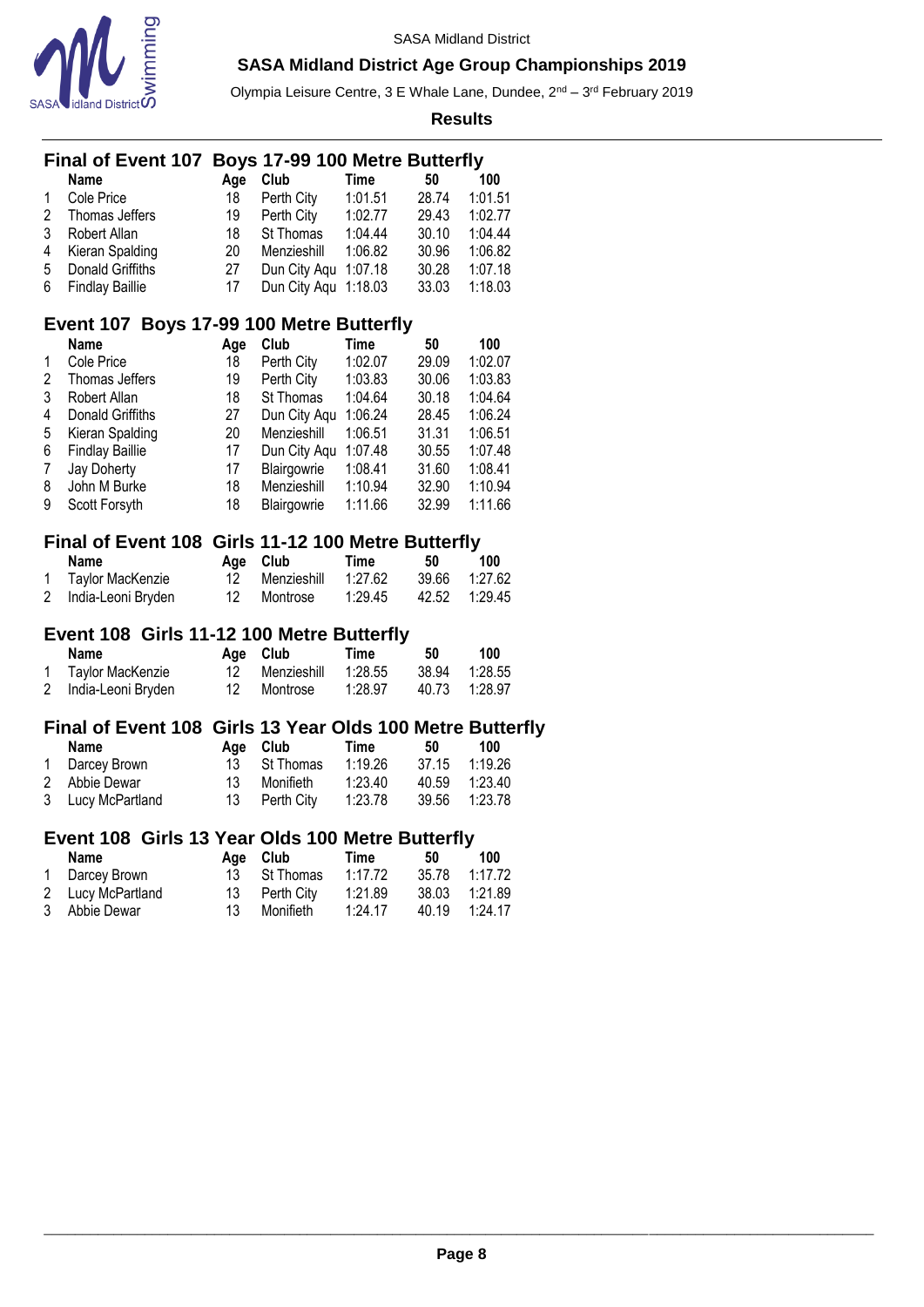

Olympia Leisure Centre, 3 E Whale Lane, Dundee, 2<sup>nd</sup> – 3<sup>rd</sup> February 2019

**Results**

| Final of Event 107 Boys 17-99 100 Metre Butterfly |                                                                 |              |      |
|---------------------------------------------------|-----------------------------------------------------------------|--------------|------|
| $\mathbf{N}$                                      | $\mathbf{A}$ and $\mathbf{A}$ and $\mathbf{A}$ and $\mathbf{A}$ | <b>Times</b> | 40 A |

|              | <b>Name</b>       | Aae | Club                 | Time    | 50    | 100     |
|--------------|-------------------|-----|----------------------|---------|-------|---------|
| $\mathbf{1}$ | Cole Price        | 18  | Perth City           | 1:01.51 | 28.74 | 1:01.51 |
| 2            | Thomas Jeffers    | 19  | Perth City           | 1:02.77 | 29.43 | 1:02.77 |
| 3            | Robert Allan      | 18  | St Thomas            | 1:04.44 | 30.10 | 1:04.44 |
| 4            | Kieran Spalding   | 20  | Menzieshill          | 1:06.82 | 30.96 | 1:06.82 |
| .5           | Donald Griffiths  | 27  | Dun City Agu 1:07.18 |         | 30.28 | 1:07.18 |
|              | 6 Findlay Baillie | 17  | Dun City Aqu 1:18.03 |         | 33.03 | 1:18.03 |

### **Event 107 Boys 17-99 100 Metre Butterfly**

|   | <b>Name</b>            | Age | Club         | Time    | 50    | 100     |
|---|------------------------|-----|--------------|---------|-------|---------|
|   | Cole Price             | 18  | Perth City   | 1:02.07 | 29.09 | 1:02.07 |
| 2 | Thomas Jeffers         | 19  | Perth City   | 1:03.83 | 30.06 | 1:03.83 |
| 3 | Robert Allan           | 18  | St Thomas    | 1:04.64 | 30.18 | 1:04.64 |
| 4 | Donald Griffiths       | 27  | Dun City Agu | 1:06.24 | 28.45 | 1:06.24 |
| 5 | Kieran Spalding        | 20  | Menzieshill  | 1:06.51 | 31.31 | 1:06.51 |
| 6 | <b>Findlay Baillie</b> | 17  | Dun City Agu | 1:07.48 | 30.55 | 1:07.48 |
|   | Jay Doherty            | 17  | Blairgowrie  | 1:08.41 | 31.60 | 1:08.41 |
| 8 | John M Burke           | 18  | Menzieshill  | 1:10.94 | 32.90 | 1:10.94 |
| 9 | Scott Forsyth          | 18  | Blairgowrie  | 1:11.66 | 32.99 | 1:11.66 |

# **Final of Event 108 Girls 11-12 100 Metre Butterfly**

| Name                 | Age Club               | Time    | 50 | 100           |
|----------------------|------------------------|---------|----|---------------|
| 1 Taylor MacKenzie   | 12 Menzieshill 1:27.62 |         |    | 39.66 1:27.62 |
| 2 India-Leoni Bryden | Montrose               | 1:29.45 |    | 42.52 1:29.45 |

### **Event 108 Girls 11-12 100 Metre Butterfly**

| Name                 |    | Age Club       | Time    | -50 | 100           |
|----------------------|----|----------------|---------|-----|---------------|
| 1 Taylor MacKenzie   |    | 12 Menzieshill | 1:28.55 |     | 38.94 1:28.55 |
| 2 India-Leoni Bryden | 12 | Montrose       | 1:28.97 |     | 40.73 1:28.97 |

### **Final of Event 108 Girls 13 Year Olds 100 Metre Butterfly**

| Name              |    | Age Club      | Time    | 50 | 100           |
|-------------------|----|---------------|---------|----|---------------|
| 1 Darcey Brown    |    | 13 St Thomas  | 1:19.26 |    | 37.15 1:19.26 |
| 2 Abbie Dewar     | 13 | Monifieth     | 1:23.40 |    | 40.59 1:23.40 |
| 3 Lucy McPartland |    | 13 Perth City | 1:23.78 |    | 39.56 1:23.78 |

#### **Event 108 Girls 13 Year Olds 100 Metre Butterfly**

| Name              |     | Age Club      | Time    | 50    | 100     |
|-------------------|-----|---------------|---------|-------|---------|
| 1 Darcey Brown    |     | 13 St Thomas  | 1:17.72 | 35.78 | 1:17.72 |
| 2 Lucy McPartland |     | 13 Perth City | 1:21.89 | 38.03 | 1:21.89 |
| 3 Abbie Dewar     | 13. | Monifieth     | 1:24.17 | 40.19 | 1:24.17 |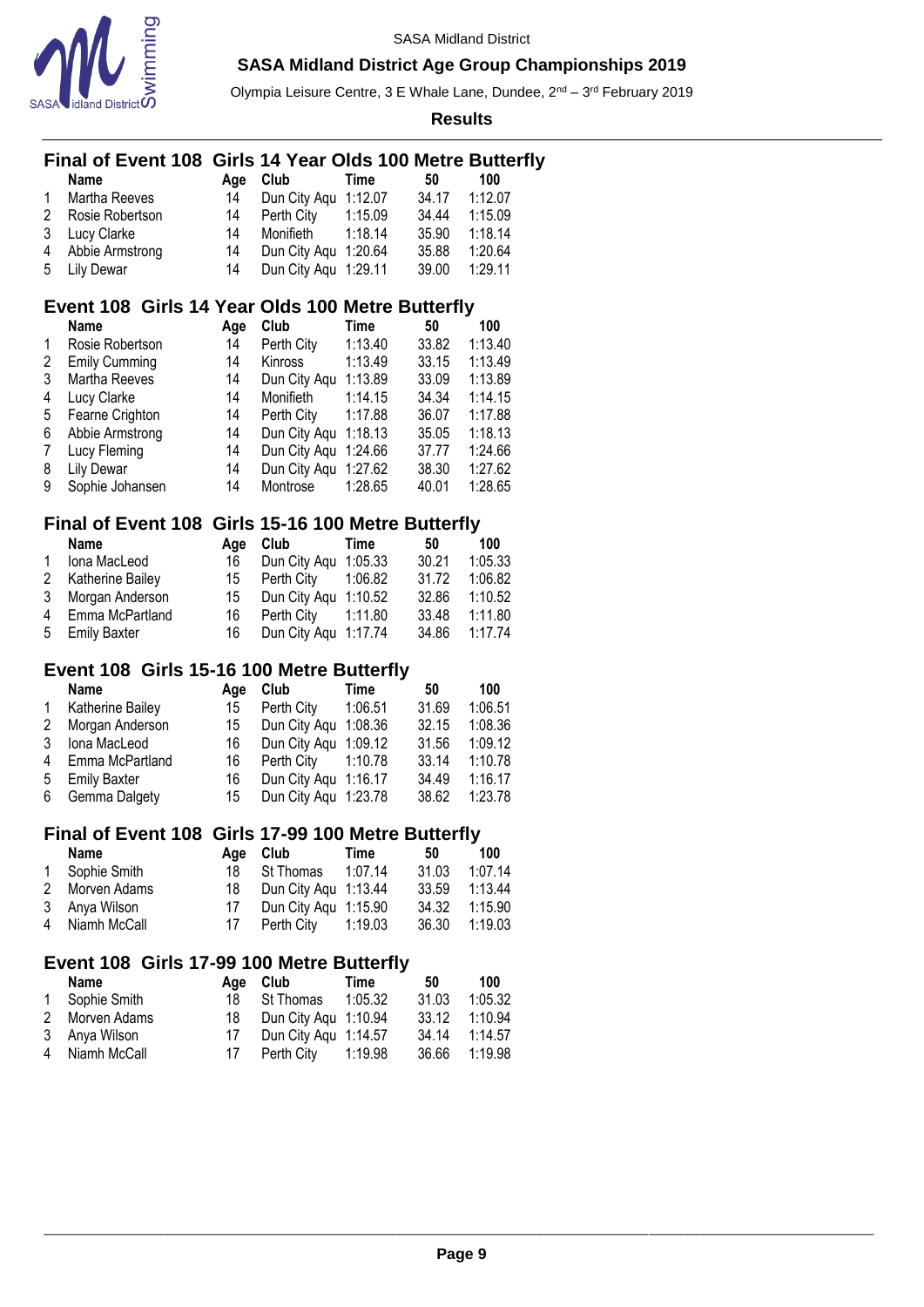

Olympia Leisure Centre, 3 E Whale Lane, Dundee, 2<sup>nd</sup> – 3<sup>rd</sup> February 2019

**Results**

### **Final of Event 108 Girls 14 Year Olds 100 Metre Butterfly**

|   | <b>Name</b>       | Aae | Club                 | Time    | 50    | 100     |
|---|-------------------|-----|----------------------|---------|-------|---------|
| 1 | Martha Reeves     | 14  | Dun City Aqu 1:12.07 |         | 34.17 | 1:12.07 |
|   | 2 Rosie Robertson | 14  | Perth City           | 1:15.09 | 34.44 | 1:15.09 |
|   | 3 Lucy Clarke     | 14  | Monifieth            | 1:18.14 | 35.90 | 1:18.14 |
|   | 4 Abbie Armstrong | 14  | Dun City Agu 1:20.64 |         | 35.88 | 1:20.64 |
|   | 5 Lily Dewar      | 14  | Dun City Aqu 1:29.11 |         | 39.00 | 1:29.11 |

### **Event 108 Girls 14 Year Olds 100 Metre Butterfly**

|   | <b>Name</b>          | Age | Club                 | Time    | 50    | 100     |
|---|----------------------|-----|----------------------|---------|-------|---------|
|   | Rosie Robertson      | 14  | Perth City           | 1:13.40 | 33.82 | 1:13.40 |
| 2 | <b>Emily Cumming</b> | 14  | Kinross              | 1:13.49 | 33.15 | 1:13.49 |
| 3 | Martha Reeves        | 14  | Dun City Aqu         | 1:13.89 | 33.09 | 1:13.89 |
| 4 | Lucy Clarke          | 14  | Monifieth            | 1:14.15 | 34.34 | 1:14.15 |
| 5 | Fearne Crighton      | 14  | Perth City           | 1:17.88 | 36.07 | 1:17.88 |
| 6 | Abbie Armstrong      | 14  | Dun City Agu 1:18.13 |         | 35.05 | 1:18.13 |
| 7 | Lucy Fleming         | 14  | Dun City Aqu 1:24.66 |         | 37.77 | 1:24.66 |
| 8 | <b>Lily Dewar</b>    | 14  | Dun City Agu 1:27.62 |         | 38.30 | 1:27.62 |
| 9 | Sophie Johansen      | 14  | Montrose             | 1:28.65 | 40.01 | 1:28.65 |

### **Final of Event 108 Girls 15-16 100 Metre Butterfly**

| Name               | Aae  | Club                   | Time | 50            | 100     |
|--------------------|------|------------------------|------|---------------|---------|
| 1 Iona MacLeod     | 16   | Dun City Agu 1:05.33   |      | 30.21         | 1:05.33 |
| 2 Katherine Bailey |      | 15 Perth City  1:06.82 |      | 31.72         | 1:06.82 |
| 3 Morgan Anderson  | 15   | Dun City Aqu 1:10.52   |      | 32.86 1:10.52 |         |
| 4 Emma McPartland  |      | 16 Perth City  1:11.80 |      | 33.48         | 1:11.80 |
| 5 Emily Baxter     | 16 — | Dun City Aqu 1:17.74   |      | 34.86 1:17.74 |         |

## **Event 108 Girls 15-16 100 Metre Butterfly**

|              | <b>Name</b>       | Aae  | Club                    | Time | 50    | 100     |
|--------------|-------------------|------|-------------------------|------|-------|---------|
| $\mathbf{1}$ | Katherine Bailey  | 15   | Perth City 1:06.51      |      | 31.69 | 1:06.51 |
|              | 2 Morgan Anderson |      | 15 Dun City Agu 1:08.36 |      | 32.15 | 1:08.36 |
|              | 3 Iona MacLeod    |      | 16 Dun City Agu 1:09.12 |      | 31.56 | 1:09.12 |
|              | 4 Emma McPartland |      | 16 Perth City 1:10.78   |      | 33.14 | 1:10.78 |
|              | 5 Emily Baxter    | 16 - | Dun City Aqu 1:16.17    |      | 34.49 | 1:16.17 |
|              | 6 Gemma Dalgety   |      | 15 Dun City Agu 1:23.78 |      | 38.62 | 1:23.78 |

### **Final of Event 108 Girls 17-99 100 Metre Butterfly**

| Name           |    | Age Club                | Time | 50            | 100     |
|----------------|----|-------------------------|------|---------------|---------|
| 1 Sophie Smith |    | 18 St Thomas 1:07.14    |      | 31.03         | 1:07.14 |
| 2 Morven Adams |    | 18 Dun City Agu 1:13.44 |      | 33.59         | 1:13.44 |
| 3 Anya Wilson  | 17 | Dun City Agu 1:15.90    |      | 34.32         | 1:15.90 |
| 4 Niamh McCall |    |                         |      | 36.30 1:19.03 |         |

### **Event 108 Girls 17-99 100 Metre Butterfly**

| Name           |    | Age Club                | Time | 50    | 100           |
|----------------|----|-------------------------|------|-------|---------------|
| 1 Sophie Smith |    | 18 St Thomas 1:05.32    |      | 31.03 | 1:05.32       |
| 2 Morven Adams |    | 18 Dun City Agu 1:10.94 |      |       | 33.12 1:10.94 |
| 3 Anya Wilson  | 17 | Dun City Agu 1:14.57    |      | 34.14 | 1:14.57       |
| 4 Niamh McCall |    | 17 Perth City 1:19.98   |      |       | 36.66 1:19.98 |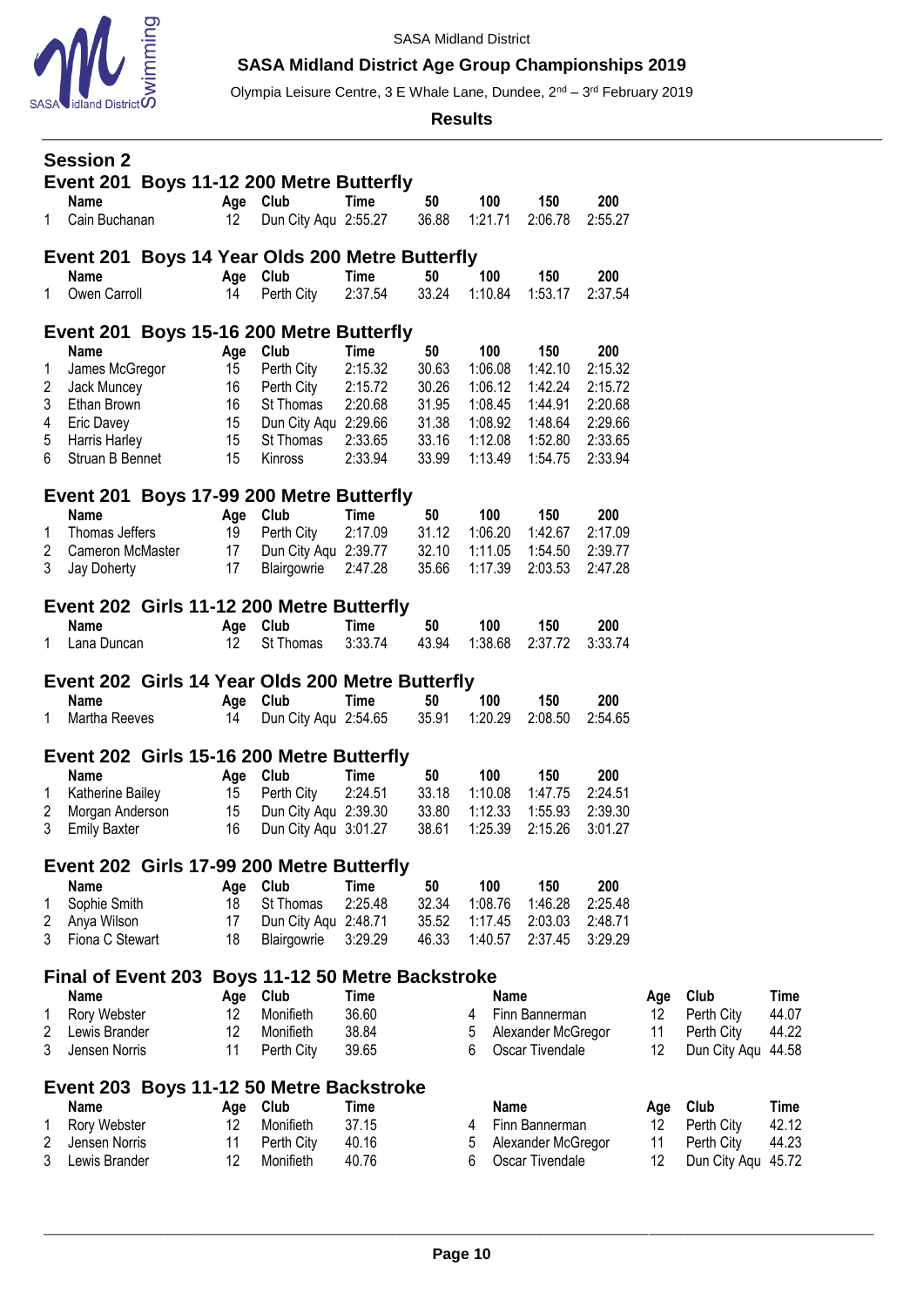

Olympia Leisure Centre, 3 E Whale Lane, Dundee, 2<sup>nd</sup> – 3<sup>rd</sup> February 2019

**Results**

|              | <b>Session 2</b>               |  |                | Event 201 Boys 11-12 200 Metre Butterfly          |                        |                |                    |             |                                       |                    |                |                            |                |
|--------------|--------------------------------|--|----------------|---------------------------------------------------|------------------------|----------------|--------------------|-------------|---------------------------------------|--------------------|----------------|----------------------------|----------------|
| $\mathbf{1}$ | <b>Name</b><br>Cain Buchanan   |  | Age Club<br>12 | Dun City Aqu 2:55.27                              | Time                   | 50<br>36.88    | 100<br>1:21.71     |             | 150<br>2:06.78                        | 200<br>2:55.27     |                |                            |                |
|              |                                |  |                | Event 201 Boys 14 Year Olds 200 Metre Butterfly   |                        |                |                    |             |                                       |                    |                |                            |                |
| 1            | Name<br>Owen Carroll           |  | 14             | Age Club<br>Perth City                            | <b>Time</b><br>2:37.54 | 50<br>33.24    | 100<br>1:10.84     |             | 150<br>1:53.17                        | 200<br>2:37.54     |                |                            |                |
|              |                                |  |                | Event 201 Boys 15-16 200 Metre Butterfly          |                        |                |                    |             |                                       |                    |                |                            |                |
|              | Name                           |  | Age            | Club                                              | Time                   | 50             | 100                |             | 150                                   | 200                |                |                            |                |
| 1            | James McGregor<br>Jack Muncey  |  | 15<br>16       | Perth City<br>Perth City                          | 2:15.32<br>2:15.72     | 30.63<br>30.26 | 1:06.08<br>1:06.12 |             | 1:42.10<br>1:42.24                    | 2:15.32<br>2:15.72 |                |                            |                |
| 2<br>3       | Ethan Brown                    |  | 16             | St Thomas                                         | 2:20.68                | 31.95          | 1:08.45            |             | 1:44.91                               | 2:20.68            |                |                            |                |
| 4            | <b>Eric Davey</b>              |  | 15             | Dun City Aqu 2:29.66                              |                        | 31.38          | 1:08.92            |             | 1:48.64                               | 2:29.66            |                |                            |                |
| 5            | Harris Harley                  |  | 15             | St Thomas                                         | 2:33.65                | 33.16          | 1:12.08            |             | 1:52.80                               | 2:33.65            |                |                            |                |
| 6            | Struan B Bennet                |  | 15             | Kinross                                           | 2:33.94                | 33.99          | 1:13.49            |             | 1:54.75                               | 2:33.94            |                |                            |                |
|              |                                |  |                | Event 201 Boys 17-99 200 Metre Butterfly          |                        |                |                    |             |                                       |                    |                |                            |                |
|              | Name                           |  |                | Age Club                                          | Time                   | 50             | 100                |             | 150                                   | 200                |                |                            |                |
| 1            | Thomas Jeffers                 |  | 19             | Perth City                                        | 2:17.09                | 31.12          | 1:06.20            |             | 1:42.67                               | 2:17.09            |                |                            |                |
| 2            | Cameron McMaster               |  | 17             | Dun City Aqu 2:39.77                              |                        | 32.10          | 1:11.05            |             | 1:54.50                               | 2:39.77            |                |                            |                |
| 3            | Jay Doherty                    |  | 17             | Blairgowrie                                       | 2:47.28                | 35.66          | 1:17.39            |             | 2:03.53                               | 2:47.28            |                |                            |                |
|              |                                |  |                | Event 202 Girls 11-12 200 Metre Butterfly         |                        |                |                    |             |                                       |                    |                |                            |                |
|              | <b>Name</b>                    |  | Age            | Club                                              | Time                   | 50             | 100                |             | 150                                   | 200                |                |                            |                |
| 1.           | Lana Duncan                    |  | 12             | St Thomas                                         | 3:33.74                | 43.94          | 1:38.68            |             | 2:37.72                               | 3:33.74            |                |                            |                |
|              |                                |  |                |                                                   |                        |                |                    |             |                                       |                    |                |                            |                |
|              |                                |  |                | Event 202 Girls 14 Year Olds 200 Metre Butterfly  |                        |                |                    |             |                                       |                    |                |                            |                |
|              | <b>Name</b>                    |  | Age            | Club                                              | Time                   | 50             | 100                |             | 150                                   | 200                |                |                            |                |
| 1            | Martha Reeves                  |  | 14             | Dun City Aqu 2:54.65                              |                        | 35.91          | 1:20.29            |             | 2:08.50                               | 2:54.65            |                |                            |                |
|              |                                |  |                | Event 202 Girls 15-16 200 Metre Butterfly         |                        |                |                    |             |                                       |                    |                |                            |                |
|              | <b>Name</b>                    |  | Age            | Club                                              | <b>Time</b>            | 50             | 100                |             | 150                                   | 200                |                |                            |                |
| 1            | Katherine Bailey               |  | 15             | Perth City                                        | 2:24.51                | 33.18          | 1:10.08            |             | 1:47.75                               | 2:24.51            |                |                            |                |
| 2            | Morgan Anderson                |  | 15             | Dun City Aqu 2:39.30                              |                        | 33.80          | 1:12.33            |             | 1:55.93                               | 2:39.30            |                |                            |                |
| 3            | <b>Emily Baxter</b>            |  | 16             | Dun City Aqu 3:01.27                              |                        | 38.61          | 1:25.39            |             | 2:15.26                               | 3:01.27            |                |                            |                |
|              |                                |  |                | Event 202 Girls 17-99 200 Metre Butterfly         |                        |                |                    |             |                                       |                    |                |                            |                |
|              | Name                           |  | Age            | Club                                              | <b>Time</b>            | 50             | 100                |             | 150                                   | 200                |                |                            |                |
| 1            | Sophie Smith                   |  | 18             | St Thomas                                         | 2:25.48                | 32.34          | 1:08.76            |             | 1:46.28                               | 2:25.48            |                |                            |                |
| 2            | Anya Wilson                    |  | 17             | Dun City Aqu 2:48.71                              |                        | 35.52          | 1:17.45            |             | 2:03.03                               | 2:48.71            |                |                            |                |
| 3            | Fiona C Stewart                |  | 18             | Blairgowrie                                       | 3:29.29                | 46.33          | 1:40.57            |             | 2:37.45                               | 3:29.29            |                |                            |                |
|              |                                |  |                | Final of Event 203 Boys 11-12 50 Metre Backstroke |                        |                |                    |             |                                       |                    |                |                            |                |
|              | <b>Name</b>                    |  | Age            | Club                                              | Time                   |                |                    | Name        |                                       |                    | Age            | Club                       | <b>Time</b>    |
| 1            | Rory Webster                   |  | 12             | Monifieth                                         | 36.60                  |                | 4                  |             | Finn Bannerman                        |                    | 12             | Perth City                 | 44.07          |
| 2<br>3       | Lewis Brander<br>Jensen Norris |  | 12<br>11       | Monifieth<br>Perth City                           | 38.84<br>39.65         |                | 5<br>6             |             | Alexander McGregor<br>Oscar Tivendale |                    | 11<br>12       | Perth City<br>Dun City Aqu | 44.22<br>44.58 |
|              |                                |  |                |                                                   |                        |                |                    |             |                                       |                    |                |                            |                |
|              |                                |  |                | Event 203 Boys 11-12 50 Metre Backstroke          |                        |                |                    |             |                                       |                    |                |                            |                |
| 1            | Name                           |  | Age            | Club<br>Monifieth                                 | Time                   |                | 4                  | <b>Name</b> |                                       |                    | Age            | Club                       | <b>Time</b>    |
| 2            | Rory Webster<br>Jensen Norris  |  | 12<br>11       | Perth City                                        | 37.15<br>40.16         |                | 5                  |             | Finn Bannerman<br>Alexander McGregor  |                    | 12<br>11<br>12 | Perth City<br>Perth City   | 42.12<br>44.23 |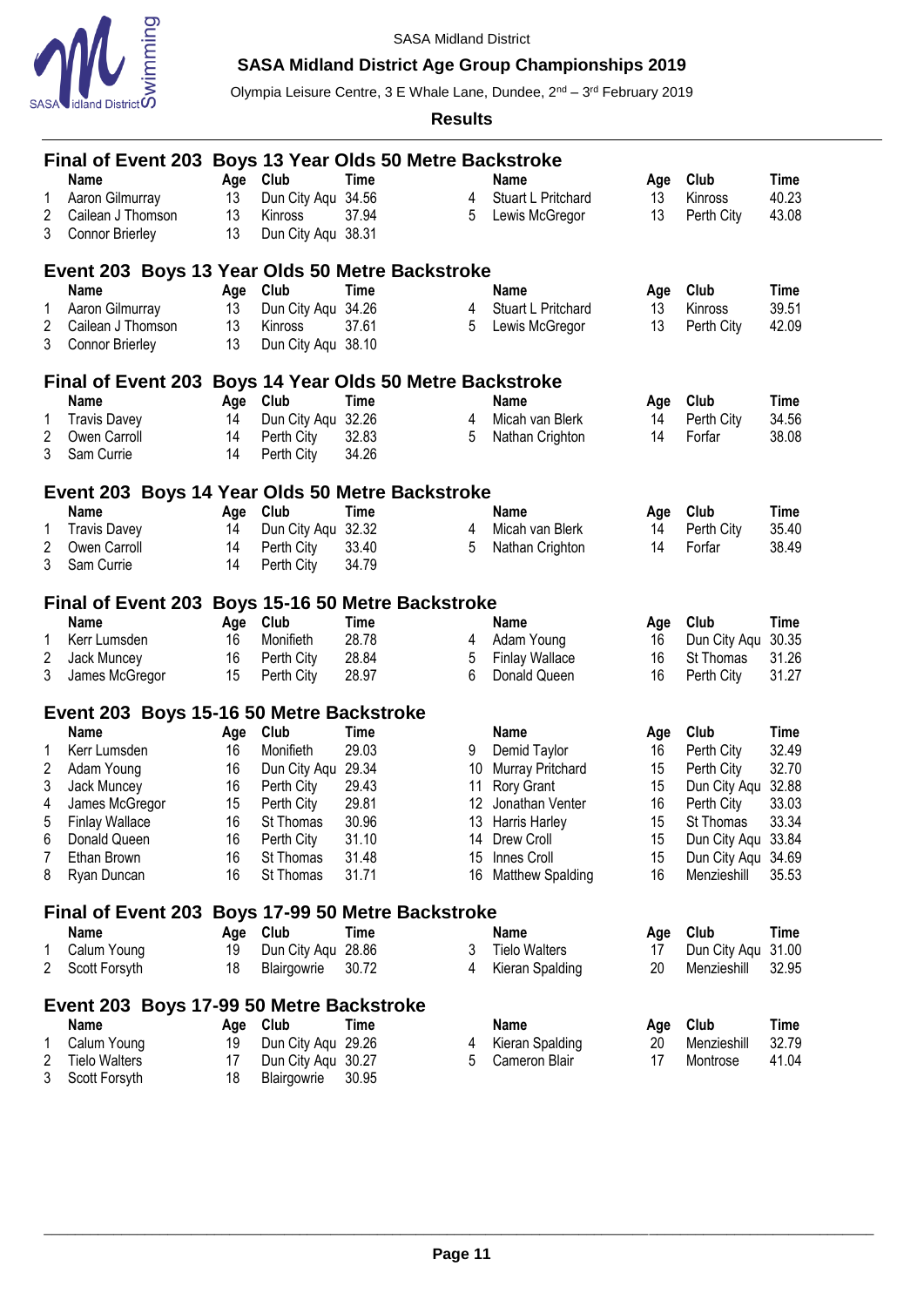

# **SASA Midland District Age Group Championships 2019**

Olympia Leisure Centre, 3 E Whale Lane, Dundee, 2<sup>nd</sup> – 3<sup>rd</sup> February 2019

|   | Final of Event 203 Boys 13 Year Olds 50 Metre Backstroke |     |                    |             |                 |                         |     |                    |       |
|---|----------------------------------------------------------|-----|--------------------|-------------|-----------------|-------------------------|-----|--------------------|-------|
|   | <b>Name</b>                                              | Age | Club               | <b>Time</b> |                 | Name                    | Age | Club               | Time  |
| 1 | Aaron Gilmurray                                          | 13  | Dun City Aqu 34.56 |             | 4               | Stuart L Pritchard      | 13  | Kinross            | 40.23 |
| 2 | Cailean J Thomson                                        | 13  | Kinross            | 37.94       | 5               | Lewis McGregor          | 13  | Perth City         | 43.08 |
| 3 | <b>Connor Brierley</b>                                   | 13  | Dun City Aqu 38.31 |             |                 |                         |     |                    |       |
|   | Event 203 Boys 13 Year Olds 50 Metre Backstroke          |     |                    |             |                 |                         |     |                    |       |
|   | <b>Name</b>                                              | Age | Club               | <b>Time</b> |                 | Name                    | Age | Club               | Time  |
| 1 | Aaron Gilmurray                                          | 13  | Dun City Agu 34.26 |             | 4               | Stuart L Pritchard      | 13  | Kinross            | 39.51 |
| 2 | Cailean J Thomson                                        | 13  | Kinross            | 37.61       | 5               | Lewis McGregor          | 13  | Perth City         | 42.09 |
| 3 | <b>Connor Brierley</b>                                   | 13  | Dun City Aqu 38.10 |             |                 |                         |     |                    |       |
|   | Final of Event 203 Boys 14 Year Olds 50 Metre Backstroke |     |                    |             |                 |                         |     |                    |       |
|   | <b>Name</b>                                              | Age | Club               | <b>Time</b> |                 | Name                    | Age | Club               | Time  |
| 1 | <b>Travis Davey</b>                                      | 14  | Dun City Aqu       | 32.26       | 4               | Micah van Blerk         | 14  | Perth City         | 34.56 |
| 2 | Owen Carroll                                             | 14  | Perth City         | 32.83       | 5               | Nathan Crighton         | 14  | Forfar             | 38.08 |
| 3 | Sam Currie                                               | 14  | Perth City         | 34.26       |                 |                         |     |                    |       |
|   | Event 203 Boys 14 Year Olds 50 Metre Backstroke          |     |                    |             |                 |                         |     |                    |       |
|   | <b>Name</b>                                              | Age | Club               | <b>Time</b> |                 | Name                    | Age | Club               | Time  |
| 1 | <b>Travis Davey</b>                                      | 14  | Dun City Aqu       | 32.32       | 4               | Micah van Blerk         | 14  | Perth City         | 35.40 |
| 2 | Owen Carroll                                             | 14  | Perth City         | 33.40       | 5               | Nathan Crighton         | 14  | Forfar             | 38.49 |
| 3 | Sam Currie                                               | 14  | Perth City         | 34.79       |                 |                         |     |                    |       |
|   | Final of Event 203 Boys 15-16 50 Metre Backstroke        |     |                    |             |                 |                         |     |                    |       |
|   | <b>Name</b>                                              | Age | Club               | <b>Time</b> |                 | <b>Name</b>             | Age | Club               | Time  |
| 1 | Kerr Lumsden                                             | 16  | Monifieth          | 28.78       | 4               | Adam Young              | 16  | Dun City Aqu       | 30.35 |
| 2 | Jack Muncey                                              | 16  | Perth City         | 28.84       | 5               | <b>Finlay Wallace</b>   | 16  | St Thomas          | 31.26 |
| 3 | James McGregor                                           | 15  | Perth City         | 28.97       | 6               | Donald Queen            | 16  | Perth City         | 31.27 |
|   | Event 203 Boys 15-16 50 Metre Backstroke                 |     |                    |             |                 |                         |     |                    |       |
|   | <b>Name</b>                                              | Age | Club               | <b>Time</b> |                 | <b>Name</b>             | Age | Club               | Time  |
| 1 | Kerr Lumsden                                             | 16  | Monifieth          | 29.03       | 9               | Demid Taylor            | 16  | Perth City         | 32.49 |
| 2 | Adam Young                                               | 16  | Dun City Aqu 29.34 |             | 10 <sup>°</sup> | <b>Murray Pritchard</b> | 15  | Perth City         | 32.70 |
| 3 | Jack Muncey                                              | 16  | Perth City         | 29.43       | 11              | Rory Grant              | 15  | Dun City Aqu       | 32.88 |
| 4 | James McGregor                                           | 15  | Perth City         | 29.81       | 12              | Jonathan Venter         | 16  | Perth City         | 33.03 |
| 5 | <b>Finlay Wallace</b>                                    | 16  | St Thomas          | 30.96       | 13              | Harris Harley           | 15  | St Thomas          | 33.34 |
| 6 | Donald Queen                                             | 16  | Perth City         | 31.10       | 14              | Drew Croll              | 15  | Dun City Aqu       | 33.84 |
| 7 | Ethan Brown                                              | 16  | St Thomas          | 31.48       |                 | 15 Innes Croll          | 15  | Dun City Aqu 34.69 |       |
| 8 | Ryan Duncan                                              | 16  | St Thomas          | 31.71       |                 | 16 Matthew Spalding     | 16  | Menzieshill        | 35.53 |
|   | Final of Event 203 Boys 17-99 50 Metre Backstroke        |     |                    |             |                 |                         |     |                    |       |
|   | <b>Name</b>                                              | Age | Club               | Time        |                 | Name                    | Age | Club               | Time  |
| 1 | Calum Young                                              | 19  | Dun City Aqu 28.86 |             | 3               | <b>Tielo Walters</b>    | 17  | Dun City Aqu       | 31.00 |
| 2 | Scott Forsyth                                            | 18  | Blairgowrie        | 30.72       | 4               | Kieran Spalding         | 20  | Menzieshill        | 32.95 |
|   | Event 203 Boys 17-99 50 Metre Backstroke                 |     |                    |             |                 |                         |     |                    |       |
|   | Name                                                     | Age | Club               | Time        |                 | <b>Name</b>             | Age | Club               | Time  |
| 1 | Calum Young                                              | 19  | Dun City Aqu 29.26 |             | 4               | Kieran Spalding         | 20  | Menzieshill        | 32.79 |
| 2 | <b>Tielo Walters</b>                                     | 17  | Dun City Aqu 30.27 |             | 5               | Cameron Blair           | 17  | Montrose           | 41.04 |
| 3 | Scott Forsyth                                            | 18  | Blairgowrie        | 30.95       |                 |                         |     |                    |       |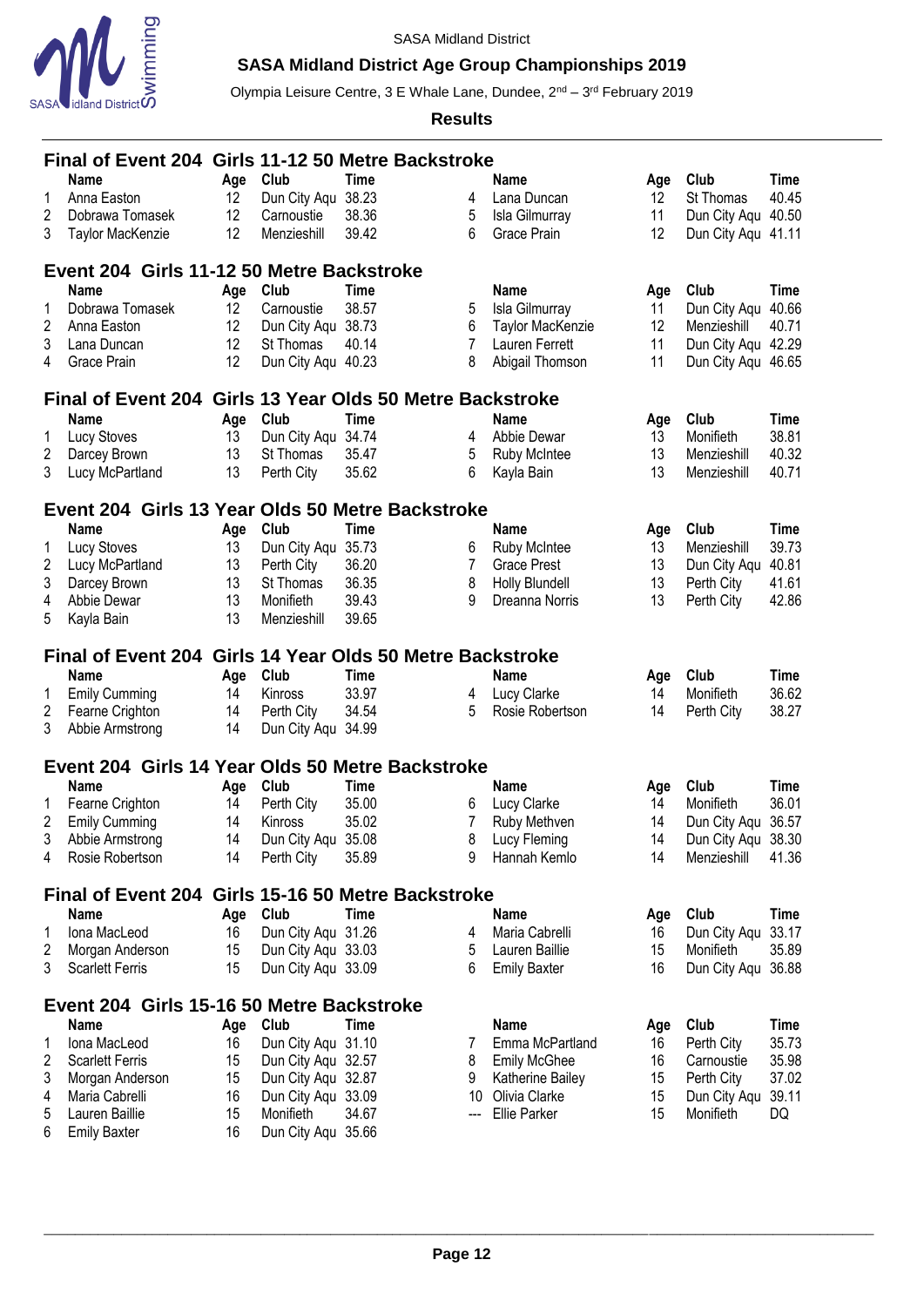

# **SASA Midland District Age Group Championships 2019**

Olympia Leisure Centre, 3 E Whale Lane, Dundee, 2<sup>nd</sup> – 3<sup>rd</sup> February 2019

|        | Final of Event 204 Girls 11-12 50 Metre Backstroke |          |                                          |                                        |                        |                                   |                   |                          |                |
|--------|----------------------------------------------------|----------|------------------------------------------|----------------------------------------|------------------------|-----------------------------------|-------------------|--------------------------|----------------|
|        | <b>Name</b>                                        | Age      | Club                                     | <b>Time</b>                            |                        | <b>Name</b>                       | Age               | Club                     | Time           |
| 1      | Anna Easton                                        | 12       | Dun City Aqu                             | 38.23                                  | 4                      | Lana Duncan                       | $12 \overline{ }$ | St Thomas                | 40.45          |
| 2      | Dobrawa Tomasek                                    | 12       | Carnoustie                               | 38.36                                  | 5                      | Isla Gilmurray                    | 11                | Dun City Aqu 40.50       |                |
| 3      | Taylor MacKenzie                                   | 12       | Menzieshill                              | 39.42                                  | 6                      | Grace Prain                       | 12                | Dun City Aqu 41.11       |                |
|        |                                                    |          |                                          |                                        |                        |                                   |                   |                          |                |
|        | Event 204 Girls 11-12 50 Metre Backstroke          |          |                                          |                                        |                        |                                   |                   |                          |                |
|        | <b>Name</b>                                        | Age      | Club                                     | Time                                   |                        | <b>Name</b>                       | Age               | Club                     | Time           |
| 1      | Dobrawa Tomasek                                    | 12       | Carnoustie                               | 38.57                                  | 5                      | Isla Gilmurray                    | 11                | Dun City Agu 40.66       |                |
| 2      | Anna Easton                                        | 12       | Dun City Aqu 38.73                       |                                        | 6                      | Taylor MacKenzie                  | 12                | Menzieshill              | 40.71          |
| 3      | Lana Duncan                                        | 12       | St Thomas                                | 40.14                                  | 7                      | Lauren Ferrett                    | 11                | Dun City Aqu 42.29       |                |
| 4      | Grace Prain                                        | 12       | Dun City Aqu 40.23                       |                                        | 8                      | Abigail Thomson                   | 11                | Dun City Aqu 46.65       |                |
|        | <b>Final of Event 204</b>                          |          |                                          | Girls 13 Year Olds 50 Metre Backstroke |                        |                                   |                   |                          |                |
|        | <b>Name</b>                                        | Age      | Club                                     | <b>Time</b>                            |                        | <b>Name</b>                       | Age               | Club                     | <b>Time</b>    |
| 1      | Lucy Stoves                                        | 13       | Dun City Aqu 34.74                       |                                        | 4                      | Abbie Dewar                       | 13                | Monifieth                | 38.81          |
| 2      | Darcey Brown                                       | 13       | St Thomas                                | 35.47                                  | 5                      | Ruby McIntee                      | 13                | Menzieshill              | 40.32          |
| 3      | Lucy McPartland                                    | 13       | Perth City                               | 35.62                                  | 6                      | Kayla Bain                        | 13                | Menzieshill              | 40.71          |
|        |                                                    |          |                                          |                                        |                        |                                   |                   |                          |                |
|        | Event 204 Girls 13 Year Olds 50 Metre Backstroke   |          |                                          |                                        |                        |                                   |                   |                          |                |
|        | Name                                               | Age      | Club                                     | <b>Time</b>                            |                        | <b>Name</b>                       | Age               | Club                     | <b>Time</b>    |
| 1      | Lucy Stoves                                        | 13<br>13 | Dun City Aqu 35.73                       | 36.20                                  | 6<br>7                 | Ruby McIntee                      | 13<br>13          | Menzieshill              | 39.73<br>40.81 |
| 2<br>3 | Lucy McPartland                                    | 13       | Perth City<br>St Thomas                  | 36.35                                  | 8                      | Grace Prest                       | 13                | Dun City Aqu             | 41.61          |
| 4      | Darcey Brown<br>Abbie Dewar                        | 13       | Monifieth                                | 39.43                                  | 9                      | Holly Blundell<br>Dreanna Norris  | 13                | Perth City<br>Perth City | 42.86          |
| 5      | Kayla Bain                                         | 13       | Menzieshill                              | 39.65                                  |                        |                                   |                   |                          |                |
|        |                                                    |          |                                          |                                        |                        |                                   |                   |                          |                |
|        |                                                    |          |                                          |                                        |                        |                                   |                   |                          |                |
|        | <b>Final of Event 204</b>                          |          |                                          | Girls 14 Year Olds 50 Metre Backstroke |                        |                                   |                   |                          |                |
|        | Name                                               | Age      | Club                                     | <b>Time</b>                            |                        | Name                              | Age               | Club                     | Time           |
| 1      | <b>Emily Cumming</b>                               | 14       | Kinross                                  | 33.97                                  | 4                      | Lucy Clarke                       | 14                | Monifieth                | 36.62          |
| 2      | Fearne Crighton                                    | 14       | Perth City                               | 34.54                                  | 5                      | Rosie Robertson                   | 14                | Perth City               | 38.27          |
| 3      | Abbie Armstrong                                    | 14       | Dun City Aqu 34.99                       |                                        |                        |                                   |                   |                          |                |
|        |                                                    |          |                                          |                                        |                        |                                   |                   |                          |                |
|        | Event 204 Girls 14 Year Olds 50 Metre Backstroke   |          |                                          |                                        |                        |                                   |                   |                          |                |
|        | Name                                               | Age      | Club                                     | Time                                   |                        | <b>Name</b>                       | Age               | Club                     | <b>Time</b>    |
| 1      | Fearne Crighton                                    | 14       | Perth City                               | 35.00                                  | 6                      | Lucy Clarke                       | 14                | Monifieth                | 36.01          |
| 2      | <b>Emily Cumming</b>                               | 14       | Kinross                                  | 35.02                                  | 7                      | Ruby Methven                      | 14                | Dun City Aqu 36.57       |                |
| 3<br>4 | Abbie Armstrong                                    | 14       | Dun City Aqu 35.08                       |                                        | 9                      | 8 Lucy Fleming                    | 14<br>14          | Dun City Aqu 38.30       | 41.36          |
|        | Rosie Robertson                                    | 14       | Perth City                               | 35.89                                  |                        | Hannah Kemlo                      |                   | Menzieshill              |                |
|        | Final of Event 204 Girls 15-16 50 Metre Backstroke |          |                                          |                                        |                        |                                   |                   |                          |                |
|        | Name                                               | Age      | Club                                     | <b>Time</b>                            |                        | <b>Name</b>                       | Age               | Club                     | <b>Time</b>    |
| 1      | Iona MacLeod                                       | 16       | Dun City Aqu 31.26                       |                                        | 4                      | Maria Cabrelli                    | 16                | Dun City Aqu             | 33.17          |
| 2      | Morgan Anderson                                    | 15       | Dun City Aqu 33.03                       |                                        | 5                      | Lauren Baillie                    | 15                | Monifieth                | 35.89          |
| 3      | <b>Scarlett Ferris</b>                             | 15       | Dun City Aqu 33.09                       |                                        | 6                      | <b>Emily Baxter</b>               | 16                | Dun City Aqu 36.88       |                |
|        |                                                    |          |                                          |                                        |                        |                                   |                   |                          |                |
|        | Event 204 Girls 15-16 50 Metre Backstroke          |          |                                          |                                        |                        |                                   |                   |                          |                |
| 1      | <b>Name</b>                                        | Age      | Club                                     | <b>Time</b>                            | 7                      | <b>Name</b>                       | Age               | Club                     | Time           |
|        | Iona MacLeod                                       | 16       | Dun City Aqu 31.10                       |                                        | 8                      | Emma McPartland                   | 16                | Perth City               | 35.73          |
| 2<br>3 | <b>Scarlett Ferris</b>                             | 15<br>15 | Dun City Aqu 32.57                       |                                        | 9                      | <b>Emily McGhee</b>               | 16<br>15          | Carnoustie<br>Perth City | 35.98<br>37.02 |
| 4      | Morgan Anderson<br>Maria Cabrelli                  | 16       | Dun City Aqu 32.87<br>Dun City Aqu 33.09 |                                        | 10                     | Katherine Bailey<br>Olivia Clarke | 15                | Dun City Aqu             | 39.11          |
| 5      | Lauren Baillie                                     | 15       | Monifieth                                | 34.67                                  | $\qquad \qquad \cdots$ | <b>Ellie Parker</b>               | 15                | Monifieth                | DQ             |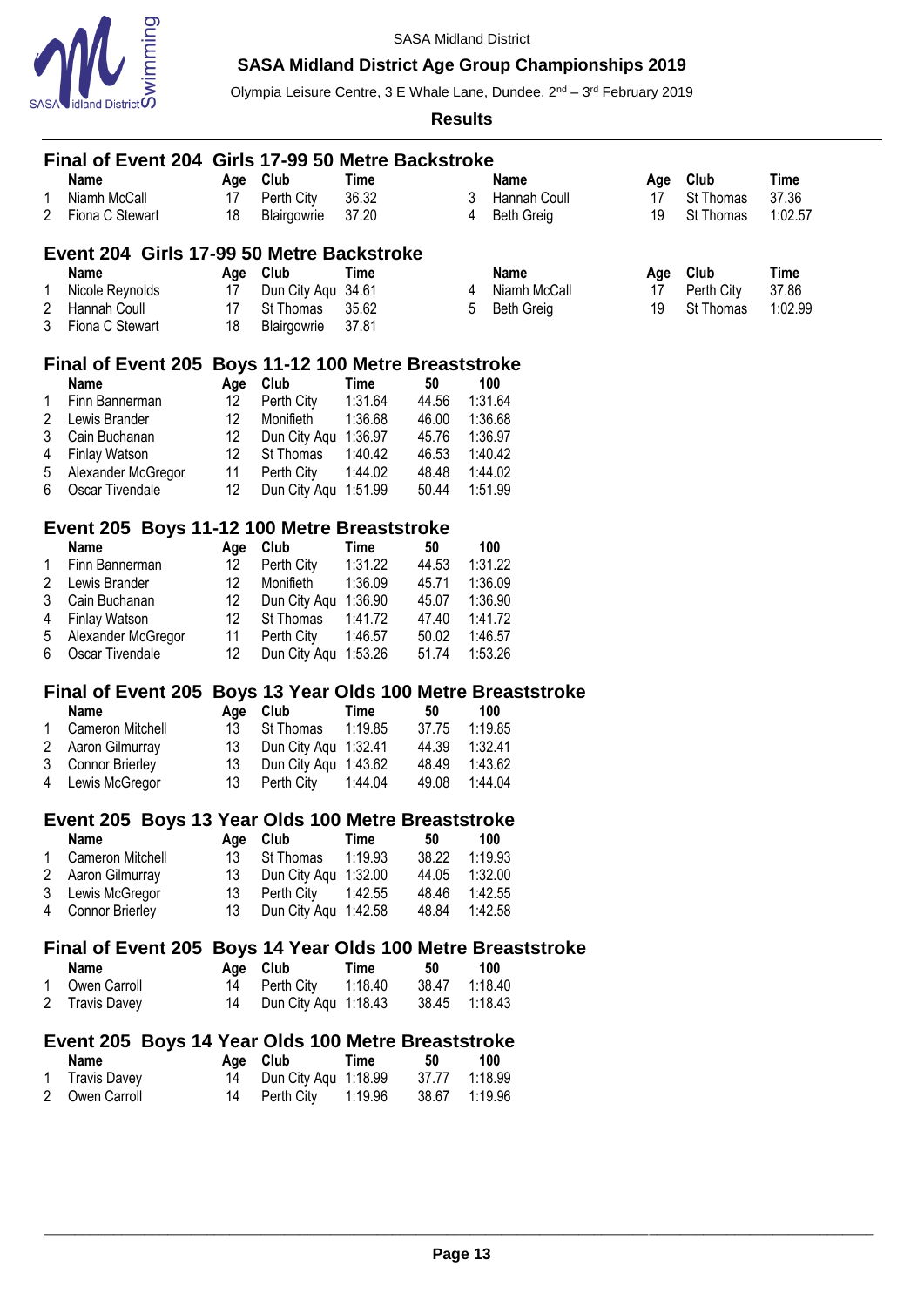

# **SASA Midland District Age Group Championships 2019**

Olympia Leisure Centre, 3 E Whale Lane, Dundee, 2<sup>nd</sup> – 3<sup>rd</sup> February 2019

| Name<br><b>Club</b><br>Club<br>Age<br>Time<br><b>Name</b><br>Age<br>36.32<br>Niamh McCall<br>Perth City<br>3<br>St Thomas<br>1<br>17<br>Hannah Coull<br>17<br>2<br>Fiona C Stewart<br>18<br>37.20<br>19<br>St Thomas<br>Blairgowrie<br><b>Beth Greig</b><br>4<br>Event 204 Girls 17-99 50 Metre Backstroke<br>Name<br><b>Time</b><br>Club<br>Club<br><b>Name</b><br>Age<br>Age<br>Nicole Reynolds<br>Dun City Aqu 34.61<br>Niamh McCall<br>Perth City<br>1<br>17<br>17<br>4<br>2<br>5<br>19<br>St Thomas<br>Hannah Coull<br>17<br>St Thomas<br>35.62<br><b>Beth Greig</b><br>3<br>Fiona C Stewart<br>18<br>Blairgowrie<br>37.81<br>Final of Event 205 Boys 11-12 100 Metre Breaststroke<br><b>Name</b><br>Age Club<br><b>Time</b><br>50<br>100<br>Finn Bannerman<br>12<br>Perth City<br>1:31.64<br>44.56<br>1:31.64<br>1<br>2<br>Lewis Brander<br>12 <sup>°</sup><br>1:36.68<br>1:36.68<br>Monifieth<br>46.00<br>3<br>Cain Buchanan<br>12<br>Dun City Aqu 1:36.97<br>45.76<br>1:36.97<br>12<br>Finlay Watson<br>St Thomas<br>1:40.42<br>46.53<br>4<br>1:40.42<br>5<br>11<br>Perth City<br>1:44.02<br>48.48<br>Alexander McGregor<br>1:44.02<br>12<br>Oscar Tivendale<br>Dun City Aqu 1:51.99<br>50.44<br>6<br>1:51.99<br>Event 205 Boys 11-12 100 Metre Breaststroke | Time<br>37.36<br>1:02.57<br>Time<br>37.86<br>1:02.99 |  |  |  |  |  |  |  |  |  |  |
|----------------------------------------------------------------------------------------------------------------------------------------------------------------------------------------------------------------------------------------------------------------------------------------------------------------------------------------------------------------------------------------------------------------------------------------------------------------------------------------------------------------------------------------------------------------------------------------------------------------------------------------------------------------------------------------------------------------------------------------------------------------------------------------------------------------------------------------------------------------------------------------------------------------------------------------------------------------------------------------------------------------------------------------------------------------------------------------------------------------------------------------------------------------------------------------------------------------------------------------------------------------------|------------------------------------------------------|--|--|--|--|--|--|--|--|--|--|
|                                                                                                                                                                                                                                                                                                                                                                                                                                                                                                                                                                                                                                                                                                                                                                                                                                                                                                                                                                                                                                                                                                                                                                                                                                                                      |                                                      |  |  |  |  |  |  |  |  |  |  |
|                                                                                                                                                                                                                                                                                                                                                                                                                                                                                                                                                                                                                                                                                                                                                                                                                                                                                                                                                                                                                                                                                                                                                                                                                                                                      |                                                      |  |  |  |  |  |  |  |  |  |  |
|                                                                                                                                                                                                                                                                                                                                                                                                                                                                                                                                                                                                                                                                                                                                                                                                                                                                                                                                                                                                                                                                                                                                                                                                                                                                      |                                                      |  |  |  |  |  |  |  |  |  |  |
|                                                                                                                                                                                                                                                                                                                                                                                                                                                                                                                                                                                                                                                                                                                                                                                                                                                                                                                                                                                                                                                                                                                                                                                                                                                                      |                                                      |  |  |  |  |  |  |  |  |  |  |
|                                                                                                                                                                                                                                                                                                                                                                                                                                                                                                                                                                                                                                                                                                                                                                                                                                                                                                                                                                                                                                                                                                                                                                                                                                                                      |                                                      |  |  |  |  |  |  |  |  |  |  |
|                                                                                                                                                                                                                                                                                                                                                                                                                                                                                                                                                                                                                                                                                                                                                                                                                                                                                                                                                                                                                                                                                                                                                                                                                                                                      |                                                      |  |  |  |  |  |  |  |  |  |  |
|                                                                                                                                                                                                                                                                                                                                                                                                                                                                                                                                                                                                                                                                                                                                                                                                                                                                                                                                                                                                                                                                                                                                                                                                                                                                      |                                                      |  |  |  |  |  |  |  |  |  |  |
|                                                                                                                                                                                                                                                                                                                                                                                                                                                                                                                                                                                                                                                                                                                                                                                                                                                                                                                                                                                                                                                                                                                                                                                                                                                                      |                                                      |  |  |  |  |  |  |  |  |  |  |
|                                                                                                                                                                                                                                                                                                                                                                                                                                                                                                                                                                                                                                                                                                                                                                                                                                                                                                                                                                                                                                                                                                                                                                                                                                                                      |                                                      |  |  |  |  |  |  |  |  |  |  |
|                                                                                                                                                                                                                                                                                                                                                                                                                                                                                                                                                                                                                                                                                                                                                                                                                                                                                                                                                                                                                                                                                                                                                                                                                                                                      |                                                      |  |  |  |  |  |  |  |  |  |  |
|                                                                                                                                                                                                                                                                                                                                                                                                                                                                                                                                                                                                                                                                                                                                                                                                                                                                                                                                                                                                                                                                                                                                                                                                                                                                      |                                                      |  |  |  |  |  |  |  |  |  |  |
|                                                                                                                                                                                                                                                                                                                                                                                                                                                                                                                                                                                                                                                                                                                                                                                                                                                                                                                                                                                                                                                                                                                                                                                                                                                                      |                                                      |  |  |  |  |  |  |  |  |  |  |
|                                                                                                                                                                                                                                                                                                                                                                                                                                                                                                                                                                                                                                                                                                                                                                                                                                                                                                                                                                                                                                                                                                                                                                                                                                                                      |                                                      |  |  |  |  |  |  |  |  |  |  |
|                                                                                                                                                                                                                                                                                                                                                                                                                                                                                                                                                                                                                                                                                                                                                                                                                                                                                                                                                                                                                                                                                                                                                                                                                                                                      |                                                      |  |  |  |  |  |  |  |  |  |  |
|                                                                                                                                                                                                                                                                                                                                                                                                                                                                                                                                                                                                                                                                                                                                                                                                                                                                                                                                                                                                                                                                                                                                                                                                                                                                      |                                                      |  |  |  |  |  |  |  |  |  |  |
|                                                                                                                                                                                                                                                                                                                                                                                                                                                                                                                                                                                                                                                                                                                                                                                                                                                                                                                                                                                                                                                                                                                                                                                                                                                                      |                                                      |  |  |  |  |  |  |  |  |  |  |
|                                                                                                                                                                                                                                                                                                                                                                                                                                                                                                                                                                                                                                                                                                                                                                                                                                                                                                                                                                                                                                                                                                                                                                                                                                                                      |                                                      |  |  |  |  |  |  |  |  |  |  |
|                                                                                                                                                                                                                                                                                                                                                                                                                                                                                                                                                                                                                                                                                                                                                                                                                                                                                                                                                                                                                                                                                                                                                                                                                                                                      |                                                      |  |  |  |  |  |  |  |  |  |  |
|                                                                                                                                                                                                                                                                                                                                                                                                                                                                                                                                                                                                                                                                                                                                                                                                                                                                                                                                                                                                                                                                                                                                                                                                                                                                      |                                                      |  |  |  |  |  |  |  |  |  |  |
| <b>Name</b><br>Age Club<br>50<br><b>Time</b><br>100                                                                                                                                                                                                                                                                                                                                                                                                                                                                                                                                                                                                                                                                                                                                                                                                                                                                                                                                                                                                                                                                                                                                                                                                                  |                                                      |  |  |  |  |  |  |  |  |  |  |
| 12 <sup>°</sup><br>Perth City<br>1:31.22<br>44.53<br>Finn Bannerman<br>1:31.22<br>1                                                                                                                                                                                                                                                                                                                                                                                                                                                                                                                                                                                                                                                                                                                                                                                                                                                                                                                                                                                                                                                                                                                                                                                  |                                                      |  |  |  |  |  |  |  |  |  |  |
| 12<br>1:36.09<br>2<br>Lewis Brander<br>Monifieth<br>1:36.09<br>45.71                                                                                                                                                                                                                                                                                                                                                                                                                                                                                                                                                                                                                                                                                                                                                                                                                                                                                                                                                                                                                                                                                                                                                                                                 |                                                      |  |  |  |  |  |  |  |  |  |  |
| 12<br>3<br>Cain Buchanan<br>Dun City Aqu 1:36.90<br>45.07<br>1:36.90                                                                                                                                                                                                                                                                                                                                                                                                                                                                                                                                                                                                                                                                                                                                                                                                                                                                                                                                                                                                                                                                                                                                                                                                 |                                                      |  |  |  |  |  |  |  |  |  |  |
| 12<br>47.40                                                                                                                                                                                                                                                                                                                                                                                                                                                                                                                                                                                                                                                                                                                                                                                                                                                                                                                                                                                                                                                                                                                                                                                                                                                          |                                                      |  |  |  |  |  |  |  |  |  |  |
| <b>Finlay Watson</b><br>St Thomas<br>1:41.72<br>1:41.72<br>4                                                                                                                                                                                                                                                                                                                                                                                                                                                                                                                                                                                                                                                                                                                                                                                                                                                                                                                                                                                                                                                                                                                                                                                                         |                                                      |  |  |  |  |  |  |  |  |  |  |
| 11<br>5<br>Alexander McGregor<br>1:46.57<br>50.02<br>1:46.57<br>Perth City                                                                                                                                                                                                                                                                                                                                                                                                                                                                                                                                                                                                                                                                                                                                                                                                                                                                                                                                                                                                                                                                                                                                                                                           |                                                      |  |  |  |  |  |  |  |  |  |  |
| 12<br>6<br>Oscar Tivendale<br>Dun City Aqu 1:53.26<br>51.74<br>1:53.26                                                                                                                                                                                                                                                                                                                                                                                                                                                                                                                                                                                                                                                                                                                                                                                                                                                                                                                                                                                                                                                                                                                                                                                               |                                                      |  |  |  |  |  |  |  |  |  |  |
| Final of Event 205 Boys 13 Year Olds 100 Metre Breaststroke                                                                                                                                                                                                                                                                                                                                                                                                                                                                                                                                                                                                                                                                                                                                                                                                                                                                                                                                                                                                                                                                                                                                                                                                          |                                                      |  |  |  |  |  |  |  |  |  |  |
| Name<br><b>Club</b><br>Time<br>50<br>100<br>Age                                                                                                                                                                                                                                                                                                                                                                                                                                                                                                                                                                                                                                                                                                                                                                                                                                                                                                                                                                                                                                                                                                                                                                                                                      |                                                      |  |  |  |  |  |  |  |  |  |  |
| Cameron Mitchell<br>13<br>St Thomas<br>1:19.85<br>37.75<br>1:19.85<br>1                                                                                                                                                                                                                                                                                                                                                                                                                                                                                                                                                                                                                                                                                                                                                                                                                                                                                                                                                                                                                                                                                                                                                                                              |                                                      |  |  |  |  |  |  |  |  |  |  |
| Aaron Gilmurray<br>13<br>Dun City Aqu 1:32.41<br>44.39<br>1:32.41<br>2                                                                                                                                                                                                                                                                                                                                                                                                                                                                                                                                                                                                                                                                                                                                                                                                                                                                                                                                                                                                                                                                                                                                                                                               |                                                      |  |  |  |  |  |  |  |  |  |  |
| 3<br>13<br>Dun City Aqu 1:43.62<br>48.49<br>1:43.62<br><b>Connor Brierley</b>                                                                                                                                                                                                                                                                                                                                                                                                                                                                                                                                                                                                                                                                                                                                                                                                                                                                                                                                                                                                                                                                                                                                                                                        |                                                      |  |  |  |  |  |  |  |  |  |  |
| 4<br>Lewis McGregor<br>13<br>Perth City<br>1:44.04<br>49.08<br>1:44.04                                                                                                                                                                                                                                                                                                                                                                                                                                                                                                                                                                                                                                                                                                                                                                                                                                                                                                                                                                                                                                                                                                                                                                                               |                                                      |  |  |  |  |  |  |  |  |  |  |
|                                                                                                                                                                                                                                                                                                                                                                                                                                                                                                                                                                                                                                                                                                                                                                                                                                                                                                                                                                                                                                                                                                                                                                                                                                                                      |                                                      |  |  |  |  |  |  |  |  |  |  |
| Event 205 Boys 13 Year Olds 100 Metre Breaststroke                                                                                                                                                                                                                                                                                                                                                                                                                                                                                                                                                                                                                                                                                                                                                                                                                                                                                                                                                                                                                                                                                                                                                                                                                   |                                                      |  |  |  |  |  |  |  |  |  |  |
| 100<br>Name<br>Age Club<br>Time<br>50                                                                                                                                                                                                                                                                                                                                                                                                                                                                                                                                                                                                                                                                                                                                                                                                                                                                                                                                                                                                                                                                                                                                                                                                                                |                                                      |  |  |  |  |  |  |  |  |  |  |
|                                                                                                                                                                                                                                                                                                                                                                                                                                                                                                                                                                                                                                                                                                                                                                                                                                                                                                                                                                                                                                                                                                                                                                                                                                                                      |                                                      |  |  |  |  |  |  |  |  |  |  |
| 1                                                                                                                                                                                                                                                                                                                                                                                                                                                                                                                                                                                                                                                                                                                                                                                                                                                                                                                                                                                                                                                                                                                                                                                                                                                                    |                                                      |  |  |  |  |  |  |  |  |  |  |
| Cameron Mitchell<br>13<br>St Thomas<br>1:19.93<br>38.22<br>1:19.93                                                                                                                                                                                                                                                                                                                                                                                                                                                                                                                                                                                                                                                                                                                                                                                                                                                                                                                                                                                                                                                                                                                                                                                                   |                                                      |  |  |  |  |  |  |  |  |  |  |
| $\overline{c}$<br>Aaron Gilmurray<br>13<br>Dun City Aqu 1:32.00<br>44.05<br>1:32.00                                                                                                                                                                                                                                                                                                                                                                                                                                                                                                                                                                                                                                                                                                                                                                                                                                                                                                                                                                                                                                                                                                                                                                                  |                                                      |  |  |  |  |  |  |  |  |  |  |
| 3<br>13<br>1:42.55<br>Lewis McGregor<br>Perth City<br>48.46<br>1:42.55<br>4                                                                                                                                                                                                                                                                                                                                                                                                                                                                                                                                                                                                                                                                                                                                                                                                                                                                                                                                                                                                                                                                                                                                                                                          |                                                      |  |  |  |  |  |  |  |  |  |  |
| 13<br>Dun City Aqu 1:42.58<br>Connor Brierley<br>48.84<br>1:42.58                                                                                                                                                                                                                                                                                                                                                                                                                                                                                                                                                                                                                                                                                                                                                                                                                                                                                                                                                                                                                                                                                                                                                                                                    |                                                      |  |  |  |  |  |  |  |  |  |  |
| Final of Event 205 Boys 14 Year Olds 100 Metre Breaststroke                                                                                                                                                                                                                                                                                                                                                                                                                                                                                                                                                                                                                                                                                                                                                                                                                                                                                                                                                                                                                                                                                                                                                                                                          |                                                      |  |  |  |  |  |  |  |  |  |  |
| Age Club<br>50<br>100<br>Name<br><b>Time</b>                                                                                                                                                                                                                                                                                                                                                                                                                                                                                                                                                                                                                                                                                                                                                                                                                                                                                                                                                                                                                                                                                                                                                                                                                         |                                                      |  |  |  |  |  |  |  |  |  |  |
| 38.47<br>Owen Carroll<br>14<br>Perth City<br>1:18.40<br>1:18.40<br>1                                                                                                                                                                                                                                                                                                                                                                                                                                                                                                                                                                                                                                                                                                                                                                                                                                                                                                                                                                                                                                                                                                                                                                                                 |                                                      |  |  |  |  |  |  |  |  |  |  |
| $\overline{2}$<br><b>Travis Davey</b><br>14<br>Dun City Aqu 1:18.43<br>38.45<br>1:18.43                                                                                                                                                                                                                                                                                                                                                                                                                                                                                                                                                                                                                                                                                                                                                                                                                                                                                                                                                                                                                                                                                                                                                                              |                                                      |  |  |  |  |  |  |  |  |  |  |
|                                                                                                                                                                                                                                                                                                                                                                                                                                                                                                                                                                                                                                                                                                                                                                                                                                                                                                                                                                                                                                                                                                                                                                                                                                                                      |                                                      |  |  |  |  |  |  |  |  |  |  |
| Event 205 Boys 14 Year Olds 100 Metre Breaststroke                                                                                                                                                                                                                                                                                                                                                                                                                                                                                                                                                                                                                                                                                                                                                                                                                                                                                                                                                                                                                                                                                                                                                                                                                   |                                                      |  |  |  |  |  |  |  |  |  |  |
| <b>Name</b><br>Age Club<br><b>Time</b><br>50<br>100<br>37.77<br>1:18.99<br><b>Travis Davey</b><br>14<br>Dun City Aqu 1:18.99<br>1                                                                                                                                                                                                                                                                                                                                                                                                                                                                                                                                                                                                                                                                                                                                                                                                                                                                                                                                                                                                                                                                                                                                    |                                                      |  |  |  |  |  |  |  |  |  |  |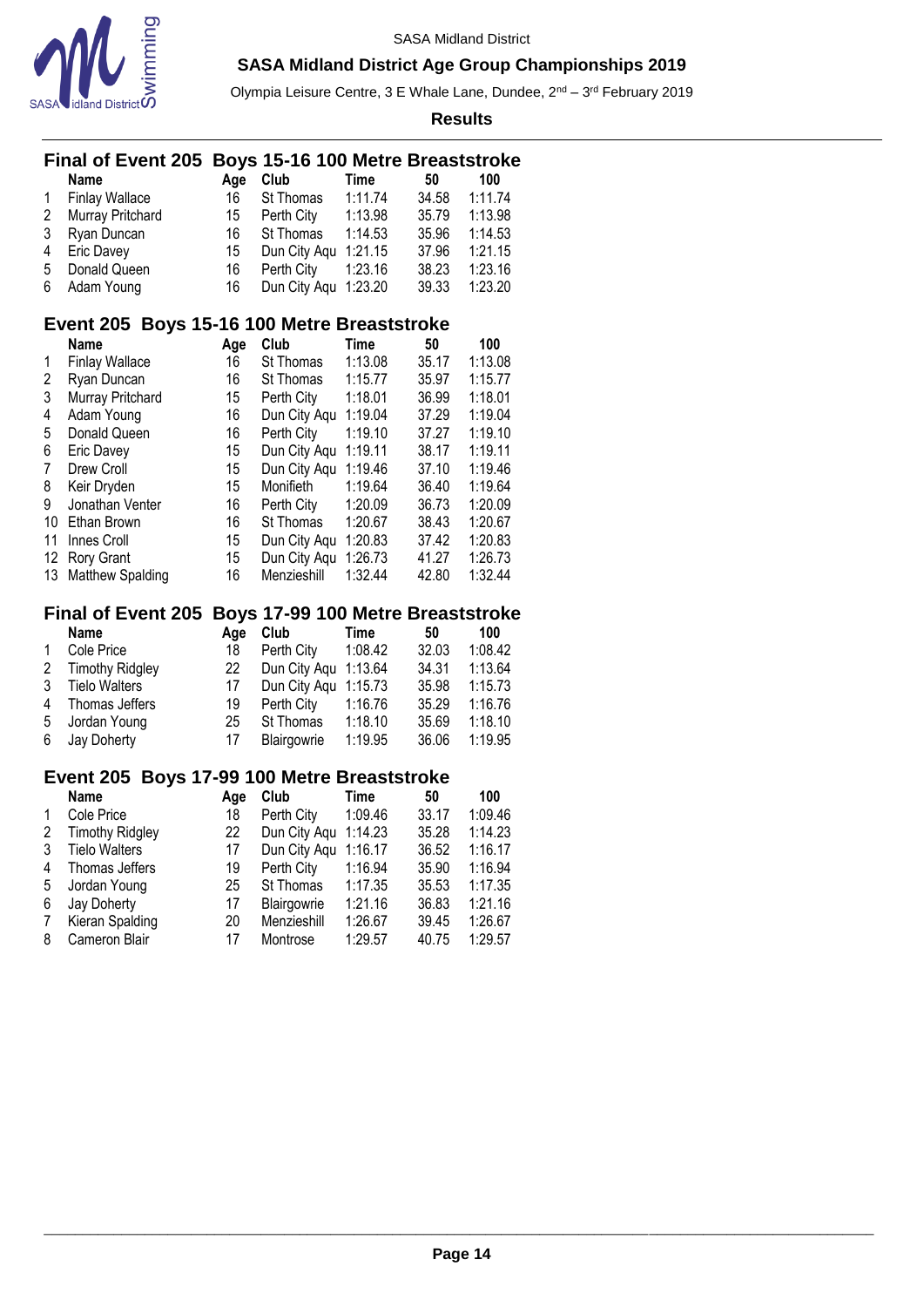

Olympia Leisure Centre, 3 E Whale Lane, Dundee, 2<sup>nd</sup> – 3<sup>rd</sup> February 2019

**Results**

|                                             | Boys 15-16 100 Metre Breaststroke<br><b>Final of Event 205</b> |     |              |         |       |         |  |  |  |  |  |
|---------------------------------------------|----------------------------------------------------------------|-----|--------------|---------|-------|---------|--|--|--|--|--|
|                                             | Name                                                           | Age | Club         | Time    | 50    | 100     |  |  |  |  |  |
| 1                                           | <b>Finlay Wallace</b>                                          | 16  | St Thomas    | 1:11.74 | 34.58 | 1:11.74 |  |  |  |  |  |
| $\overline{2}$                              | Murray Pritchard                                               | 15  | Perth City   | 1:13.98 | 35.79 | 1:13.98 |  |  |  |  |  |
| 3                                           | Ryan Duncan                                                    | 16  | St Thomas    | 1:14.53 | 35.96 | 1:14.53 |  |  |  |  |  |
| 4                                           | Eric Davey                                                     | 15  | Dun City Aqu | 1:21.15 | 37.96 | 1:21.15 |  |  |  |  |  |
| 5                                           | Donald Queen                                                   | 16  | Perth City   | 1:23.16 | 38.23 | 1:23.16 |  |  |  |  |  |
| 6                                           | Adam Young                                                     | 16  | Dun City Aqu | 1:23.20 | 39.33 | 1:23.20 |  |  |  |  |  |
|                                             |                                                                |     |              |         |       |         |  |  |  |  |  |
| Event 205 Boys 15-16 100 Metre Breaststroke |                                                                |     |              |         |       |         |  |  |  |  |  |
|                                             | Name                                                           | Age | Club         | Time    | 50    | 100     |  |  |  |  |  |
| 1                                           | <b>Finlay Wallace</b>                                          | 16  | St Thomas    | 1:13.08 | 35.17 | 1:13.08 |  |  |  |  |  |
| 2                                           | Ryan Duncan                                                    | 16  | St Thomas    | 1:15.77 | 35.97 | 1:15.77 |  |  |  |  |  |
| 3                                           | Murray Pritchard                                               | 15  | Perth City   | 1:18.01 | 36.99 | 1:18.01 |  |  |  |  |  |
| 4                                           | Adam Young                                                     | 16  | Dun City Aqu | 1:19.04 | 37.29 | 1:19.04 |  |  |  |  |  |
| 5                                           | Donald Queen                                                   | 16  | Perth City   | 1:19.10 | 37.27 | 1:19.10 |  |  |  |  |  |
| 6                                           | Eric Davey                                                     | 15  | Dun City Aqu | 1:19.11 | 38.17 | 1:19.11 |  |  |  |  |  |
| 7                                           | Drew Croll                                                     | 15  | Dun City Aqu | 1:19.46 | 37.10 | 1:19.46 |  |  |  |  |  |
| 8                                           | Keir Dryden                                                    | 15  | Monifieth    | 1:19.64 | 36.40 | 1:19.64 |  |  |  |  |  |
| 9                                           | Jonathan Venter                                                | 16  | Perth City   | 1:20.09 | 36.73 | 1:20.09 |  |  |  |  |  |
| 10                                          | Ethan Brown                                                    | 16  | St Thomas    | 1:20.67 | 38.43 | 1:20.67 |  |  |  |  |  |
| 11                                          | Innes Croll                                                    | 15  | Dun City Aqu | 1:20.83 | 37.42 | 1:20.83 |  |  |  |  |  |
| 12                                          | Rory Grant                                                     | 15  | Dun City Aqu | 1:26.73 | 41.27 | 1:26.73 |  |  |  |  |  |
| 13                                          | Matthew Spalding                                               | 16  | Menzieshill  | 1:32.44 | 42.80 | 1:32.44 |  |  |  |  |  |
|                                             | Final of Eyent 205, Boys 17-99 100 Metre Breaststroke          |     |              |         |       |         |  |  |  |  |  |

#### **Final of Event 205 Boys 17-99 100 Metre Breaststroke**

|              | <b>Name</b>          | Aae | Club                 | Time    | 50    | 100     |
|--------------|----------------------|-----|----------------------|---------|-------|---------|
| $\mathbf{1}$ | Cole Price           | 18  | Perth City           | 1:08.42 | 32.03 | 1:08.42 |
|              | 2 Timothy Ridgley    | 22  | Dun City Agu 1:13.64 |         | 34.31 | 1:13.64 |
| 3            | <b>Tielo Walters</b> | 17  | Dun City Aqu 1:15.73 |         | 35.98 | 1:15.73 |
|              | 4 Thomas Jeffers     | 19  | Perth City           | 1:16.76 | 35.29 | 1:16.76 |
| 5            | Jordan Young         | 25  | St Thomas            | 1:18.10 | 35.69 | 1:18.10 |
|              | 6 Jay Doherty        | 17  | Blairgowrie          | 1:19.95 | 36.06 | 1:19.95 |

# **Event 205 Boys 17-99 100 Metre Breaststroke**

|   | <b>Name</b>            | Age | Club         | Time    | 50    | 100     |
|---|------------------------|-----|--------------|---------|-------|---------|
| 1 | Cole Price             | 18  | Perth City   | 1:09.46 | 33.17 | 1:09.46 |
| 2 | <b>Timothy Ridgley</b> | 22  | Dun City Aqu | 1:14.23 | 35.28 | 1:14.23 |
| 3 | <b>Tielo Walters</b>   | 17  | Dun City Aqu | 1:16.17 | 36.52 | 1:16.17 |
| 4 | Thomas Jeffers         | 19  | Perth City   | 1:16.94 | 35.90 | 1:16.94 |
| 5 | Jordan Young           | 25  | St Thomas    | 1:17.35 | 35.53 | 1:17.35 |
| 6 | Jay Doherty            | 17  | Blairgowrie  | 1:21.16 | 36.83 | 1:21.16 |
| 7 | Kieran Spalding        | 20  | Menzieshill  | 1:26.67 | 39.45 | 1:26.67 |
| 8 | Cameron Blair          | 17  | Montrose     | 1:29.57 | 40.75 | 1:29.57 |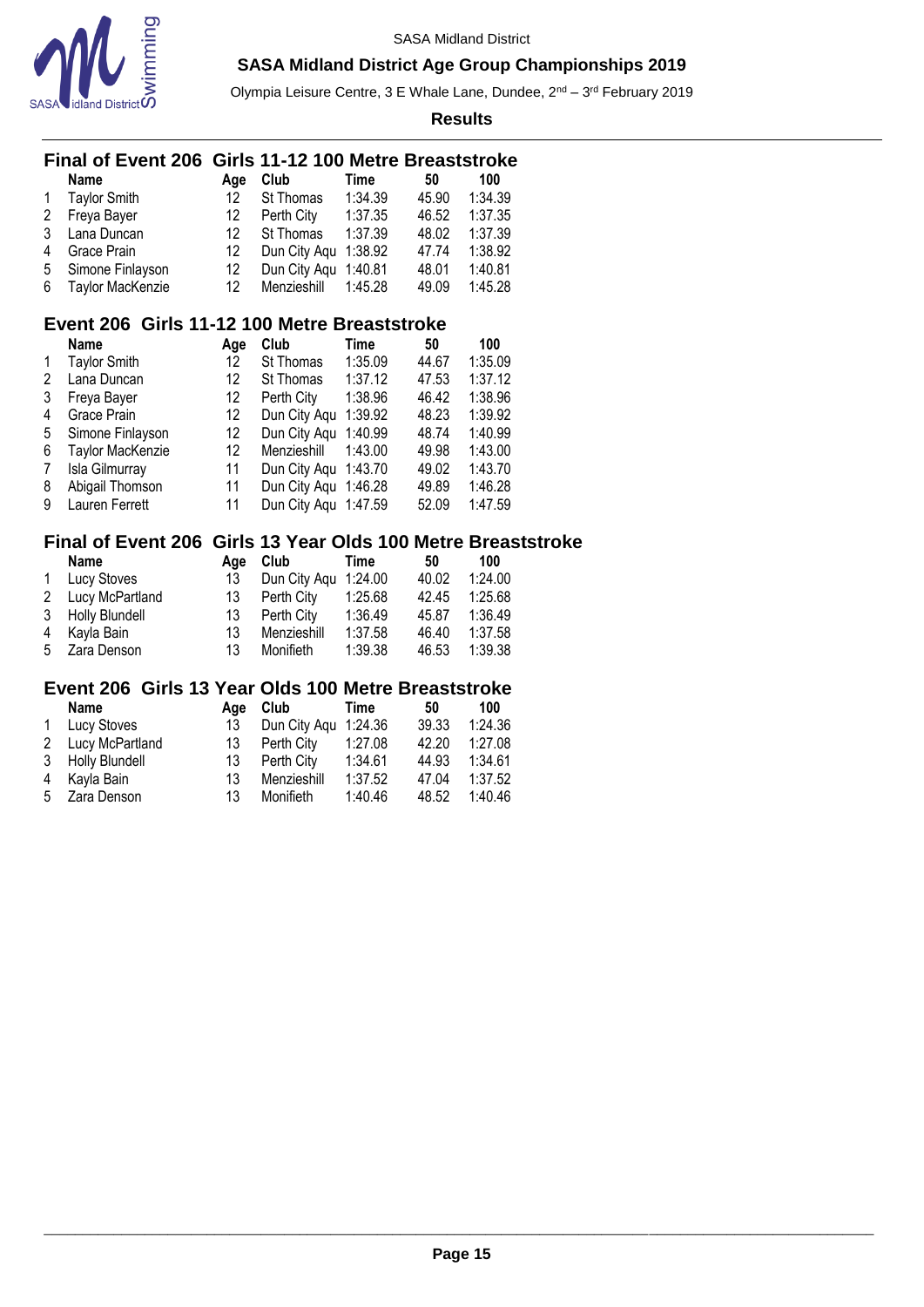

Olympia Leisure Centre, 3 E Whale Lane, Dundee, 2<sup>nd</sup> – 3<sup>rd</sup> February 2019

**Results**

### **Final of Event 206 Girls 11-12 100 Metre Breaststroke**

|              | <b>Name</b>         | Aae | Club                 | Time    | 50    | 100     |
|--------------|---------------------|-----|----------------------|---------|-------|---------|
| $\mathbf{1}$ | <b>Taylor Smith</b> | 12  | St Thomas            | 1:34.39 | 45.90 | 1:34.39 |
| 2            | Freya Bayer         | 12  | Perth City           | 1:37.35 | 46.52 | 1:37.35 |
| 3            | Lana Duncan         | 12  | St Thomas            | 1:37.39 | 48.02 | 1:37.39 |
| 4            | Grace Prain         | 12  | Dun City Agu 1:38.92 |         | 47.74 | 1:38.92 |
| 5            | Simone Finlayson    | 12  | Dun City Agu 1:40.81 |         | 48.01 | 1:40.81 |
|              | 6 Taylor MacKenzie  | 12  | Menzieshill 1:45.28  |         | 49.09 | 1:45.28 |

### **Event 206 Girls 11-12 100 Metre Breaststroke**

|   | <b>Name</b>             | Age               | Club                 | Time    | 50    | 100     |
|---|-------------------------|-------------------|----------------------|---------|-------|---------|
| 1 | <b>Taylor Smith</b>     | 12                | St Thomas            | 1:35.09 | 44.67 | 1:35.09 |
| 2 | Lana Duncan             | 12                | St Thomas            | 1:37.12 | 47.53 | 1:37.12 |
| 3 | Freya Bayer             | 12                | Perth City           | 1:38.96 | 46.42 | 1:38.96 |
| 4 | Grace Prain             | 12                | Dun City Aqu         | 1:39.92 | 48.23 | 1:39.92 |
| 5 | Simone Finlayson        | $12 \overline{ }$ | Dun City Agu         | 1:40.99 | 48.74 | 1:40.99 |
| 6 | <b>Taylor MacKenzie</b> | 12                | Menzieshill          | 1:43.00 | 49.98 | 1:43.00 |
| 7 | Isla Gilmurray          | 11                | Dun City Agu 1:43.70 |         | 49.02 | 1:43.70 |
| 8 | Abigail Thomson         | 11                | Dun City Agu 1:46.28 |         | 49.89 | 1:46.28 |
| 9 | Lauren Ferrett          | 11                | Dun City Agu 1:47.59 |         | 52.09 | 1:47.59 |

## **Final of Event 206 Girls 13 Year Olds 100 Metre Breaststroke**

| <b>Name</b>       |     | Age Club             | Time    | 50    | 100     |
|-------------------|-----|----------------------|---------|-------|---------|
| 1 Lucy Stoves     | 13  | Dun City Aqu 1:24.00 |         | 40.02 | 1:24.00 |
| 2 Lucy McPartland | 13  | Perth City           | 1:25.68 | 42.45 | 1:25.68 |
| 3 Holly Blundell  | 13  | Perth City           | 1:36.49 | 45.87 | 1:36.49 |
| 4 Kayla Bain      | 13. | Menzieshill          | 1:37.58 | 46.40 | 1:37.58 |
| 5 Zara Denson     | 13  | Monifieth            | 1:39.38 | 46.53 | 1:39.38 |

### **Event 206 Girls 13 Year Olds 100 Metre Breaststroke**

| <b>Name</b>       | Aae | Club                 | Time    | 50    | 100     |
|-------------------|-----|----------------------|---------|-------|---------|
| 1 Lucy Stoves     | 13  | Dun City Aqu 1:24.36 |         | 39.33 | 1:24.36 |
| 2 Lucy McPartland | 13  | Perth City           | 1:27.08 | 42.20 | 1:27.08 |
| 3 Holly Blundell  |     | 13 Perth City        | 1:34.61 | 44.93 | 1:34.61 |
| 4 Kayla Bain      | 13  | Menzieshill          | 1:37.52 | 47.04 | 1:37.52 |
| 5 Zara Denson     | 13  | Monifieth            | 1:40.46 | 48.52 | 1:40.46 |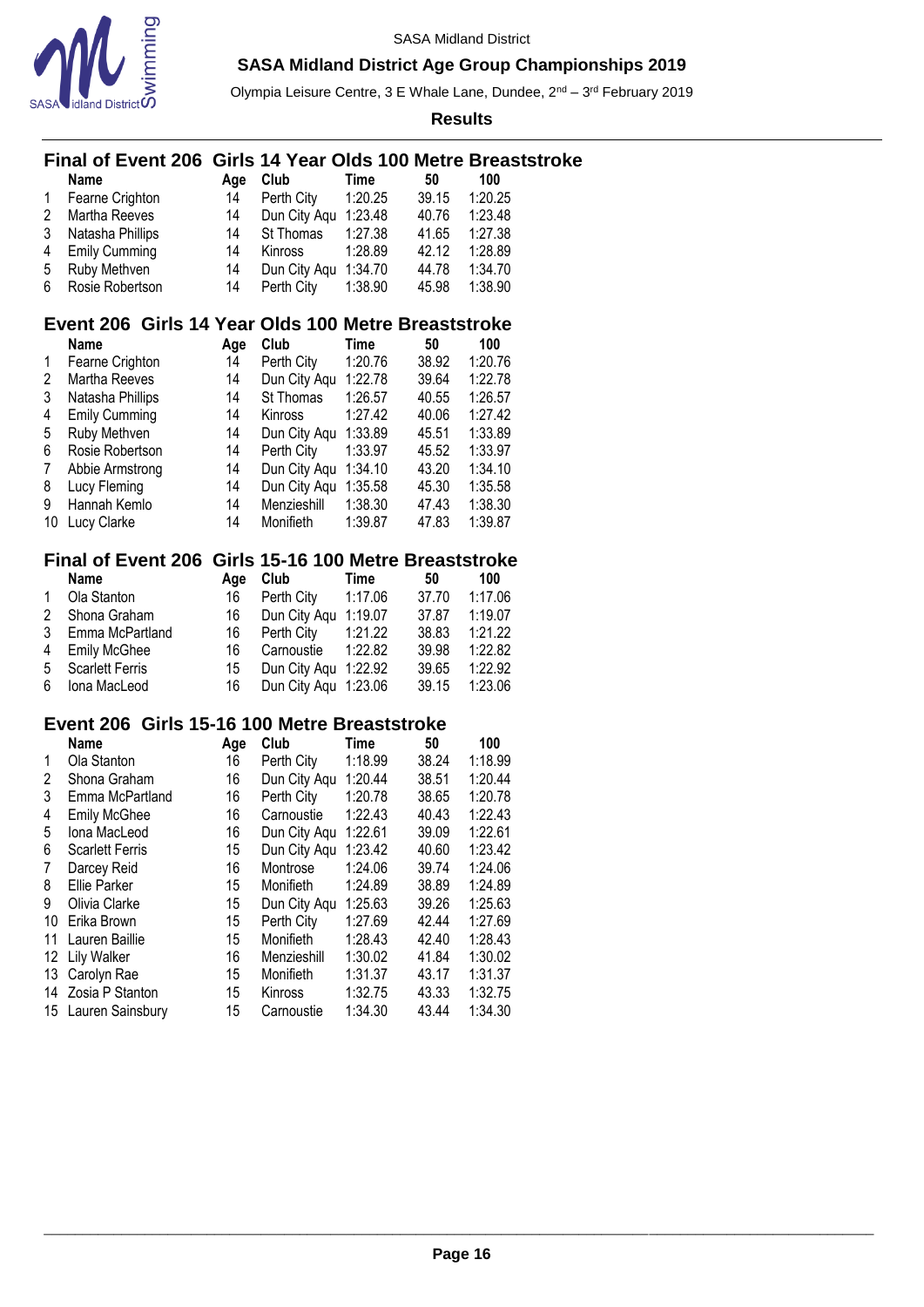

Olympia Leisure Centre, 3 E Whale Lane, Dundee, 2<sup>nd</sup> – 3<sup>rd</sup> February 2019

**Results**

# \_\_\_\_\_\_\_\_\_\_\_\_\_\_\_\_\_\_\_\_\_\_\_\_\_\_\_\_\_\_\_\_\_\_\_\_\_\_\_\_\_\_\_\_\_\_\_\_\_\_\_\_\_\_\_\_\_\_\_\_\_\_\_\_\_\_\_\_\_\_\_\_\_\_\_\_\_\_\_\_\_\_\_\_\_\_\_\_\_\_\_\_\_\_\_\_\_\_\_\_\_\_\_\_\_\_\_ **Final of Event 206 Girls 14 Year Olds 100 Metre Breaststroke Name Age Club Time 50 100**<br> **Fearne Crighton** 14 Perth City 1:20.25 39.15 1:20.2 Fearne Crighton 14 Perth City 1:20.25 39.15 1:20.25 14 Dun City Aqu 1:23.48<br>14 St Thomas 1:27.38 Natasha Phillips 14 St Thomas 1:27.38 41.65 1:27.38 Emily Cumming 14 Kinross 1:28.89 42.12 1:28.89 Ruby Methven 14 Dun City Aqu 1:34.70 44.78 1:34.70 Rosie Robertson 14 Perth City 1:38.90 45.98 1:38.90 **Event 206 Girls 14 Year Olds 100 Metre Breaststroke Name Age Club Time 50 100** Fearne Crighton 14 Perth City 1:20.76 38.92 1:20.76 Martha Reeves 14 Dun City Aqu 1:22.78 39.64 1:22.78 Natasha Phillips 14 St Thomas 1:26.57 40.55 1:26.57 Emily Cumming 14 Kinross 1:27.42 40.06 1:27.42 Ruby Methven 14 Dun City Aqu 1:33.89 45.51 1:33.89 Rosie Robertson 14 Perth City 1:33.97 45.52 1:33.97 Abbie Armstrong 14 Dun City Aqu 1:34.10 43.20 1:34.10 Lucy Fleming 14 Dun City Aqu 1:35.58 45.30 1:35.58 Hannah Kemlo 14 Menzieshill 1:38.30 47.43 1:38.30 Lucy Clarke 14 Monifieth 1:39.87 47.83 1:39.87 **Final of Event 206 Girls 15-16 100 Metre Breaststroke Name Age Club Time 50 100** Ola Stanton 16 Perth City 1:17.06 37.70 1:17.06 Shona Graham 16 Dun City Aqu 1:19.07 37.87 1:19.07 Emma McPartland 16 Perth City 1:21.22 38.83 1:21.22 Emily McGhee 16 Carnoustie 1:22.82 39.98 1:22.82 Scarlett Ferris 15 Dun City Aqu 1:22.92 39.65 1:22.92 Iona MacLeod 16 Dun City Aqu 1:23.06 39.15 1:23.06 **Event 206 Girls 15-16 100 Metre Breaststroke Name Age Club Time 50 100** Ola Stanton 16 Perth City 1:18.99 38.24 1:18.99 Shona Graham 16 Dun City Aqu 1:20.44 38.51 1:20.44 Emma McPartland 16 Perth City 1:20.78 38.65 1:20.78 Emily McGhee 16 Carnoustie 1:22.43 40.43 1:22.43 Iona MacLeod 16 Dun City Aqu 1:22.61 39.09 1:22.61 Scarlett Ferris 15 Dun City Aqu 1:23.42 40.60 1:23.42 Darcey Reid 16 Montrose 1:24.06 39.74 1:24.06 Ellie Parker 15 Monifieth 1:24.89 38.89 1:24.89 Olivia Clarke 15 Dun City Aqu 1:25.63 39.26 1:25.63 Erika Brown 15 Perth City 1:27.69 42.44 1:27.69 Lauren Baillie 15 Monifieth 1:28.43 42.40 1:28.43 Lily Walker 16 Menzieshill 1:30.02 41.84 1:30.02 Carolyn Rae 15 Monifieth 1:31.37 43.17 1:31.37 Zosia P Stanton 15 Kinross 1:32.75 43.33 1:32.75 Lauren Sainsbury 15 Carnoustie 1:34.30 43.44 1:34.30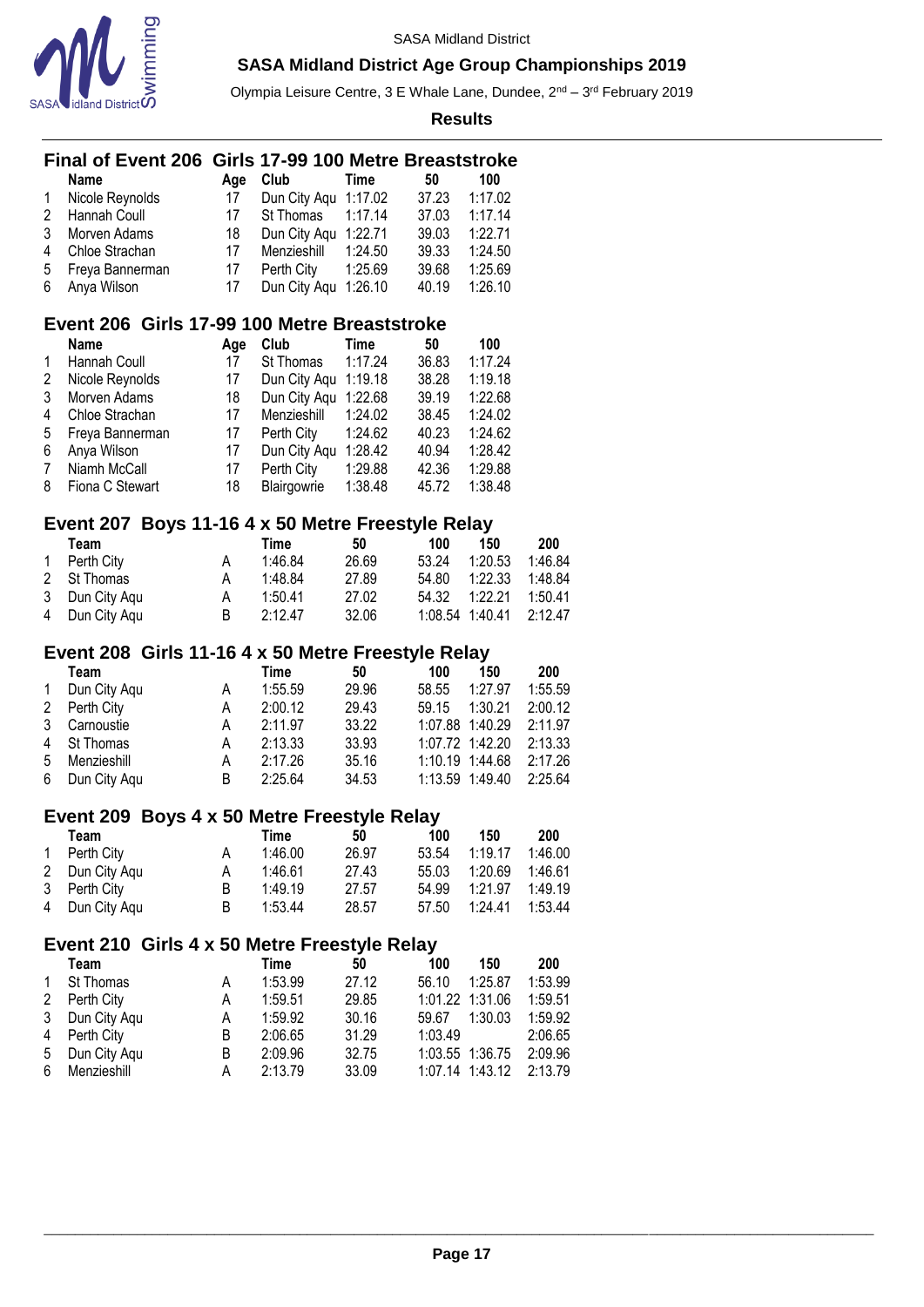

Olympia Leisure Centre, 3 E Whale Lane, Dundee, 2<sup>nd</sup> – 3<sup>rd</sup> February 2019

|                     | <b>Final of Event 206</b>                           |        | Girls 17-99 100 Metre Breaststroke |                |         |                                    |                    |
|---------------------|-----------------------------------------------------|--------|------------------------------------|----------------|---------|------------------------------------|--------------------|
|                     | <b>Name</b>                                         | Age    | Club                               | <b>Time</b>    | 50      | 100                                |                    |
| 1                   | Nicole Reynolds                                     | 17     | Dun City Aqu 1:17.02               |                | 37.23   | 1:17.02                            |                    |
| 2                   | Hannah Coull                                        | 17     | St Thomas                          | 1:17.14        | 37.03   | 1:17.14                            |                    |
| 3                   | Morven Adams                                        | 18     | Dun City Aqu 1:22.71               |                | 39.03   | 1:22.71                            |                    |
| 4                   | Chloe Strachan                                      | 17     | Menzieshill                        | 1:24.50        | 39.33   | 1:24.50                            |                    |
| 5                   | Freya Bannerman                                     | 17     | Perth City                         | 1:25.69        | 39.68   | 1:25.69                            |                    |
| 6                   | Anya Wilson                                         | 17     | Dun City Aqu 1:26.10               |                | 40.19   | 1:26.10                            |                    |
|                     | Event 206 Girls 17-99 100 Metre Breaststroke        |        |                                    |                |         |                                    |                    |
|                     | <b>Name</b>                                         | Age    | Club                               | Time           | 50      | 100                                |                    |
| 1                   | Hannah Coull                                        | 17     | St Thomas                          | 1:17.24        | 36.83   | 1:17.24                            |                    |
| 2                   | Nicole Reynolds                                     | 17     | Dun City Aqu 1:19.18               |                | 38.28   | 1:19.18                            |                    |
| 3                   | Morven Adams                                        | 18     | Dun City Aqu 1:22.68               |                | 39.19   | 1:22.68                            |                    |
| 4                   | Chloe Strachan                                      | 17     | Menzieshill                        | 1:24.02        | 38.45   | 1:24.02                            |                    |
| 5                   | Freya Bannerman                                     | 17     | Perth City                         | 1:24.62        | 40.23   | 1:24.62                            |                    |
| 6                   | Anya Wilson                                         | 17     | Dun City Aqu 1:28.42               |                | 40.94   | 1:28.42                            |                    |
| $\overline{7}$      | Niamh McCall                                        | 17     | Perth City                         | 1:29.88        | 42.36   | 1:29.88                            |                    |
| 8                   | Fiona C Stewart                                     | 18     | Blairgowrie                        | 1:38.48        | 45.72   | 1:38.48                            |                    |
|                     | Event 207 Boys 11-16 4 x 50 Metre Freestyle Relay   |        |                                    |                |         |                                    |                    |
|                     | Team                                                |        | <b>Time</b>                        | 50             | 100     | 150                                | 200                |
| 1                   | Perth City                                          | Α      | 1:46.84                            | 26.69          | 53.24   | 1:20.53                            | 1:46.84            |
| 2                   | St Thomas                                           | A      | 1:48.84                            | 27.89          | 54.80   | 1:22.33                            | 1:48.84            |
| 3                   | Dun City Aqu                                        | Α      | 1:50.41                            | 27.02          | 54.32   | 1:22.21                            | 1:50.41            |
| 4                   | Dun City Aqu                                        | B      | 2:12.47                            | 32.06          | 1:08.54 | 1:40.41                            | 2:12.47            |
|                     | Event 208 Girls 11-16 4 x 50 Metre Freestyle Relay  |        |                                    |                |         |                                    |                    |
|                     | Team                                                |        | <b>Time</b>                        | 50             | 100     | 150                                | 200                |
| 1                   | Dun City Aqu                                        | A      | 1:55.59                            | 29.96          | 58.55   | 1:27.97                            | 1:55.59            |
| $\overline{c}$<br>3 | Perth City                                          | Α      | 2:00.12                            | 29.43<br>33.22 | 59.15   | 1:30.21                            | 2:00.12<br>2:11.97 |
| 4                   | Carnoustie<br>St Thomas                             | Α<br>Α | 2:11.97<br>2:13.33                 | 33.93          |         | 1:07.88 1:40.29<br>1:07.72 1:42.20 | 2:13.33            |
| 5                   | Menzieshill                                         | Α      | 2:17.26                            | 35.16          |         | 1:10.19 1:44.68                    | 2:17.26            |
| 6                   | Dun City Aqu                                        | B      | 2:25.64                            | 34.53          |         | 1:13.59 1:49.40                    | 2:25.64            |
|                     |                                                     |        |                                    |                |         |                                    |                    |
|                     | Event 209 Boys 4 x 50 Metre Freestyle Relay<br>Team |        | <b>Time</b>                        |                | 100     | 150                                | 200                |
| 1                   | Perth City                                          | А      | 1:46.00                            | 50<br>26.97    | 53.54   | 1:19.17                            | 1:46.00            |
| 2                   | Dun City Aqu                                        | Α      | 1:46.61                            | 27.43          | 55.03   | 1:20.69                            | 1:46.61            |
| 3                   | Perth City                                          | B      | 1:49.19                            | 27.57          | 54.99   | 1:21.97                            | 1:49.19            |
| 4                   | Dun City Aqu                                        | В      | 1:53.44                            | 28.57          | 57.50   | 1:24.41                            | 1:53.44            |
|                     |                                                     |        |                                    |                |         |                                    |                    |
|                     | Event 210 Girls 4 x 50 Metre Freestyle Relay        |        |                                    |                |         |                                    |                    |
|                     | Team                                                |        | <b>Time</b>                        | 50             | 100     | 150                                | 200                |
| 1                   | St Thomas                                           | A      | 1:53.99                            | 27.12          | 56.10   | 1:25.87                            | 1:53.99            |
| 2                   | Perth City                                          | Α      | 1:59.51                            | 29.85          |         | 1:01.22 1:31.06                    | 1:59.51            |
| 3                   | Dun City Aqu                                        | А      | 1:59.92                            | 30.16          | 59.67   | 1:30.03                            | 1:59.92            |
| 4                   | Perth City                                          | B<br>B | 2:06.65<br>2:09.96                 | 31.29          | 1:03.49 | 1:03.55 1:36.75                    | 2:06.65<br>2:09.96 |
| 5<br>6              | Dun City Aqu<br>Menzieshill                         | Α      | 2:13.79                            | 32.75<br>33.09 |         | 1:07.14 1:43.12                    | 2:13.79            |
|                     |                                                     |        |                                    |                |         |                                    |                    |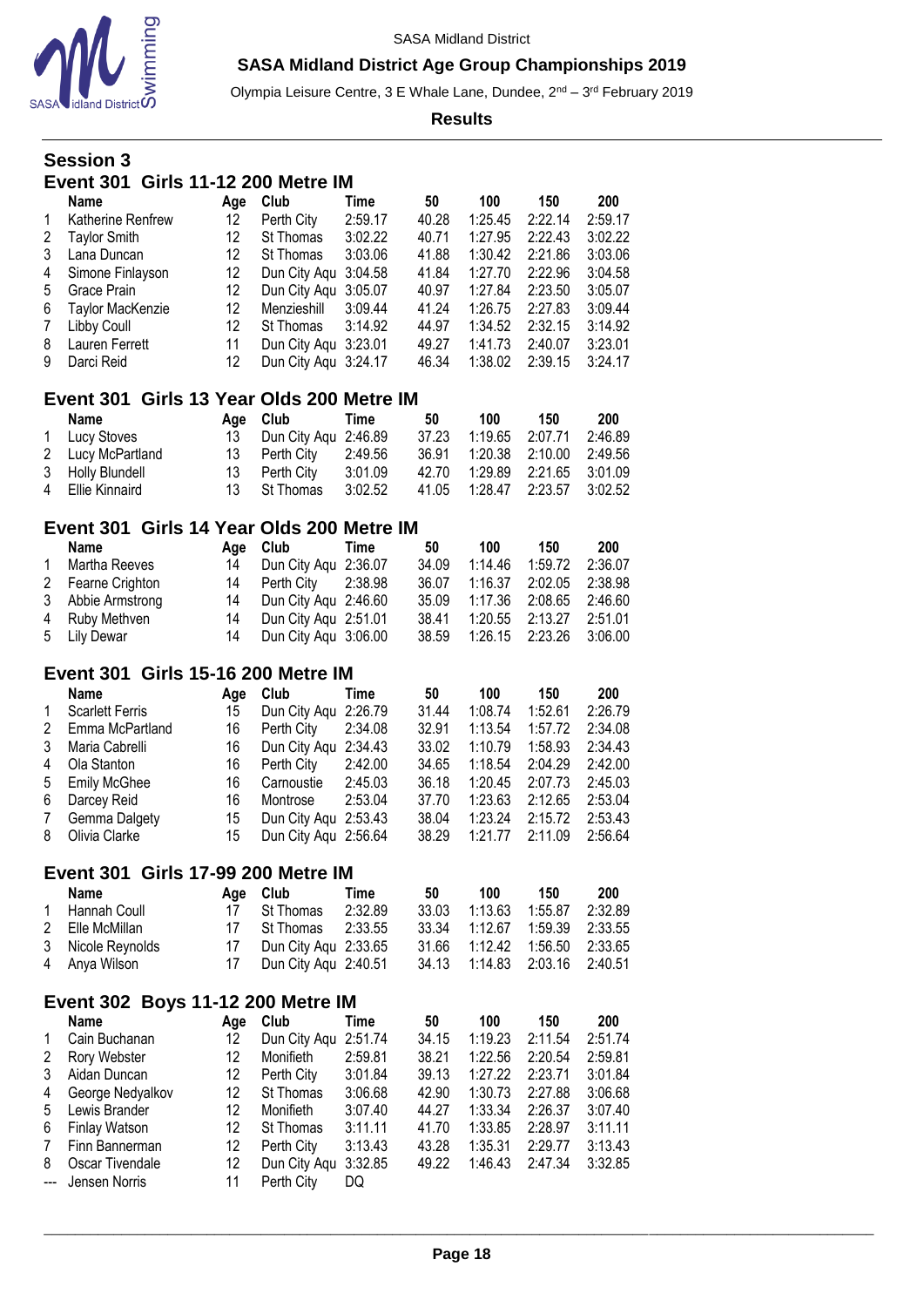

Olympia Leisure Centre, 3 E Whale Lane, Dundee, 2<sup>nd</sup> – 3<sup>rd</sup> February 2019

**Results**

# **Session 3 Event 301 Girls 11-12 200 Metre IM**

|                 | Name                | Aae | Club                 | Time    | 50    | 100     | 150     | 200     |
|-----------------|---------------------|-----|----------------------|---------|-------|---------|---------|---------|
| $\mathbf{1}$    | Katherine Renfrew   | 12  | Perth City           | 2:59.17 | 40.28 | 1:25.45 | 2:22.14 | 2:59.17 |
| 2               | <b>Taylor Smith</b> | 12  | St Thomas            | 3:02.22 | 40.71 | 1:27.95 | 2:22.43 | 3:02.22 |
| 3               | Lana Duncan         | 12  | St Thomas            | 3:03.06 | 41.88 | 1:30.42 | 2:21.86 | 3:03.06 |
| 4               | Simone Finlayson    | 12  | Dun City Agu 3:04.58 |         | 41.84 | 1:27.70 | 2:22.96 | 3:04.58 |
| 5               | Grace Prain         | 12  | Dun City Agu 3:05.07 |         | 40.97 | 1:27.84 | 2:23.50 | 3:05.07 |
| 6               | Taylor MacKenzie    | 12  | Menzieshill          | 3:09.44 | 41.24 | 1:26.75 | 2:27.83 | 3:09.44 |
| $7\phantom{.0}$ | Libby Coull         | 12  | St Thomas            | 3:14.92 | 44.97 | 1:34.52 | 2:32.15 | 3:14.92 |
| 8               | Lauren Ferrett      | 11  | Dun City Aqu 3:23.01 |         | 49.27 | 1:41.73 | 2:40.07 | 3:23.01 |
| 9               | Darci Reid          | 12  | Dun City Agu 3:24.17 |         | 46.34 | 1:38.02 | 2:39.15 | 3:24.17 |

## **Event 301 Girls 13 Year Olds 200 Metre IM**

| Name              |     | Age Club Time         |         | 50    | 100             | 150                              | 200     |
|-------------------|-----|-----------------------|---------|-------|-----------------|----------------------------------|---------|
| 1 Lucy Stoves     | 13. | Dun City Agu 2:46.89  |         | 37.23 | 1:19.65 2:07.71 |                                  | 2:46.89 |
| 2 Lucy McPartland |     | 13 Perth City 2:49.56 |         |       |                 | 36.91  1:20.38  2:10.00  2:49.56 |         |
| 3 Holly Blundell  |     | 13 Perth City         | 3:01.09 |       |                 | 42.70 1:29.89 2:21.65 3:01.09    |         |
| 4 Ellie Kinnaird  |     | 13 St Thomas 3:02.52  |         |       |                 | 41.05  1:28.47  2:23.57  3:02.52 |         |

## **Event 301 Girls 14 Year Olds 200 Metre IM**

|              | <b>Name</b>       | Age Club                | Time | 50    | 100     | 150                              | 200 |
|--------------|-------------------|-------------------------|------|-------|---------|----------------------------------|-----|
| $\mathbf{1}$ | Martha Reeves     | 14 Dun City Agu 2:36.07 |      | 34.09 | 1:14.46 | 1:59.72 2:36.07                  |     |
|              | 2 Fearne Crighton | 14 Perth City 2:38.98   |      |       |         | 36.07 1:16.37 2:02.05 2:38.98    |     |
|              | 3 Abbie Armstrong | 14 Dun City Agu 2:46.60 |      |       |         | 35.09  1:17.36  2:08.65  2:46.60 |     |
|              | 4 Ruby Methven    | 14 Dun City Agu 2:51.01 |      | 38.41 |         | 1:20.55 2:13.27 2:51.01          |     |
|              | 5 Lily Dewar      | 14 Dun City Agu 3:06.00 |      |       |         | 38.59 1:26.15 2:23.26 3:06.00    |     |

### **Event 301 Girls 15-16 200 Metre IM**

|              | Name                   | Age | Club                 | Time    | 50    | 100     | 150     | 200     |
|--------------|------------------------|-----|----------------------|---------|-------|---------|---------|---------|
| $\mathbf{1}$ | <b>Scarlett Ferris</b> | 15  | Dun City Agu 2:26.79 |         | 31.44 | 1:08.74 | 1:52.61 | 2:26.79 |
| 2            | Emma McPartland        | 16  | Perth City           | 2:34.08 | 32.91 | 1:13.54 | 1:57.72 | 2:34.08 |
| 3            | Maria Cabrelli         | 16  | Dun City Agu 2:34.43 |         | 33.02 | 1:10.79 | 1:58.93 | 2:34.43 |
| 4            | Ola Stanton            | 16  | Perth City           | 2:42.00 | 34.65 | 1:18.54 | 2:04.29 | 2:42.00 |
|              | 5 Emily McGhee         | 16  | Carnoustie           | 2:45.03 | 36.18 | 1:20.45 | 2:07.73 | 2:45.03 |
| 6            | Darcey Reid            | 16  | Montrose             | 2:53.04 | 37.70 | 1:23.63 | 2:12.65 | 2:53.04 |
| $7^{\circ}$  | Gemma Dalgety          | 15  | Dun City Aqu 2:53.43 |         | 38.04 | 1:23.24 | 2:15.72 | 2:53.43 |
| 8            | Olivia Clarke          | 15  | Dun City Agu 2:56.64 |         | 38.29 | 1:21.77 | 2:11.09 | 2:56.64 |

### **Event 301 Girls 17-99 200 Metre IM**

| Name              |    | Age Club              | Time    | 50    | 100                   | 150 | 200     |
|-------------------|----|-----------------------|---------|-------|-----------------------|-----|---------|
| 1 Hannah Coull    | 17 | St Thomas             | 2:32.89 | 33.03 | 1:13.63  1:55.87      |     | 2:32.89 |
| 2 Elle McMillan   | 17 | $St$ Thomas $2:33.55$ |         |       | 33.34 1:12.67 1:59.39 |     | 2:33.55 |
| 3 Nicole Reynolds |    | Dun City Agu 2:33.65  |         |       |                       |     | 2:33.65 |
| 4 Anya Wilson     |    | Dun City Aqu 2:40.51  |         |       |                       |     |         |

## **Event 302 Boys 11-12 200 Metre IM**

|   | <b>Name</b>       | Aae | Club                 | Time    | 50    | 100     | 150     | 200     |
|---|-------------------|-----|----------------------|---------|-------|---------|---------|---------|
| 1 | Cain Buchanan     | 12  | Dun City Aqu 2:51.74 |         | 34.15 | 1:19.23 | 2:11.54 | 2:51.74 |
| 2 | Rory Webster      | 12  | Monifieth            | 2:59.81 | 38.21 | 1:22.56 | 2:20.54 | 2:59.81 |
| 3 | Aidan Duncan      | 12  | Perth City           | 3:01.84 | 39.13 | 1:27.22 | 2:23.71 | 3:01.84 |
| 4 | George Nedyalkov  | 12  | St Thomas            | 3:06.68 | 42.90 | 1:30.73 | 2:27.88 | 3:06.68 |
| 5 | Lewis Brander     | 12  | Monifieth            | 3:07.40 | 44.27 | 1:33.34 | 2:26.37 | 3:07.40 |
| 6 | Finlay Watson     | 12  | St Thomas            | 3:11.11 | 41.70 | 1:33.85 | 2:28.97 | 3:11.11 |
| 7 | Finn Bannerman    | 12  | Perth City           | 3:13.43 | 43.28 | 1:35.31 | 2:29.77 | 3:13.43 |
| 8 | Oscar Tivendale   | 12  | Dun City Aqu 3:32.85 |         | 49.22 | 1:46.43 | 2:47.34 | 3:32.85 |
|   | --- Jensen Norris | 11  | Perth City           | DQ      |       |         |         |         |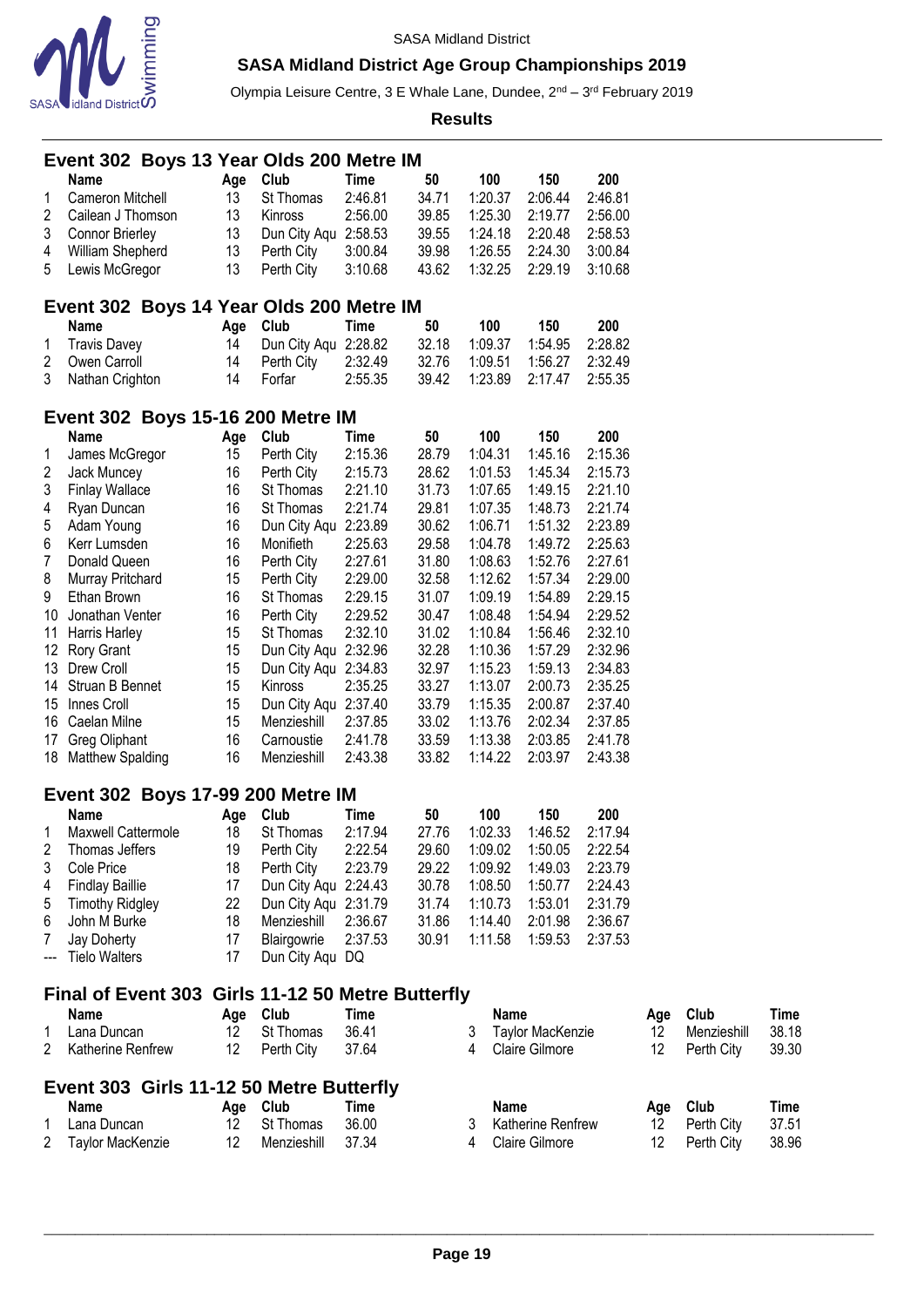

Olympia Leisure Centre, 3 E Whale Lane, Dundee, 2<sup>nd</sup> – 3<sup>rd</sup> February 2019

|                  |                                           |  |          | Event 302 Boys 13 Year Olds 200 Metre IM          |                    |                |   |                    |                         |                    |     |             |             |
|------------------|-------------------------------------------|--|----------|---------------------------------------------------|--------------------|----------------|---|--------------------|-------------------------|--------------------|-----|-------------|-------------|
|                  | Name                                      |  | Age      | Club                                              | Time               | 50             |   | 100                | 150                     | 200                |     |             |             |
| 1                | Cameron Mitchell                          |  | 13       | St Thomas                                         | 2:46.81            | 34.71          |   | 1:20.37            | 2:06.44                 | 2:46.81            |     |             |             |
| 2                | Cailean J Thomson                         |  | 13       | Kinross                                           | 2:56.00            | 39.85          |   | 1:25.30            | 2:19.77                 | 2:56.00            |     |             |             |
| 3                | <b>Connor Brierley</b>                    |  | 13       | Dun City Aqu 2:58.53                              |                    | 39.55          |   | 1:24.18            | 2:20.48                 | 2:58.53            |     |             |             |
| 4                | William Shepherd                          |  | 13       | Perth City                                        | 3:00.84            | 39.98          |   | 1:26.55            | 2:24.30                 | 3:00.84            |     |             |             |
| 5                | Lewis McGregor                            |  | 13       | Perth City                                        | 3:10.68            | 43.62          |   | 1:32.25            | 2:29.19                 | 3:10.68            |     |             |             |
|                  |                                           |  |          | Event 302 Boys 14 Year Olds 200 Metre IM          |                    |                |   |                    |                         |                    |     |             |             |
|                  | Name                                      |  | Age      | Club                                              | <b>Time</b>        | 50             |   | 100                | 150                     | 200                |     |             |             |
| 1                | <b>Travis Davey</b>                       |  | 14       | Dun City Aqu                                      | 2:28.82            | 32.18          |   | 1:09.37            | 1:54.95                 | 2:28.82            |     |             |             |
| 2                | Owen Carroll                              |  | 14       | Perth City                                        | 2:32.49            | 32.76          |   | 1:09.51            | 1:56.27                 | 2:32.49            |     |             |             |
| 3                | Nathan Crighton                           |  | 14       | Forfar                                            | 2:55.35            | 39.42          |   | 1:23.89            | 2:17.47                 | 2:55.35            |     |             |             |
|                  |                                           |  |          | Event 302 Boys 15-16 200 Metre IM                 |                    |                |   |                    |                         |                    |     |             |             |
|                  | Name                                      |  | Age      | Club                                              | Time               | 50             |   | 100                | 150                     | 200                |     |             |             |
| 1                | James McGregor                            |  | 15       | Perth City                                        | 2:15.36            | 28.79          |   | 1:04.31            | 1:45.16                 | 2:15.36            |     |             |             |
| 2                | Jack Muncey                               |  | 16       | Perth City                                        | 2:15.73            | 28.62          |   | 1:01.53            | 1:45.34                 | 2:15.73            |     |             |             |
| 3                | <b>Finlay Wallace</b>                     |  | 16       | St Thomas                                         | 2:21.10            | 31.73          |   | 1:07.65            | 1:49.15                 | 2:21.10            |     |             |             |
| 4                | Ryan Duncan                               |  | 16       | St Thomas                                         | 2:21.74            | 29.81          |   | 1:07.35            | 1:48.73                 | 2:21.74            |     |             |             |
| 5                | Adam Young                                |  | 16       | Dun City Aqu                                      | 2:23.89            | 30.62          |   | 1:06.71            | 1:51.32                 | 2:23.89            |     |             |             |
| 6                | Kerr Lumsden                              |  | 16       | Monifieth                                         | 2:25.63            | 29.58          |   | 1:04.78            | 1:49.72                 | 2:25.63            |     |             |             |
| $\boldsymbol{7}$ | Donald Queen                              |  | 16       | Perth City                                        | 2:27.61            | 31.80          |   | 1:08.63            | 1:52.76                 | 2:27.61            |     |             |             |
| 8                | Murray Pritchard                          |  | 15       | Perth City                                        | 2:29.00            | 32.58          |   | 1:12.62            | 1:57.34                 | 2:29.00            |     |             |             |
| 9                | Ethan Brown                               |  | 16       | St Thomas                                         | 2:29.15            | 31.07          |   | 1:09.19            | 1:54.89                 | 2:29.15            |     |             |             |
| 10               | Jonathan Venter                           |  | 16       | Perth City<br>St Thomas                           | 2:29.52<br>2:32.10 | 30.47          |   | 1:08.48<br>1:10.84 | 1:54.94<br>1:56.46      | 2:29.52            |     |             |             |
| 11<br>12         | <b>Harris Harley</b><br><b>Rory Grant</b> |  | 15<br>15 | Dun City Aqu 2:32.96                              |                    | 31.02<br>32.28 |   | 1:10.36            | 1:57.29                 | 2:32.10<br>2:32.96 |     |             |             |
|                  | 13 Drew Croll                             |  | 15       | Dun City Aqu 2:34.83                              |                    | 32.97          |   | 1:15.23            | 1:59.13                 | 2:34.83            |     |             |             |
| 14               | Struan B Bennet                           |  | 15       | Kinross                                           | 2:35.25            | 33.27          |   | 1:13.07            | 2:00.73                 | 2:35.25            |     |             |             |
| 15               | Innes Croll                               |  | 15       | Dun City Aqu 2:37.40                              |                    | 33.79          |   | 1:15.35            | 2:00.87                 | 2:37.40            |     |             |             |
| 16               | Caelan Milne                              |  | 15       | Menzieshill                                       | 2:37.85            | 33.02          |   | 1:13.76            | 2:02.34                 | 2:37.85            |     |             |             |
| 17               | Greg Oliphant                             |  | 16       | Carnoustie                                        | 2:41.78            | 33.59          |   | 1:13.38            | 2:03.85                 | 2:41.78            |     |             |             |
|                  | 18 Matthew Spalding                       |  | 16       | Menzieshill                                       | 2:43.38            | 33.82          |   | 1:14.22            | 2:03.97                 | 2:43.38            |     |             |             |
|                  |                                           |  |          | <b>Event 302 Boys 17-99 200 Metre IM</b>          |                    |                |   |                    |                         |                    |     |             |             |
|                  | <b>Name</b>                               |  | Age      | Club                                              | Time               | 50             |   | 100                | 150                     | 200                |     |             |             |
| 1                | Maxwell Cattermole                        |  | 18       | St Thomas                                         | 2:17.94            | 27.76          |   | 1:02.33            | 1:46.52                 | 2:17.94            |     |             |             |
| 2                | Thomas Jeffers                            |  | 19       | Perth City                                        | 2:22.54            | 29.60          |   | 1:09.02            | 1:50.05                 | 2:22.54            |     |             |             |
| 3                | <b>Cole Price</b>                         |  | 18       | Perth City                                        | 2:23.79            | 29.22          |   | 1:09.92            | 1:49.03                 | 2:23.79            |     |             |             |
| 4                | <b>Findlay Baillie</b>                    |  | 17       | Dun City Aqu 2:24.43                              |                    | 30.78          |   | 1:08.50            | 1:50.77                 | 2:24.43            |     |             |             |
| 5                | <b>Timothy Ridgley</b>                    |  | 22       | Dun City Aqu 2:31.79                              |                    | 31.74          |   | 1:10.73            | 1:53.01                 | 2:31.79            |     |             |             |
| 6                | John M Burke                              |  | 18       | Menzieshill                                       | 2:36.67            | 31.86          |   | 1:14.40            | 2:01.98                 | 2:36.67            |     |             |             |
| 7                | Jay Doherty                               |  | 17       | Blairgowrie                                       | 2:37.53            | 30.91          |   | 1:11.58            | 1:59.53                 | 2:37.53            |     |             |             |
|                  | <b>Tielo Walters</b>                      |  | 17       | Dun City Aqu DQ                                   |                    |                |   |                    |                         |                    |     |             |             |
|                  |                                           |  |          | Final of Event 303 Girls 11-12 50 Metre Butterfly |                    |                |   |                    |                         |                    |     |             |             |
|                  | <b>Name</b>                               |  | Age      | Club                                              | <b>Time</b>        |                |   | <b>Name</b>        |                         |                    | Age | Club        | <b>Time</b> |
| 1                | Lana Duncan                               |  | 12       | St Thomas                                         | 36.41              |                | 3 |                    | <b>Taylor MacKenzie</b> |                    | 12  | Menzieshill | 38.18       |
| 2                | Katherine Renfrew                         |  | 12       | Perth City                                        | 37.64              |                | 4 |                    | <b>Claire Gilmore</b>   |                    | 12  | Perth City  | 39.30       |
|                  |                                           |  |          | Event 303 Girls 11-12 50 Metre Butterfly          |                    |                |   |                    |                         |                    |     |             |             |
|                  | <b>Name</b>                               |  | Age      | Club                                              | <b>Time</b>        |                |   | <b>Name</b>        |                         |                    | Age | Club        | <b>Time</b> |
| 1                | Lana Duncan                               |  | 12       | St Thomas                                         | 36.00              |                | 3 |                    | Katherine Renfrew       |                    | 12  | Perth City  | 37.51       |
| 2                | Taylor MacKenzie                          |  | 12       | Menzieshill                                       | 37.34              |                | 4 |                    | <b>Claire Gilmore</b>   |                    | 12  | Perth City  | 38.96       |
|                  |                                           |  |          |                                                   |                    |                |   |                    |                         |                    |     |             |             |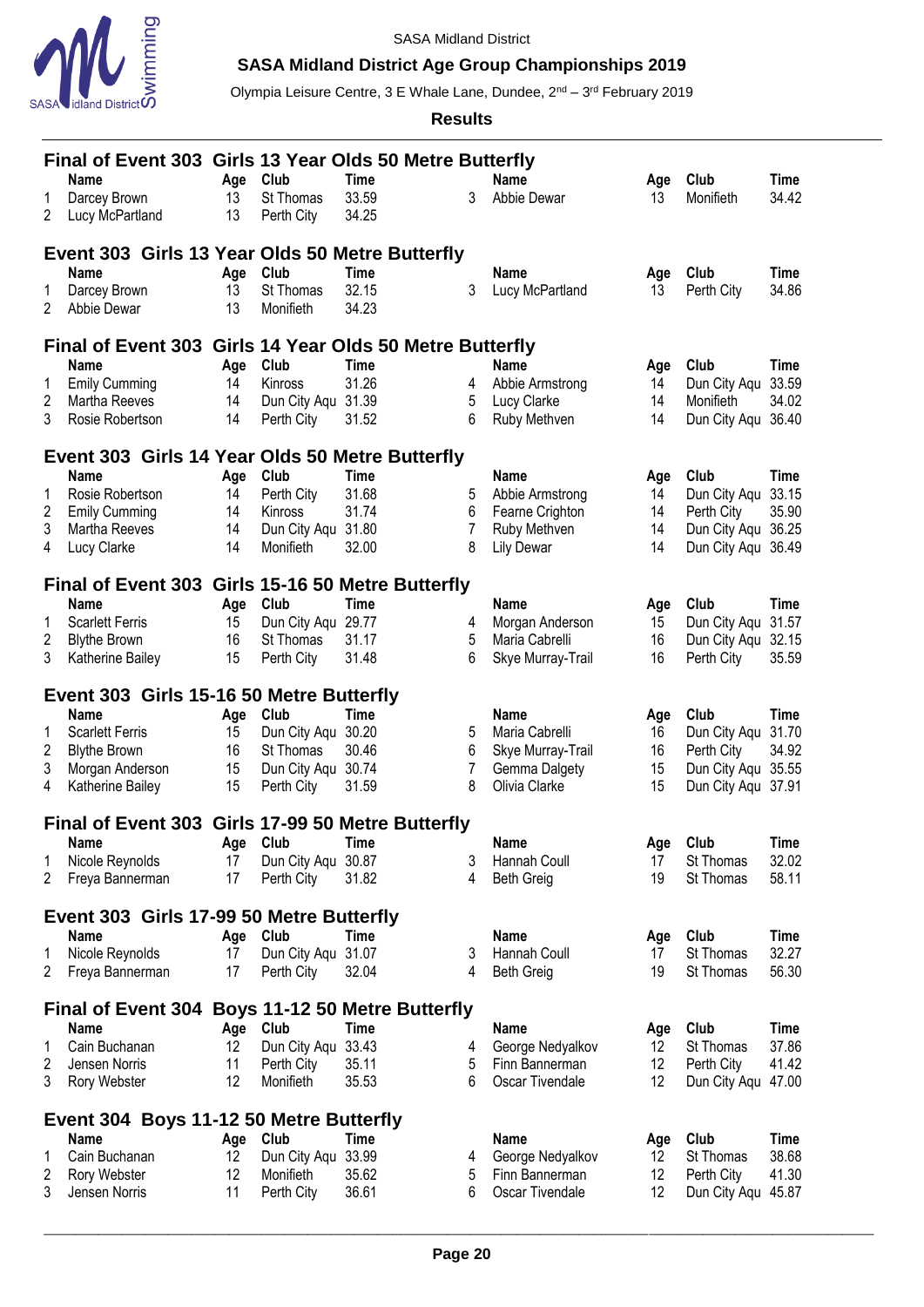

# **SASA Midland District Age Group Championships 2019**

Olympia Leisure Centre, 3 E Whale Lane, Dundee, 2<sup>nd</sup> – 3<sup>rd</sup> February 2019

|                | Final of Event 303 Girls 13 Year Olds 50 Metre Butterfly |          |                                      |                |        |                                |          |                                          |             |  |  |
|----------------|----------------------------------------------------------|----------|--------------------------------------|----------------|--------|--------------------------------|----------|------------------------------------------|-------------|--|--|
|                | Name                                                     | Age      | Club                                 | Time           |        | <b>Name</b>                    | Age      | Club                                     | Time        |  |  |
| 1              | Darcey Brown                                             | 13       | St Thomas                            | 33.59          | 3      | Abbie Dewar                    | 13       | Monifieth                                | 34.42       |  |  |
| 2              | Lucy McPartland                                          | 13       | Perth City                           | 34.25          |        |                                |          |                                          |             |  |  |
|                | Event 303 Girls 13 Year Olds 50 Metre Butterfly          |          |                                      |                |        |                                |          |                                          |             |  |  |
|                | <b>Name</b>                                              | Age      | Club                                 | Time           |        | <b>Name</b>                    | Age      | Club                                     | <b>Time</b> |  |  |
| 1              | Darcey Brown                                             | 13       | St Thomas                            | 32.15          | 3      | Lucy McPartland                | 13       | Perth City                               | 34.86       |  |  |
| 2              | Abbie Dewar                                              | 13       | Monifieth                            | 34.23          |        |                                |          |                                          |             |  |  |
|                | Final of Event 303 Girls 14 Year Olds 50 Metre Butterfly |          |                                      |                |        |                                |          |                                          |             |  |  |
|                | Name                                                     | Age      | Club                                 | <b>Time</b>    |        | <b>Name</b>                    | Age      | Club                                     | <b>Time</b> |  |  |
| 1              | <b>Emily Cumming</b>                                     | 14       | Kinross                              | 31.26          | 4      | Abbie Armstrong                | 14       | Dun City Aqu                             | 33.59       |  |  |
| 2              | Martha Reeves                                            | 14       | Dun City Aqu                         | 31.39          | 5      | Lucy Clarke                    | 14       | Monifieth                                | 34.02       |  |  |
| 3              | Rosie Robertson                                          | 14       | Perth City                           | 31.52          | 6      | Ruby Methven                   | 14       | Dun City Aqu                             | 36.40       |  |  |
|                | Event 303 Girls 14 Year Olds 50 Metre Butterfly          |          |                                      |                |        |                                |          |                                          |             |  |  |
|                | Name                                                     | Age      | Club                                 | <b>Time</b>    |        | <b>Name</b>                    | Age      | Club                                     | <b>Time</b> |  |  |
| 1              | Rosie Robertson                                          | 14       | Perth City                           | 31.68          | 5      | Abbie Armstrong                | 14       | Dun City Aqu                             | 33.15       |  |  |
| $\overline{c}$ | <b>Emily Cumming</b>                                     | 14       | Kinross                              | 31.74          | 6      | Fearne Crighton                | 14       | Perth City                               | 35.90       |  |  |
| 3              | Martha Reeves                                            | 14       | Dun City Aqu                         | 31.80          | 7      | Ruby Methven                   | 14       | Dun City Aqu 36.25                       |             |  |  |
| 4              | Lucy Clarke                                              | 14       | Monifieth                            | 32.00          | 8      | <b>Lily Dewar</b>              | 14       | Dun City Aqu 36.49                       |             |  |  |
|                | Final of Event 303 Girls 15-16 50 Metre Butterfly        |          |                                      |                |        |                                |          |                                          |             |  |  |
|                | Name                                                     | Age      | Club                                 | <b>Time</b>    |        | <b>Name</b>                    | Age      | Club                                     | <b>Time</b> |  |  |
| 1              | <b>Scarlett Ferris</b>                                   | 15       | Dun City Aqu                         | 29.77          | 4      | Morgan Anderson                | 15       | Dun City Aqu                             | 31.57       |  |  |
| 2              | <b>Blythe Brown</b>                                      | 16       | St Thomas                            | 31.17          | 5      | Maria Cabrelli                 | 16       | Dun City Aqu                             | 32.15       |  |  |
| 3              | Katherine Bailey                                         | 15       | Perth City                           | 31.48          | 6      | Skye Murray-Trail              | 16       | Perth City                               | 35.59       |  |  |
|                | Event 303 Girls 15-16 50 Metre Butterfly                 |          |                                      |                |        |                                |          |                                          |             |  |  |
|                | Name                                                     | Age      | Club                                 | <b>Time</b>    |        | <b>Name</b>                    | Age      | Club                                     | <b>Time</b> |  |  |
| 1              | <b>Scarlett Ferris</b>                                   | 15       | Dun City Aqu                         | 30.20          | 5      | Maria Cabrelli                 | 16       | Dun City Aqu                             | 31.70       |  |  |
| 2              | <b>Blythe Brown</b>                                      | 16       | St Thomas                            | 30.46          |        |                                | 16       | Perth City                               | 34.92       |  |  |
|                |                                                          |          |                                      |                | 6      | Skye Murray-Trail              |          |                                          |             |  |  |
| 3<br>4         | Morgan Anderson<br>Katherine Bailey                      | 15<br>15 | Dun City Aqu<br>Perth City           | 30.74<br>31.59 | 7<br>8 | Gemma Dalgety<br>Olivia Clarke | 15<br>15 | Dun City Aqu 35.55<br>Dun City Aqu 37.91 |             |  |  |
|                |                                                          |          |                                      |                |        |                                |          |                                          |             |  |  |
|                | Final of Event 303 Girls 17-99 50 Metre Butterfly        |          |                                      |                |        |                                |          |                                          |             |  |  |
|                | Name                                                     | Age      | Club                                 | Time           |        | <b>Name</b>                    | Age      | Club                                     | Time        |  |  |
| 1              | Nicole Reynolds                                          | 17       | Dun City Aqu                         | 30.87          | 3      | Hannah Coull                   | 17       | St Thomas                                | 32.02       |  |  |
| 2              | Freya Bannerman                                          | 17       | Perth City                           | 31.82          | 4      | <b>Beth Greig</b>              | 19       | St Thomas                                | 58.11       |  |  |
|                | Event 303 Girls 17-99 50 Metre Butterfly                 |          |                                      |                |        |                                |          |                                          |             |  |  |
|                | <b>Name</b>                                              | Age      | Club                                 | Time           |        | <b>Name</b>                    | Age      | Club                                     | <b>Time</b> |  |  |
| 1              | Nicole Reynolds                                          | 17       | Dun City Aqu                         | 31.07          | 3      | <b>Hannah Coull</b>            | 17       | St Thomas                                | 32.27       |  |  |
| 2              | Freya Bannerman                                          | 17       | Perth City                           | 32.04          | 4      | <b>Beth Greig</b>              | 19       | St Thomas                                | 56.30       |  |  |
|                | <b>Final of Event 304</b>                                |          | <b>Boys 11-12 50 Metre Butterfly</b> |                |        |                                |          |                                          |             |  |  |
|                | Name                                                     | Age      | Club                                 | Time           |        | <b>Name</b>                    | Age      | Club                                     | <b>Time</b> |  |  |
| 1              | Cain Buchanan                                            | 12       | Dun City Aqu                         | 33.43          | 4      | George Nedyalkov               | 12       | St Thomas                                | 37.86       |  |  |
| 2              | Jensen Norris                                            | 11       | Perth City                           | 35.11          | 5      | Finn Bannerman                 | 12       | Perth City                               | 41.42       |  |  |
| 3              | Rory Webster                                             | 12       | Monifieth                            | 35.53          | 6      | Oscar Tivendale                | 12       | Dun City Aqu                             | 47.00       |  |  |
|                | Event 304 Boys 11-12 50 Metre Butterfly                  |          |                                      |                |        |                                |          |                                          |             |  |  |
|                | <b>Name</b>                                              | Age      | Club                                 | Time           |        | <b>Name</b>                    | Age      | Club                                     | <b>Time</b> |  |  |
| 1              | Cain Buchanan                                            | 12       | Dun City Aqu                         | 33.99          | 4      | George Nedyalkov               | 12       | St Thomas                                | 38.68       |  |  |
| 2              | Rory Webster                                             | 12       | Monifieth                            | 35.62          | 5      | Finn Bannerman                 | 12       | Perth City                               | 41.30       |  |  |
| 3              | Jensen Norris                                            | 11       | Perth City                           | 36.61          | 6      | Oscar Tivendale                | 12       | Dun City Aqu 45.87                       |             |  |  |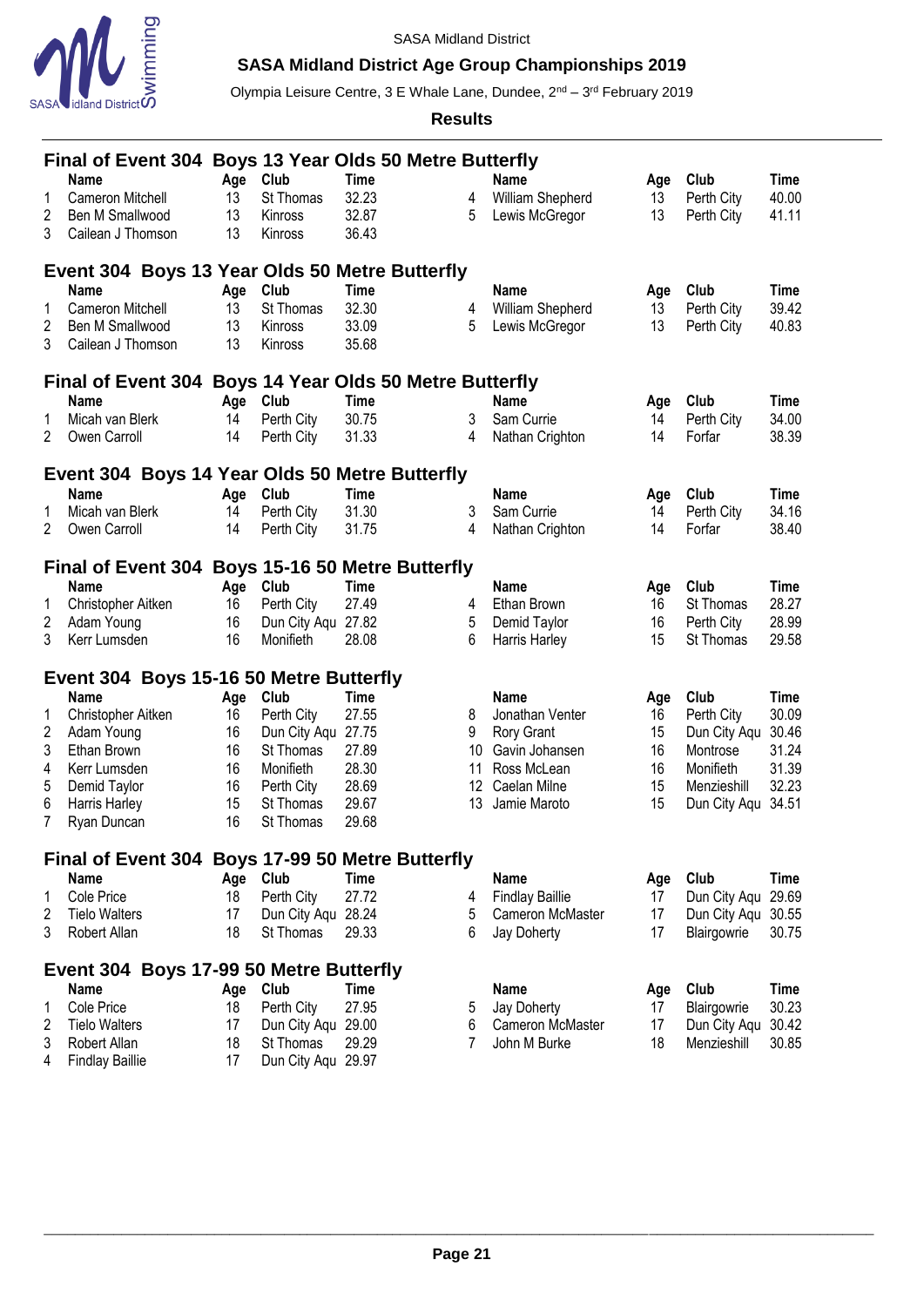

# **SASA Midland District Age Group Championships 2019**

Olympia Leisure Centre, 3 E Whale Lane, Dundee, 2<sup>nd</sup> – 3<sup>rd</sup> February 2019

|                         | Final of Event 304 Boys 13 Year Olds 50 Metre Butterfly |     |                    |             |    |                        |     |                    |             |  |  |
|-------------------------|---------------------------------------------------------|-----|--------------------|-------------|----|------------------------|-----|--------------------|-------------|--|--|
|                         | <b>Name</b>                                             | Age | Club               | <b>Time</b> |    | <b>Name</b>            | Age | Club               | <b>Time</b> |  |  |
| 1                       | Cameron Mitchell                                        | 13  | St Thomas          | 32.23       | 4  | William Shepherd       | 13  | Perth City         | 40.00       |  |  |
| 2                       | Ben M Smallwood                                         | 13  | Kinross            | 32.87       | 5  | Lewis McGregor         | 13  | Perth City         | 41.11       |  |  |
| 3                       | Cailean J Thomson                                       | 13  | Kinross            | 36.43       |    |                        |     |                    |             |  |  |
|                         | Event 304 Boys 13 Year Olds 50 Metre Butterfly          |     |                    |             |    |                        |     |                    |             |  |  |
|                         | <b>Name</b>                                             | Age | Club               | <b>Time</b> |    | <b>Name</b>            | Age | Club               | <b>Time</b> |  |  |
| 1                       | Cameron Mitchell                                        | 13  | St Thomas          | 32.30       | 4  | William Shepherd       | 13  | Perth City         | 39.42       |  |  |
| 2                       | Ben M Smallwood                                         | 13  | Kinross            | 33.09       | 5  | Lewis McGregor         | 13  | Perth City         | 40.83       |  |  |
| 3                       | Cailean J Thomson                                       | 13  | Kinross            | 35.68       |    |                        |     |                    |             |  |  |
|                         | Final of Event 304 Boys 14 Year Olds 50 Metre Butterfly |     |                    |             |    |                        |     |                    |             |  |  |
|                         | <b>Name</b>                                             | Age | Club               | <b>Time</b> |    | <b>Name</b>            | Age | Club               | <b>Time</b> |  |  |
| 1                       | Micah van Blerk                                         | 14  | Perth City         | 30.75       | 3  | Sam Currie             | 14  | Perth City         | 34.00       |  |  |
| 2                       | Owen Carroll                                            | 14  | Perth City         | 31.33       | 4  | Nathan Crighton        | 14  | Forfar             | 38.39       |  |  |
|                         | Event 304 Boys 14 Year Olds 50 Metre Butterfly          |     |                    |             |    |                        |     |                    |             |  |  |
|                         | <b>Name</b>                                             | Age | Club               | <b>Time</b> |    | <b>Name</b>            | Age | Club               | <b>Time</b> |  |  |
| 1                       | Micah van Blerk                                         | 14  | Perth City         | 31.30       | 3  | Sam Currie             | 14  | Perth City         | 34.16       |  |  |
| 2                       | Owen Carroll                                            | 14  | Perth City         | 31.75       | 4  | Nathan Crighton        | 14  | Forfar             | 38.40       |  |  |
|                         |                                                         |     |                    |             |    |                        |     |                    |             |  |  |
|                         | Final of Event 304 Boys 15-16 50 Metre Butterfly        |     |                    |             |    |                        |     |                    |             |  |  |
|                         | <b>Name</b>                                             | Age | Club               | <b>Time</b> |    | <b>Name</b>            | Age | Club               | <b>Time</b> |  |  |
| 1                       | Christopher Aitken                                      | 16  | Perth City         | 27.49       | 4  | Ethan Brown            | 16  | St Thomas          | 28.27       |  |  |
| $\overline{\mathbf{c}}$ | Adam Young                                              | 16  | Dun City Aqu       | 27.82       | 5  | Demid Taylor           | 16  | Perth City         | 28.99       |  |  |
| 3                       | Kerr Lumsden                                            | 16  | Monifieth          | 28.08       | 6  | Harris Harley          | 15  | St Thomas          | 29.58       |  |  |
|                         | Event 304 Boys 15-16 50 Metre Butterfly                 |     |                    |             |    |                        |     |                    |             |  |  |
|                         | <b>Name</b>                                             | Age | Club               | <b>Time</b> |    | <b>Name</b>            | Age | Club               | <b>Time</b> |  |  |
|                         | Christopher Aitken                                      | 16  | Perth City         | 27.55       | 8  | Jonathan Venter        | 16  | Perth City         | 30.09       |  |  |
| 2                       | Adam Young                                              | 16  | Dun City Aqu       | 27.75       | 9  | Rory Grant             | 15  | Dun City Aqu       | 30.46       |  |  |
| 3                       | Ethan Brown                                             | 16  | St Thomas          | 27.89       | 10 | Gavin Johansen         | 16  | Montrose           | 31.24       |  |  |
| 4                       | Kerr Lumsden                                            | 16  | Monifieth          | 28.30       | 11 | Ross McLean            | 16  | Monifieth          | 31.39       |  |  |
| 5                       | Demid Taylor                                            | 16  | Perth City         | 28.69       | 12 | Caelan Milne           | 15  | Menzieshill        | 32.23       |  |  |
| 6                       | Harris Harley                                           | 15  | St Thomas          | 29.67       | 13 | Jamie Maroto           | 15  | Dun City Aqu 34.51 |             |  |  |
| 7                       | Ryan Duncan                                             | 16  | St Thomas          | 29.68       |    |                        |     |                    |             |  |  |
|                         | Final of Event 304 Boys 17-99 50 Metre Butterfly        |     |                    |             |    |                        |     |                    |             |  |  |
|                         | <b>Name</b>                                             | Age | Club               | <b>Time</b> |    | <b>Name</b>            | Age | Club               | <b>Time</b> |  |  |
| 1                       | Cole Price                                              | 18  | Perth City         | 27.72       | 4  | <b>Findlay Baillie</b> | 17  | Dun City Aqu       | 29.69       |  |  |
| 2                       | <b>Tielo Walters</b>                                    | 17  | Dun City Aqu       | 28.24       | 5  | Cameron McMaster       | 17  | Dun City Aqu       | 30.55       |  |  |
| 3                       | Robert Allan                                            | 18  | St Thomas          | 29.33       | 6  | Jay Doherty            | 17  | Blairgowrie        | 30.75       |  |  |
|                         | Event 304 Boys 17-99 50 Metre Butterfly                 |     |                    |             |    |                        |     |                    |             |  |  |
|                         | <b>Name</b>                                             | Age | Club               | <b>Time</b> |    | <b>Name</b>            | Age | Club               | <b>Time</b> |  |  |
| 1                       | Cole Price                                              | 18  | Perth City         | 27.95       | 5  | Jay Doherty            | 17  | Blairgowrie        | 30.23       |  |  |
| 2                       | <b>Tielo Walters</b>                                    | 17  | Dun City Aqu 29.00 |             | 6  | Cameron McMaster       | 17  | Dun City Aqu       | 30.42       |  |  |
| 3                       | Robert Allan                                            | 18  | St Thomas          | 29.29       | 7  | John M Burke           | 18  | Menzieshill        | 30.85       |  |  |
| 4                       | <b>Findlay Baillie</b>                                  | 17  | Dun City Aqu 29.97 |             |    |                        |     |                    |             |  |  |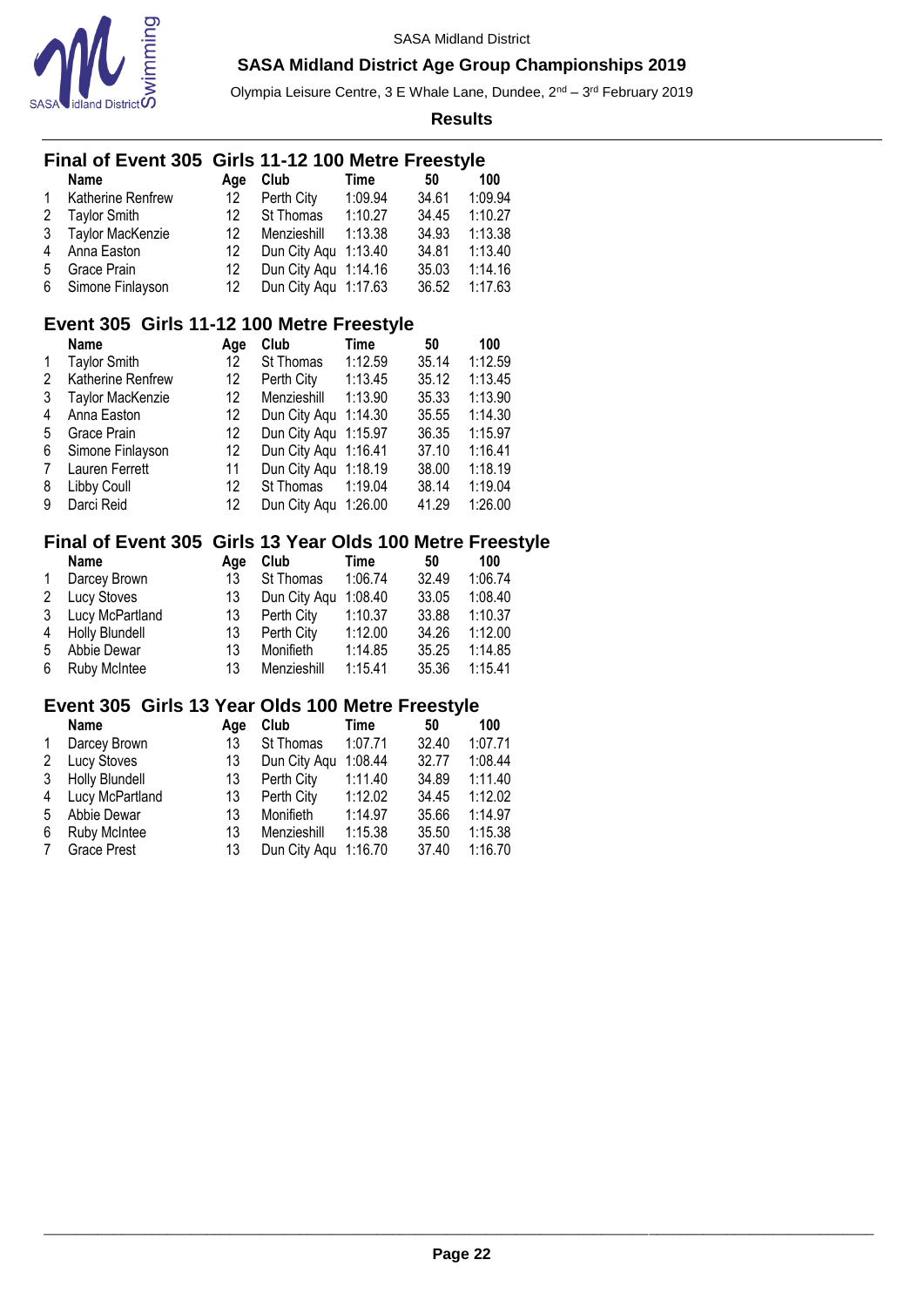

Olympia Leisure Centre, 3 E Whale Lane, Dundee, 2<sup>nd</sup> – 3<sup>rd</sup> February 2019

**Results**

|                         | Final of Event 305 Girls 11-12 100 Metre Freestyle |     |                      |             |       |                                        |
|-------------------------|----------------------------------------------------|-----|----------------------|-------------|-------|----------------------------------------|
|                         | <b>Name</b>                                        | Age | Club                 | <b>Time</b> | 50    | 100                                    |
| 1                       | Katherine Renfrew                                  | 12  | Perth City           | 1:09.94     | 34.61 | 1:09.94                                |
| $\overline{\mathbf{c}}$ | <b>Taylor Smith</b>                                | 12  | St Thomas            | 1:10.27     | 34.45 | 1:10.27                                |
| 3                       | Taylor MacKenzie                                   | 12  | Menzieshill          | 1:13.38     | 34.93 | 1:13.38                                |
| 4                       | Anna Easton                                        | 12  | Dun City Aqu         | 1:13.40     | 34.81 | 1:13.40                                |
| 5                       | Grace Prain                                        | 12  | Dun City Aqu         | 1:14.16     | 35.03 | 1:14.16                                |
| 6                       | Simone Finlayson                                   | 12  | Dun City Aqu         | 1:17.63     | 36.52 | 1:17.63                                |
|                         | Event 305 Girls 11-12 100 Metre Freestyle          |     |                      |             |       |                                        |
|                         | <b>Name</b>                                        | Age | Club                 | <b>Time</b> | 50    | 100                                    |
| 1                       | <b>Taylor Smith</b>                                | 12  | St Thomas            | 1:12.59     | 35.14 | 1:12.59                                |
| $\overline{\mathbf{c}}$ | Katherine Renfrew                                  | 12  | Perth City           | 1:13.45     | 35.12 | 1:13.45                                |
| 3                       | Taylor MacKenzie                                   | 12  | Menzieshill          | 1:13.90     | 35.33 | 1:13.90                                |
| 4                       | Anna Easton                                        | 12  | Dun City Aqu 1:14.30 |             | 35.55 | 1:14.30                                |
| 5                       | Grace Prain                                        | 12  | Dun City Aqu 1:15.97 |             | 36.35 | 1:15.97                                |
| 6                       | Simone Finlayson                                   | 12  | Dun City Aqu 1:16.41 |             | 37.10 | 1:16.41                                |
| 7                       | Lauren Ferrett                                     | 11  | Dun City Aqu         | 1:18.19     | 38.00 | 1:18.19                                |
| 8                       | Libby Coull                                        | 12  | St Thomas            | 1:19.04     | 38.14 | 1:19.04                                |
| 9                       | Darci Reid                                         | 12  | Dun City Aqu         | 1:26.00     | 41.29 | 1:26.00                                |
|                         | <b>Final of Event 305</b>                          |     |                      |             |       | Girls 13 Year Olds 100 Metre Freestyle |
|                         | Name                                               | Age | Club                 | Time        | 50    | 100                                    |
| 1                       | Darcey Brown                                       | 13  | St Thomas            | 1:06.74     | 32.49 | 1:06.74                                |
| $\overline{c}$          | Lucy Stoves                                        | 13  | Dun City Aqu         | 1:08.40     | 33.05 | 1:08.40                                |
| 3                       | Lucy McPartland                                    | 13  | Perth City           | 1:10.37     | 33.88 | 1:10.37                                |
| 4                       | <b>Holly Blundell</b>                              | 13  | Perth City           | 1:12.00     | 34.26 | 1:12.00                                |
| 5                       | Abbie Dewar                                        | 13  | Monifieth            | 1:14.85     | 35.25 | 1:14.85                                |
| 6                       | Ruby McIntee                                       | 13  | Menzieshill          | 1:15.41     | 35.36 | 1:15.41                                |
|                         |                                                    |     |                      |             |       |                                        |
|                         | Event 305 Girls 13 Year Olds 100 Metre Freestyle   |     |                      |             |       |                                        |
|                         | <b>Name</b>                                        | Age | Club                 | Time        | 50    | 100                                    |
| 1                       | Darcey Brown                                       | 13  | St Thomas            | 1:07.71     | 32.40 | 1:07.71                                |
| $\overline{c}$          | Lucy Stoves                                        | 13  | Dun City Aqu         | 1:08.44     | 32.77 | 1:08.44                                |
| 3                       | <b>Holly Blundell</b>                              | 13  | Perth City           | 1:11.40     | 34.89 | 1:11.40                                |
| $\overline{4}$          | Lucy McPartland                                    | 13  | Perth City           | 1:12.02     | 34.45 | 1:12.02                                |

 Abbie Dewar 13 Monifieth 1:14.97 35.66 1:14.97 Ruby McIntee 13 Menzieshill 1:15.38 35.50 1:15.38

13 Dun City Aqu 1:16.70 37.40 1:16.70

#### \_\_\_\_\_\_\_\_\_\_\_\_\_\_\_\_\_\_\_\_\_\_\_\_\_\_\_\_\_\_\_\_\_\_\_\_\_\_\_\_\_\_\_\_\_\_\_\_\_\_\_\_\_\_\_\_\_\_\_\_\_\_\_\_\_\_\_\_\_\_\_\_\_\_\_\_\_\_\_\_\_\_\_\_\_\_\_\_\_\_\_\_\_\_\_\_\_\_\_\_\_\_\_\_\_\_\_ **Page 22**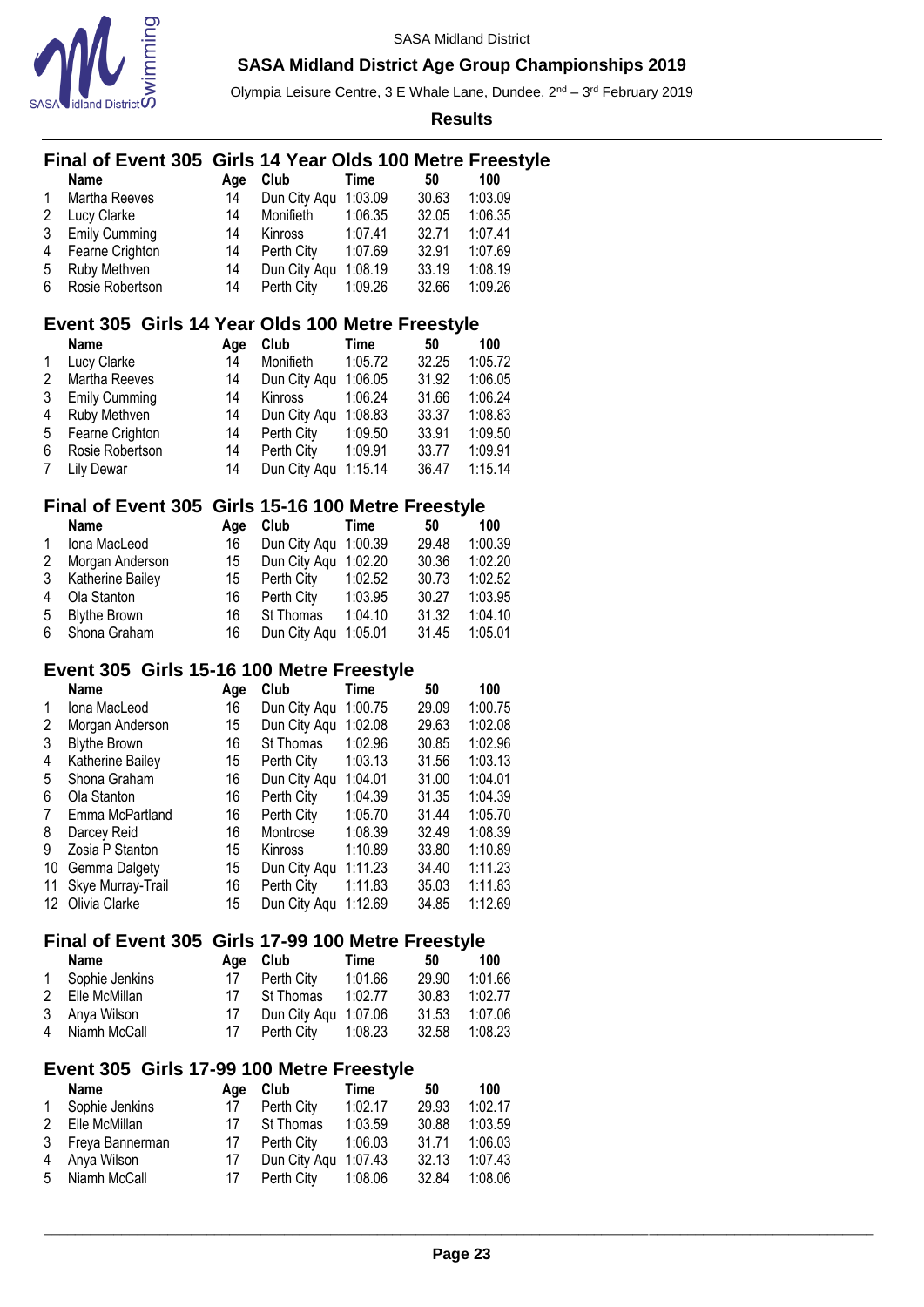

Olympia Leisure Centre, 3 E Whale Lane, Dundee, 2<sup>nd</sup> – 3<sup>rd</sup> February 2019

**Results**

#### **Final of Event 305 Girls 14 Year Olds 100 Metre Freestyle**

|    | <b>Name</b>          | Aae | Club         | Time    | 50    | 100     |
|----|----------------------|-----|--------------|---------|-------|---------|
| 1  | Martha Reeves        | 14  | Dun City Aqu | 1:03.09 | 30.63 | 1:03.09 |
| 2  | <b>Lucy Clarke</b>   | 14  | Monifieth    | 1:06.35 | 32.05 | 1:06.35 |
| 3  | <b>Emily Cumming</b> | 14  | Kinross      | 1:07.41 | 32.71 | 1:07.41 |
| 4  | Fearne Crighton      | 14  | Perth City   | 1:07.69 | 32.91 | 1:07.69 |
| 5  | Ruby Methven         | 14  | Dun City Agu | 1:08.19 | 33.19 | 1:08.19 |
| 6. | Rosie Robertson      | 14  | Perth City   | 1:09.26 | 32.66 | 1:09.26 |

### **Event 305 Girls 14 Year Olds 100 Metre Freestyle**

|   | <b>Name</b>          | Aae | Club         | Time    | 50    | 100     |
|---|----------------------|-----|--------------|---------|-------|---------|
| 1 | Lucy Clarke          | 14  | Monifieth    | 1:05.72 | 32.25 | 1:05.72 |
| 2 | Martha Reeves        | 14  | Dun City Agu | 1:06.05 | 31.92 | 1:06.05 |
| 3 | <b>Emily Cumming</b> | 14  | Kinross      | 1:06.24 | 31.66 | 1:06.24 |
| 4 | Ruby Methven         | 14  | Dun City Agu | 1:08.83 | 33.37 | 1:08.83 |
| 5 | Fearne Crighton      | 14  | Perth City   | 1:09.50 | 33.91 | 1:09.50 |
| 6 | Rosie Robertson      | 14  | Perth City   | 1:09.91 | 33.77 | 1:09.91 |
| 7 | Lily Dewar           | 14  | Dun City Aqu | 1:15.14 | 36.47 | 1:15.14 |

### **Final of Event 305 Girls 15-16 100 Metre Freestyle**

|              | <b>Name</b>        | Aae | Club                 | Time    | 50    | 100     |
|--------------|--------------------|-----|----------------------|---------|-------|---------|
| $\mathbf{1}$ | lona MacLeod       | 16  | Dun City Agu 1:00.39 |         | 29.48 | 1:00.39 |
|              | 2 Morgan Anderson  | 15  | Dun City Agu 1:02.20 |         | 30.36 | 1:02.20 |
|              | 3 Katherine Bailey | 15  | Perth City           | 1:02.52 | 30.73 | 1:02.52 |
| 4            | Ola Stanton        | 16  | Perth City           | 1:03.95 | 30.27 | 1:03.95 |
|              | 5 Blythe Brown     | 16  | St Thomas            | 1:04.10 | 31.32 | 1:04.10 |
|              | 6 Shona Graham     | 16  | Dun City Aqu 1:05.01 |         | 31.45 | 1:05.01 |

## **Event 305 Girls 15-16 100 Metre Freestyle**

|    | <b>Name</b>         | Age | Club           | Time    | 50    | 100     |
|----|---------------------|-----|----------------|---------|-------|---------|
| 1  | Iona MacLeod        | 16  | Dun City Aqu   | 1:00.75 | 29.09 | 1:00.75 |
| 2  | Morgan Anderson     | 15  | Dun City Aqu   | 1:02.08 | 29.63 | 1:02.08 |
| 3  | <b>Blythe Brown</b> | 16  | St Thomas      | 1:02.96 | 30.85 | 1:02.96 |
| 4  | Katherine Bailey    | 15  | Perth City     | 1:03.13 | 31.56 | 1:03.13 |
| 5  | Shona Graham        | 16  | Dun City Aqu   | 1:04.01 | 31.00 | 1:04.01 |
| 6  | Ola Stanton         | 16  | Perth City     | 1:04.39 | 31.35 | 1:04.39 |
| 7  | Emma McPartland     | 16  | Perth City     | 1:05.70 | 31.44 | 1:05.70 |
| 8  | Darcey Reid         | 16  | Montrose       | 1:08.39 | 32.49 | 1:08.39 |
| 9  | Zosia P Stanton     | 15  | <b>Kinross</b> | 1:10.89 | 33.80 | 1:10.89 |
| 10 | Gemma Dalgety       | 15  | Dun City Aqu   | 1:11.23 | 34.40 | 1:11.23 |
| 11 | Skye Murray-Trail   | 16  | Perth City     | 1:11.83 | 35.03 | 1:11.83 |
|    | 12 Olivia Clarke    | 15  | Dun City Agu   | 1:12.69 | 34.85 | 1:12.69 |

### **Final of Event 305 Girls 17-99 100 Metre Freestyle**

| Name             |    | Age Club             | Time    | 50    | 100     |
|------------------|----|----------------------|---------|-------|---------|
| 1 Sophie Jenkins | 17 | Perth City           | 1:01.66 | 29.90 | 1:01.66 |
| 2 Elle McMillan  | 17 | St Thomas            | 1:02.77 | 30.83 | 1:02.77 |
| 3 Anya Wilson    | 17 | Dun City Agu 1:07.06 |         | 31.53 | 1:07.06 |
| 4 Niamh McCall   | 17 | Perth City           | 1:08.23 | 32.58 | 1:08.23 |

#### **Event 305 Girls 17-99 100 Metre Freestyle**

|              | Name              | Aae | Club                 | Time    | -50   | 100     |
|--------------|-------------------|-----|----------------------|---------|-------|---------|
| $\mathbf{1}$ | Sophie Jenkins    | 17  | Perth City           | 1:02.17 | 29.93 | 1:02.17 |
| 2            | Elle McMillan     | 17  | St Thomas            | 1:03.59 | 30.88 | 1:03.59 |
|              | 3 Freya Bannerman | 17  | Perth City           | 1:06.03 | 31.71 | 1:06.03 |
|              | 4 Anya Wilson     | 17  | Dun City Aqu 1:07.43 |         | 32.13 | 1:07.43 |
|              | 5 Niamh McCall    | 17  | Perth City 1:08.06   |         | 32.84 | 1:08.06 |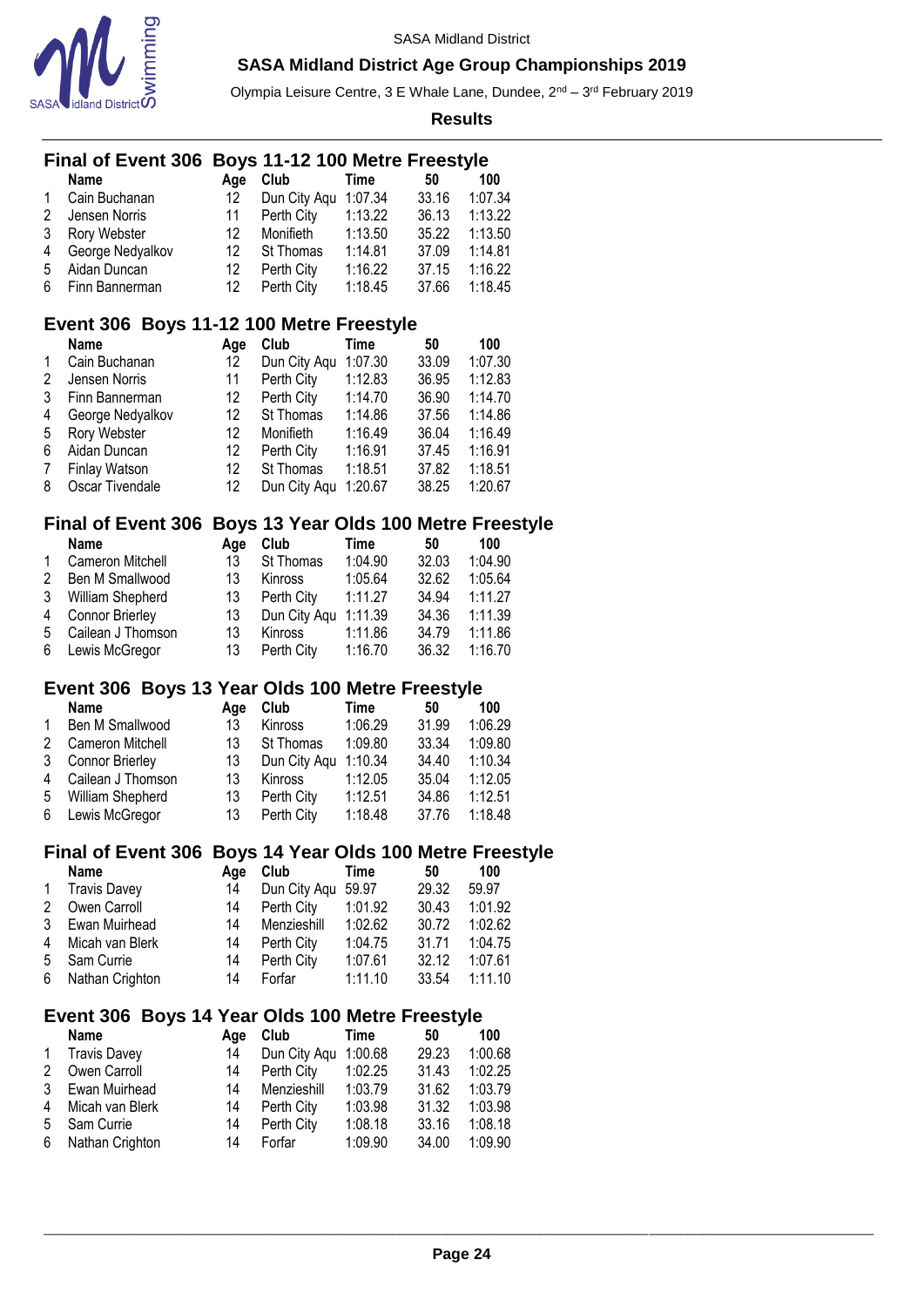



Olympia Leisure Centre, 3 E Whale Lane, Dundee, 2<sup>nd</sup> – 3<sup>rd</sup> February 2019

|   | Final of Event 306 Boys 11-12 100 Metre Freestyle        |     |                      |             |       |                                              |
|---|----------------------------------------------------------|-----|----------------------|-------------|-------|----------------------------------------------|
|   | <b>Name</b>                                              | Age | Club                 | <b>Time</b> | 50    | 100                                          |
| 1 | Cain Buchanan                                            | 12  | Dun City Aqu         | 1:07.34     | 33.16 | 1:07.34                                      |
| 2 | Jensen Norris                                            | 11  | Perth City           | 1:13.22     | 36.13 | 1:13.22                                      |
| 3 | Rory Webster                                             | 12  | Monifieth            | 1:13.50     | 35.22 | 1:13.50                                      |
| 4 | George Nedyalkov                                         | 12  | St Thomas            | 1:14.81     | 37.09 | 1:14.81                                      |
| 5 | Aidan Duncan                                             | 12  | Perth City           | 1:16.22     | 37.15 | 1:16.22                                      |
| 6 | Finn Bannerman                                           | 12  | Perth City           | 1:18.45     | 37.66 | 1:18.45                                      |
|   | Event 306 Boys 11-12 100 Metre Freestyle                 |     |                      |             |       |                                              |
|   | <b>Name</b>                                              | Age | Club                 | <b>Time</b> | 50    | 100                                          |
| 1 | Cain Buchanan                                            | 12  | Dun City Aqu         | 1:07.30     | 33.09 | 1:07.30                                      |
| 2 | Jensen Norris                                            | 11  | Perth City           | 1:12.83     | 36.95 | 1:12.83                                      |
| 3 | Finn Bannerman                                           | 12  | Perth City           | 1:14.70     | 36.90 | 1:14.70                                      |
| 4 | George Nedyalkov                                         | 12  | St Thomas            | 1:14.86     | 37.56 | 1:14.86                                      |
| 5 | Rory Webster                                             | 12  | Monifieth            | 1:16.49     | 36.04 | 1:16.49                                      |
| 6 | Aidan Duncan                                             | 12  | Perth City           | 1:16.91     | 37.45 | 1:16.91                                      |
| 7 | Finlay Watson                                            | 12  | St Thomas            | 1:18.51     | 37.82 | 1:18.51                                      |
| 8 | Oscar Tivendale                                          | 12  | Dun City Aqu 1:20.67 |             | 38.25 | 1:20.67                                      |
|   | Final of Event 306 Boys 13 Year Olds 100 Metre Freestyle |     |                      |             |       |                                              |
|   | Name                                                     | Age | Club                 | <b>Time</b> | 50    | 100                                          |
| 1 | Cameron Mitchell                                         | 13  | St Thomas            | 1:04.90     | 32.03 | 1:04.90                                      |
| 2 | Ben M Smallwood                                          | 13  | Kinross              | 1:05.64     | 32.62 | 1:05.64                                      |
| 3 | William Shepherd                                         | 13  | Perth City           | 1:11.27     | 34.94 | 1:11.27                                      |
| 4 | Connor Brierley                                          | 13  | Dun City Aqu 1:11.39 |             | 34.36 | 1:11.39                                      |
| 5 | Cailean J Thomson                                        | 13  | Kinross              | 1:11.86     | 34.79 | 1:11.86                                      |
| 6 | Lewis McGregor                                           | 13  | Perth City           | 1:16.70     | 36.32 | 1:16.70                                      |
|   | Event 306 Boys 13 Year Olds 100 Metre Freestyle          |     |                      |             |       |                                              |
|   | <b>Name</b>                                              | Age | Club                 | <b>Time</b> | 50    | 100                                          |
| 1 | Ben M Smallwood                                          | 13  | Kinross              | 1:06.29     | 31.99 | 1:06.29                                      |
| 2 | Cameron Mitchell                                         | 13  | St Thomas            | 1:09.80     | 33.34 | 1:09.80                                      |
| 3 | <b>Connor Brierley</b>                                   | 13  | Dun City Aqu 1:10.34 |             | 34.40 | 1:10.34                                      |
| 4 | Cailean J Thomson                                        | 13  | Kinross              | 1:12.05     | 35.04 | 1:12.05                                      |
| 5 | William Shepherd                                         | 13  | Perth City           | 1:12.51     | 34.86 | 1:12.51                                      |
| 6 | Lewis McGregor                                           | 13  | Perth City           | 1:18.48     | 37.76 | 1:18.48                                      |
|   | <b>Final of Event 306</b>                                |     |                      |             |       | <b>Boys 14 Year Olds 100 Metre Freestyle</b> |
|   | <b>Name</b>                                              | Age | Club                 | <b>Time</b> | 50    | 100                                          |
| 1 | <b>Travis Davey</b>                                      | 14  | Dun City Aqu 59.97   |             | 29.32 | 59.97                                        |
| 2 | Owen Carroll                                             | 14  | Perth City           | 1:01.92     | 30.43 | 1:01.92                                      |
| 3 | Ewan Muirhead                                            | 14  | Menzieshill          | 1:02.62     | 30.72 | 1:02.62                                      |
| 4 | Micah van Blerk                                          | 14  | Perth City           | 1:04.75     | 31.71 | 1:04.75                                      |
| 5 | Sam Currie                                               | 14  | Perth City           | 1:07.61     | 32.12 | 1:07.61                                      |
| 6 | Nathan Crighton                                          | 14  | Forfar               | 1:11.10     | 33.54 | 1:11.10                                      |
|   | Event 306 Boys 14 Year Olds 100 Metre Freestyle          |     |                      |             |       |                                              |
|   | <b>Name</b>                                              | Age | Club                 | <b>Time</b> | 50    | 100                                          |
| 1 | <b>Travis Davey</b>                                      | 14  | Dun City Aqu         | 1:00.68     | 29.23 | 1:00.68                                      |
| 2 | Owen Carroll                                             | 14  | Perth City           | 1:02.25     | 31.43 | 1:02.25                                      |
| 3 | Ewan Muirhead                                            | 14  | Menzieshill          | 1:03.79     | 31.62 | 1:03.79                                      |
| 4 | Micah van Blerk                                          | 14  | Perth City           | 1:03.98     | 31.32 | 1:03.98                                      |
| 5 | Sam Currie                                               | 14  | Perth City           | 1:08.18     | 33.16 | 1:08.18                                      |
| 6 | Nathan Crighton                                          | 14  | Forfar               | 1:09.90     | 34.00 | 1:09.90                                      |
|   |                                                          |     |                      |             |       |                                              |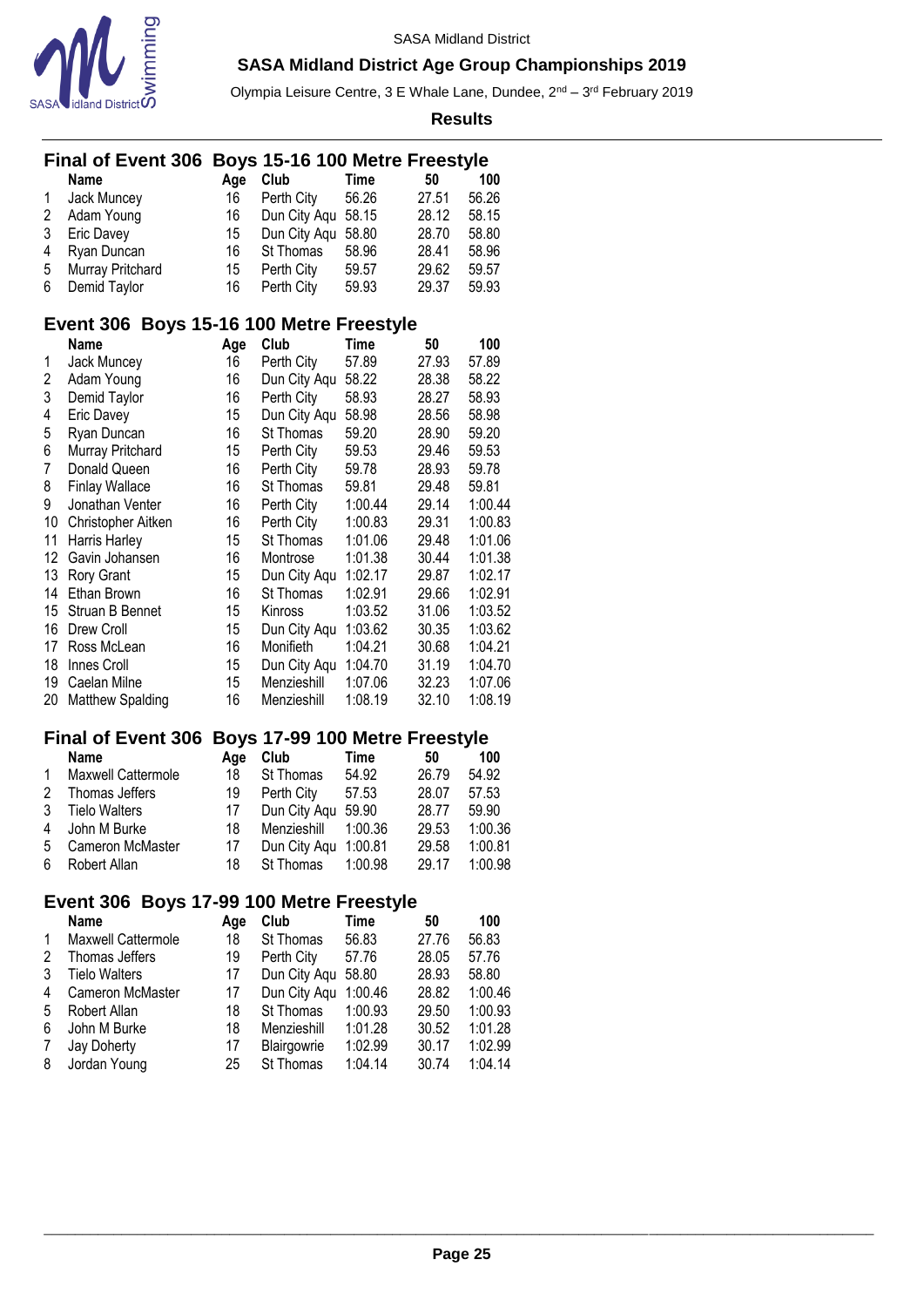



Olympia Leisure Centre, 3 E Whale Lane, Dundee, 2<sup>nd</sup> – 3<sup>rd</sup> February 2019

**Results**

| Final of Event 306 Boys 15-16 100 Metre Freestyle |                       |         |             |       |
|---------------------------------------------------|-----------------------|---------|-------------|-------|
| Name                                              | Age Club              | Time    | 50          | 100   |
| 1 Jack Muncev                                     | 16 Perth City         | - 56.26 | 27.51       | 56.26 |
| 2 Adam Young                                      | 16 Dun City Aqu 58.15 |         | 28.12 58.15 |       |

| 3 Eric Davey       | 15 Dun City Agu 58.80 |       | 28.70       | 58.80 |
|--------------------|-----------------------|-------|-------------|-------|
| 4 Ryan Duncan      | 16 St Thomas 58.96    |       | 28.41       | 58.96 |
| 5 Murray Pritchard | 15 Perth City         | 59.57 | 29.62       | 59.57 |
| 6 Demid Taylor     | 16 Perth City         | 59.93 | 29.37 59.93 |       |

# **Event 306 Boys 15-16 100 Metre Freestyle**

|    | Name                    | Age | Club         | Time    | 50    | 100     |
|----|-------------------------|-----|--------------|---------|-------|---------|
| 1  | Jack Muncey             | 16  | Perth City   | 57.89   | 27.93 | 57.89   |
| 2  | Adam Young              | 16  | Dun City Aqu | 58.22   | 28.38 | 58.22   |
| 3  | Demid Taylor            | 16  | Perth City   | 58.93   | 28.27 | 58.93   |
| 4  | Eric Davey              | 15  | Dun City Aqu | 58.98   | 28.56 | 58.98   |
| 5  | Ryan Duncan             | 16  | St Thomas    | 59.20   | 28.90 | 59.20   |
| 6  | Murray Pritchard        | 15  | Perth City   | 59.53   | 29.46 | 59.53   |
| 7  | Donald Queen            | 16  | Perth City   | 59.78   | 28.93 | 59.78   |
| 8  | <b>Finlay Wallace</b>   | 16  | St Thomas    | 59.81   | 29.48 | 59.81   |
| 9  | Jonathan Venter         | 16  | Perth City   | 1:00.44 | 29.14 | 1:00.44 |
| 10 | Christopher Aitken      | 16  | Perth City   | 1:00.83 | 29.31 | 1:00.83 |
| 11 | Harris Harley           | 15  | St Thomas    | 1:01.06 | 29.48 | 1:01.06 |
| 12 | Gavin Johansen          | 16  | Montrose     | 1:01.38 | 30.44 | 1:01.38 |
| 13 | Rory Grant              | 15  | Dun City Aqu | 1:02.17 | 29.87 | 1:02.17 |
| 14 | Ethan Brown             | 16  | St Thomas    | 1:02.91 | 29.66 | 1:02.91 |
| 15 | Struan B Bennet         | 15  | Kinross      | 1:03.52 | 31.06 | 1:03.52 |
| 16 | Drew Croll              | 15  | Dun City Aqu | 1:03.62 | 30.35 | 1:03.62 |
| 17 | Ross McLean             | 16  | Monifieth    | 1:04.21 | 30.68 | 1:04.21 |
| 18 | Innes Croll             | 15  | Dun City Aqu | 1:04.70 | 31.19 | 1:04.70 |
| 19 | Caelan Milne            | 15  | Menzieshill  | 1:07.06 | 32.23 | 1:07.06 |
| 20 | <b>Matthew Spalding</b> | 16  | Menzieshill  | 1:08.19 | 32.10 | 1:08.19 |

### **Final of Event 306 Boys 17-99 100 Metre Freestyle**

|              | <b>Name</b>             | Aae | Club                 | Time    | 50    | 100     |
|--------------|-------------------------|-----|----------------------|---------|-------|---------|
| $\mathbf{1}$ | Maxwell Cattermole      | 18  | St Thomas            | 54.92   | 26.79 | 54.92   |
| 2            | Thomas Jeffers          | 19  | Perth City           | 57.53   | 28.07 | 57.53   |
| 3            | <b>Tielo Walters</b>    | 17  | Dun City Agu 59.90   |         | 28.77 | 59.90   |
|              | 4 John M Burke          | 18  | Menzieshill          | 1:00.36 | 29.53 | 1:00.36 |
| 5            | <b>Cameron McMaster</b> | 17  | Dun City Agu 1:00.81 |         | 29.58 | 1:00.81 |
| 6            | Robert Allan            | 18  | St Thomas            | 1:00.98 | 29.17 | 1:00.98 |
|              |                         |     |                      |         |       |         |

#### **Event 306 Boys 17-99 100 Metre Freestyle**

|    | <b>Name</b>          | Aae | Club               | Time    | 50    | 100     |
|----|----------------------|-----|--------------------|---------|-------|---------|
| 1  | Maxwell Cattermole   | 18  | St Thomas          | 56.83   | 27.76 | 56.83   |
| 2  | Thomas Jeffers       | 19  | Perth City         | 57.76   | 28.05 | 57.76   |
| 3  | <b>Tielo Walters</b> | 17  | Dun City Aqu 58.80 |         | 28.93 | 58.80   |
| 4  | Cameron McMaster     | 17  | Dun City Agu       | 1:00.46 | 28.82 | 1:00.46 |
| .5 | Robert Allan         | 18  | St Thomas          | 1:00.93 | 29.50 | 1:00.93 |
| 6  | John M Burke         | 18  | Menzieshill        | 1:01.28 | 30.52 | 1:01.28 |
| 7  | Jay Doherty          | 17  | Blairgowrie        | 1:02.99 | 30.17 | 1:02.99 |
| 8  | Jordan Young         | 25  | St Thomas          | 1:04.14 | 30.74 | 1:04.14 |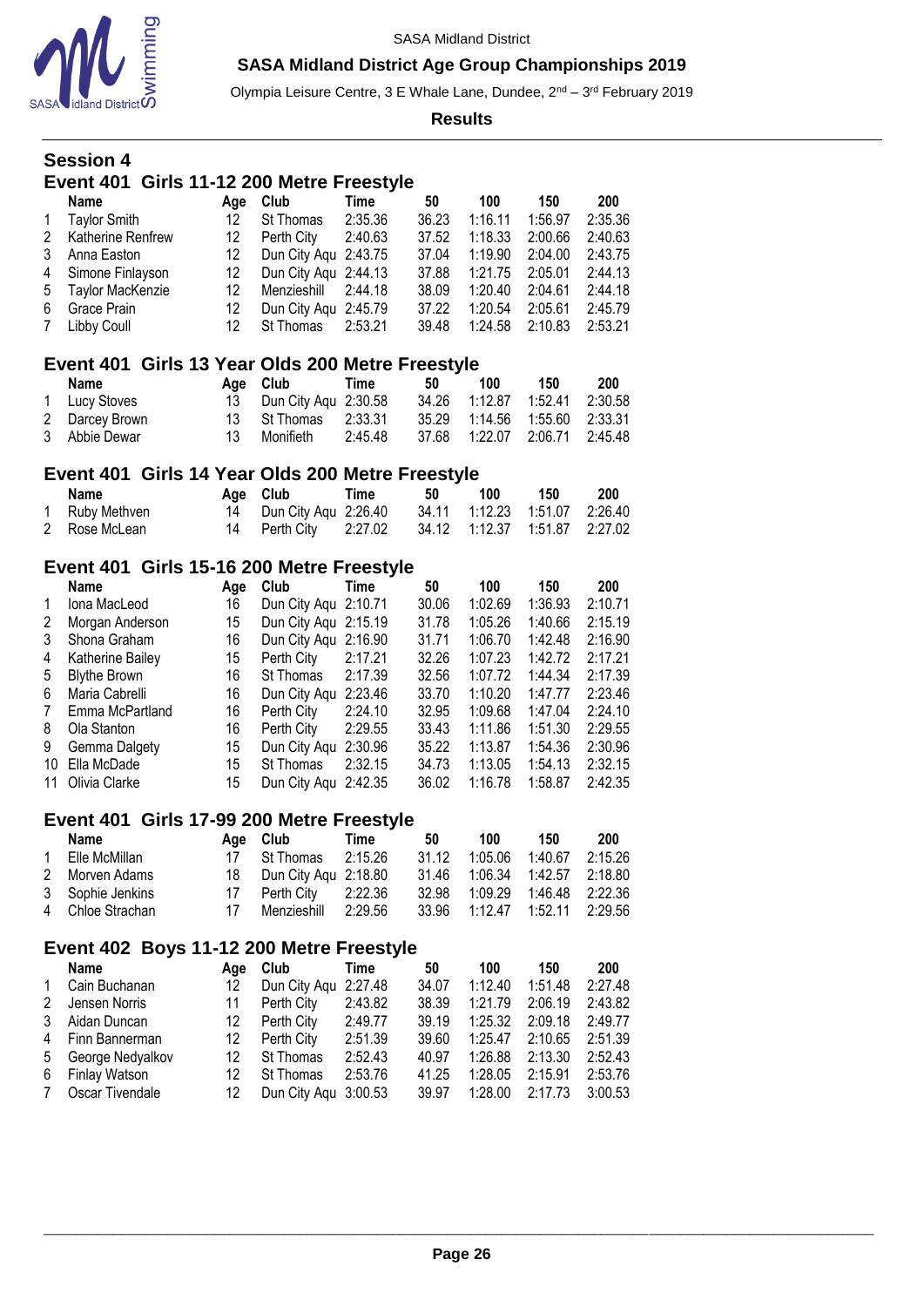

Olympia Leisure Centre, 3 E Whale Lane, Dundee, 2<sup>nd</sup> – 3<sup>rd</sup> February 2019

**Results**

#### **Session 4 Event 401 Girls 11-12 200 Metre Freestyle Name Age Club Time** 50 100 150 200<br>
Taylor Smith 12 St Thomas 2:35.36 36.23 1:16.11 1:56.97 2:35.3 Taylor Smith 12 St Thomas 2:35.36 36.23 1:16.11 1:56.97 2:35.36 Katherine Renfrew 12 Perth City 2:40.63 37.52 1:18.33 2:00.66 2:40.63

| z Alamerine Renifew | IZ PULIII VIIV Z.40.03  |  | 31.52 1.10.33 2.00.00 2.40.03       |  |
|---------------------|-------------------------|--|-------------------------------------|--|
| 3 Anna Easton       | 12 Dun City Agu 2:43.75 |  | 37.04  1:19.90  2:04.00  2:43.75    |  |
| 4 Simone Finlayson  | 12 Dun City Agu 2:44.13 |  | 37.88 1:21.75 2:05.01 2:44.13       |  |
| 5 Taylor MacKenzie  | 12 Menzieshill 2:44.18  |  | 38.09  1:20.40  2:04.61  2:44.18    |  |
| 6 Grace Prain       | 12 Dun City Agu 2:45.79 |  | 37.22   1:20.54   2:05.61   2:45.79 |  |
| 7 Libby Coull       | 12 St Thomas 2:53.21    |  | 39.48  1:24.58  2:10.83  2:53.21    |  |
|                     |                         |  |                                     |  |

### **Event 401 Girls 13 Year Olds 200 Metre Freestyle**

| Name           | Age Club                | Time    | 50 | 100 | 150                              | 200 |
|----------------|-------------------------|---------|----|-----|----------------------------------|-----|
| 1 Lucy Stoves  | 13 Dun City Agu 2:30.58 |         |    |     | 34.26  1:12.87  1:52.41  2:30.58 |     |
| 2 Darcey Brown | 13 St Thomas 2:33.31    |         |    |     | 35.29 1:14.56 1:55.60 2:33.31    |     |
| 3 Abbie Dewar  | 13 Monifieth            | 2:45.48 |    |     | 37.68 1:22.07 2:06.71 2:45.48    |     |

### **Event 401 Girls 14 Year Olds 200 Metre Freestyle**

| Name           | Age Club                                            | Time | -50 | 100 | 150 | 200 |
|----------------|-----------------------------------------------------|------|-----|-----|-----|-----|
| 1 Ruby Methven | 14 Dun City Agu 2:26.40                             |      |     |     |     |     |
| 2 Rose McLean  | 14 Perth City 2:27.02 34.12 1:12.37 1:51.87 2:27.02 |      |     |     |     |     |

### **Event 401 Girls 15-16 200 Metre Freestyle**

|    | <b>Name</b>         | Age | Club                 | Time    | 50    | 100     | 150     | 200     |
|----|---------------------|-----|----------------------|---------|-------|---------|---------|---------|
| 1  | Iona MacLeod        | 16  | Dun City Agu 2:10.71 |         | 30.06 | 1:02.69 | 1:36.93 | 2:10.71 |
| 2  | Morgan Anderson     | 15  | Dun City Agu 2:15.19 |         | 31.78 | 1:05.26 | 1:40.66 | 2:15.19 |
| 3  | Shona Graham        | 16  | Dun City Agu 2:16.90 |         | 31.71 | 1:06.70 | 1:42.48 | 2:16.90 |
| 4  | Katherine Bailey    | 15  | Perth City           | 2:17.21 | 32.26 | 1:07.23 | 1:42.72 | 2:17.21 |
| 5  | <b>Blythe Brown</b> | 16  | St Thomas            | 2:17.39 | 32.56 | 1:07.72 | 1:44.34 | 2:17.39 |
| 6  | Maria Cabrelli      | 16  | Dun City Aqu 2:23.46 |         | 33.70 | 1:10.20 | 1:47.77 | 2:23.46 |
| 7  | Emma McPartland     | 16  | Perth City           | 2:24.10 | 32.95 | 1:09.68 | 1:47.04 | 2:24.10 |
| 8  | Ola Stanton         | 16  | Perth City           | 2:29.55 | 33.43 | 1:11.86 | 1:51.30 | 2:29.55 |
| 9  | Gemma Dalgety       | 15  | Dun City Aqu 2:30.96 |         | 35.22 | 1:13.87 | 1:54.36 | 2:30.96 |
| 10 | Ella McDade         | 15  | St Thomas            | 2:32.15 | 34.73 | 1:13.05 | 1:54.13 | 2:32.15 |
| 11 | Olivia Clarke       | 15  | Dun City Agu 2:42.35 |         | 36.02 | 1:16.78 | 1:58.87 | 2:42.35 |

#### **Event 401 Girls 17-99 200 Metre Freestyle**

|              | <b>Name</b>      |     | Age Club                | Time    | 50    | 100                              | 150                       | 200 |
|--------------|------------------|-----|-------------------------|---------|-------|----------------------------------|---------------------------|-----|
| $\mathbf{1}$ | Elle McMillan    | 17  | St Thomas               | 2:15.26 | 31.12 |                                  | 1:05.06  1:40.67  2:15.26 |     |
|              | 2 Morven Adams   |     | 18 Dun City Agu 2:18.80 |         |       | 31.46  1:06.34  1:42.57  2:18.80 |                           |     |
|              | 3 Sophie Jenkins |     | Perth City 2:22.36      |         | 32.98 | 1:09.29  1:46.48  2:22.36        |                           |     |
|              | 4 Chloe Strachan | 17. | Menzieshill 2:29.56     |         |       | 33.96 1:12.47 1:52.11 2:29.56    |                           |     |

#### **Event 402 Boys 11-12 200 Metre Freestyle**

|                | <b>Name</b>      | Aae | Club                 | Time    | 50    | 100     | 150     | 200     |
|----------------|------------------|-----|----------------------|---------|-------|---------|---------|---------|
| $\mathbf{1}$   | Cain Buchanan    | 12. | Dun City Agu 2:27.48 |         | 34.07 | 1:12.40 | 1:51.48 | 2:27.48 |
| $\mathcal{P}$  | Jensen Norris    | 11  | Perth City           | 2:43.82 | 38.39 | 1:21.79 | 2:06.19 | 2:43.82 |
| 3              | Aidan Duncan     | 12. | Perth City           | 2:49.77 | 39.19 | 1:25.32 | 2:09.18 | 2:49.77 |
|                | 4 Finn Bannerman | 12. | Perth City           | 2:51.39 | 39.60 | 1:25.47 | 2:10.65 | 2:51.39 |
| 5              | George Nedyalkov | 12. | St Thomas            | 2:52.43 | 40.97 | 1:26.88 | 2:13.30 | 2:52.43 |
|                | 6 Finlay Watson  | 12  | St Thomas            | 2:53.76 | 41.25 | 1:28.05 | 2:15.91 | 2:53.76 |
| $7\phantom{0}$ | Oscar Tivendale  | 12. | Dun City Agu 3:00.53 |         | 39.97 | 1:28.00 | 2:17.73 | 3:00.53 |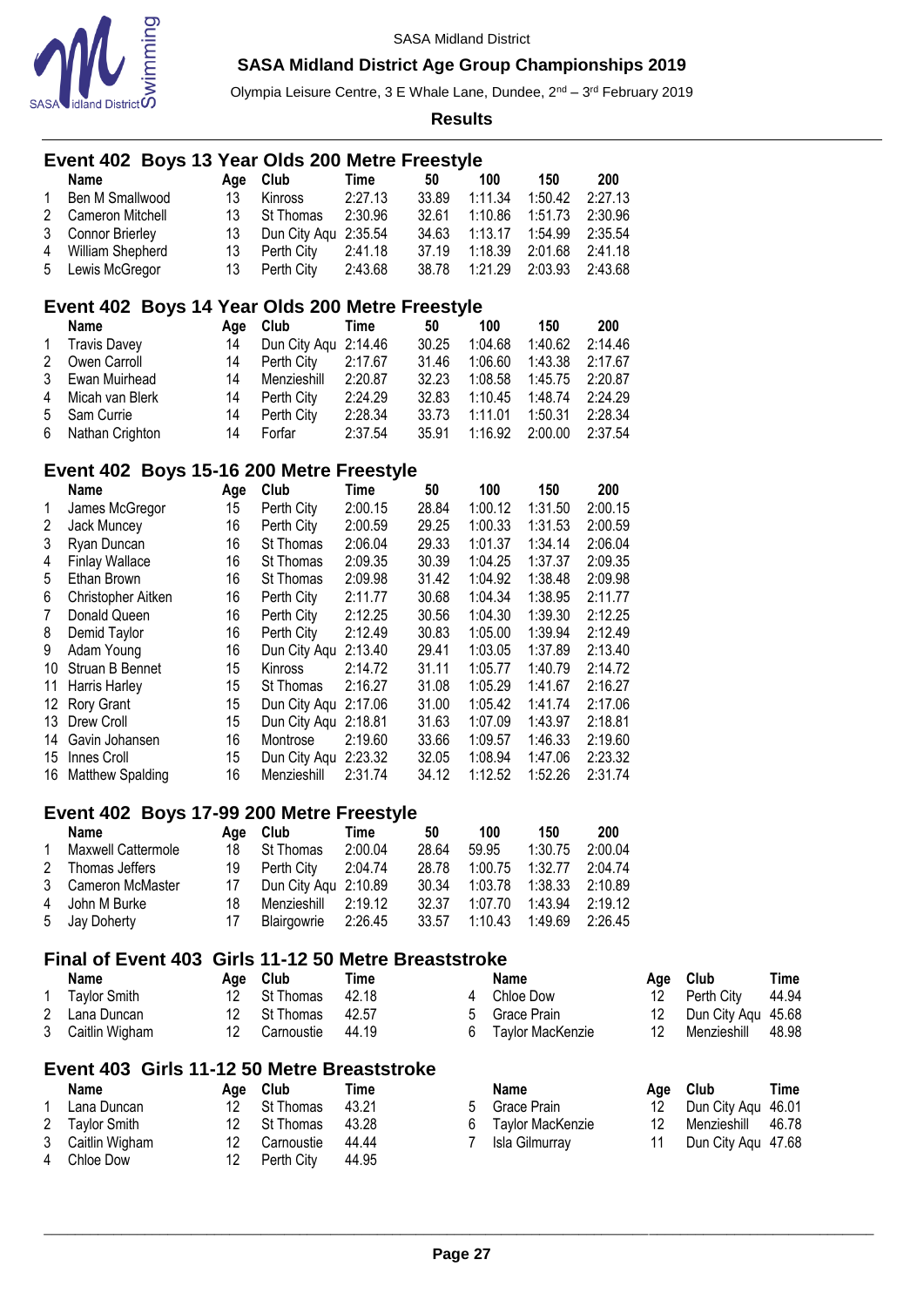

Olympia Leisure Centre, 3 E Whale Lane, Dundee, 2<sup>nd</sup> – 3<sup>rd</sup> February 2019

|   | OA Jiulanu District <b>o</b> , |  |          |                                                      |             |       | <b>Results</b> |                  |         |     |              |       |
|---|--------------------------------|--|----------|------------------------------------------------------|-------------|-------|----------------|------------------|---------|-----|--------------|-------|
|   |                                |  |          | Event 402 Boys 13 Year Olds 200 Metre Freestyle      |             |       |                |                  |         |     |              |       |
|   | Name                           |  | Age      | Club                                                 | Time        | 50    | 100            | 150              | 200     |     |              |       |
| 1 | Ben M Smallwood                |  | 13       | Kinross                                              | 2:27.13     | 33.89 | 1:11.34        | 1:50.42          | 2:27.13 |     |              |       |
| 2 | Cameron Mitchell               |  | 13       | St Thomas                                            | 2:30.96     | 32.61 | 1:10.86        | 1:51.73          | 2:30.96 |     |              |       |
| 3 | <b>Connor Brierley</b>         |  | 13       | Dun City Aqu 2:35.54                                 |             | 34.63 | 1:13.17        | 1:54.99          | 2:35.54 |     |              |       |
| 4 | William Shepherd               |  | 13       | Perth City                                           | 2:41.18     | 37.19 | 1:18.39        | 2:01.68          | 2:41.18 |     |              |       |
| 5 | Lewis McGregor                 |  | 13       | Perth City                                           | 2:43.68     | 38.78 | 1:21.29        | 2:03.93          | 2:43.68 |     |              |       |
|   |                                |  |          | Event 402 Boys 14 Year Olds 200 Metre Freestyle      |             |       |                |                  |         |     |              |       |
|   | Name                           |  | Age Club |                                                      | Time        | 50    | 100            | 150              | 200     |     |              |       |
| 1 | <b>Travis Davey</b>            |  | 14       | Dun City Aqu 2:14.46                                 |             | 30.25 | 1:04.68        | 1:40.62          | 2:14.46 |     |              |       |
| 2 | Owen Carroll                   |  | 14       | Perth City                                           | 2:17.67     | 31.46 | 1:06.60        | 1:43.38          | 2:17.67 |     |              |       |
| 3 | Ewan Muirhead                  |  | 14       | Menzieshill                                          | 2:20.87     | 32.23 | 1:08.58        | 1:45.75          | 2:20.87 |     |              |       |
| 4 | Micah van Blerk                |  | 14       | Perth City                                           | 2:24.29     | 32.83 | 1:10.45        | 1:48.74          | 2:24.29 |     |              |       |
| 5 | Sam Currie                     |  | 14       | Perth City                                           | 2:28.34     | 33.73 | 1:11.01        | 1:50.31          | 2:28.34 |     |              |       |
| 6 | Nathan Crighton                |  | 14       | Forfar                                               | 2:37.54     | 35.91 | 1:16.92        | 2:00.00          | 2:37.54 |     |              |       |
|   |                                |  |          | Event 402 Boys 15-16 200 Metre Freestyle             |             |       |                |                  |         |     |              |       |
|   | Name                           |  | Age      | Club                                                 | <b>Time</b> | 50    | 100            | 150              | 200     |     |              |       |
| 1 | James McGregor                 |  | 15       | Perth City                                           | 2:00.15     | 28.84 | 1:00.12        | 1:31.50          | 2:00.15 |     |              |       |
| 2 | Jack Muncey                    |  | 16       | Perth City                                           | 2:00.59     | 29.25 | 1:00.33        | 1:31.53          | 2:00.59 |     |              |       |
| 3 | Ryan Duncan                    |  | 16       | St Thomas                                            | 2:06.04     | 29.33 | 1:01.37        | 1:34.14          | 2:06.04 |     |              |       |
| 4 | <b>Finlay Wallace</b>          |  | 16       | St Thomas                                            | 2:09.35     | 30.39 | 1:04.25        | 1:37.37          | 2:09.35 |     |              |       |
| 5 | Ethan Brown                    |  | 16       | St Thomas                                            | 2:09.98     | 31.42 | 1:04.92        | 1:38.48          | 2:09.98 |     |              |       |
| 6 | Christopher Aitken             |  | 16       | Perth City                                           | 2:11.77     | 30.68 | 1:04.34        | 1:38.95          | 2:11.77 |     |              |       |
| 7 | Donald Queen                   |  | 16       | Perth City                                           | 2:12.25     | 30.56 | 1:04.30        | 1:39.30          | 2:12.25 |     |              |       |
| 8 | Demid Taylor                   |  | 16       | Perth City                                           | 2:12.49     | 30.83 | 1:05.00        | 1:39.94          | 2:12.49 |     |              |       |
| 9 | Adam Young                     |  | 16       | Dun City Aqu 2:13.40                                 |             | 29.41 | 1:03.05        | 1:37.89          | 2:13.40 |     |              |       |
|   |                                |  |          |                                                      | 2:14.72     |       | 1:05.77        | 1:40.79          | 2:14.72 |     |              |       |
|   | 10 Struan B Bennet             |  | 15       | Kinross                                              |             | 31.11 |                |                  |         |     |              |       |
|   | 11 Harris Harley               |  | 15       | St Thomas                                            | 2:16.27     | 31.08 | 1:05.29        | 1:41.67          | 2:16.27 |     |              |       |
|   | 12 Rory Grant                  |  | 15       | Dun City Aqu 2:17.06                                 |             | 31.00 | 1:05.42        | 1:41.74          | 2:17.06 |     |              |       |
|   | 13 Drew Croll                  |  | 15       | Dun City Aqu 2:18.81                                 |             | 31.63 | 1:07.09        | 1:43.97          | 2:18.81 |     |              |       |
|   | 14 Gavin Johansen              |  | 16       | Montrose                                             | 2:19.60     | 33.66 | 1:09.57        | 1:46.33          | 2:19.60 |     |              |       |
|   | 15 Innes Croll                 |  | 15       | Dun City Aqu 2:23.32                                 |             | 32.05 | 1:08.94        | 1:47.06          | 2:23.32 |     |              |       |
|   | 16 Matthew Spalding            |  | 16       | Menzieshill                                          | 2:31.74     | 34.12 | 1:12.52        | 1:52.26          | 2:31.74 |     |              |       |
|   |                                |  |          | Event 402 Boys 17-99 200 Metre Freestyle             |             |       |                |                  |         |     |              |       |
|   | Name                           |  | Age      | Club                                                 | <b>Time</b> | 50    | 100            | 150              | 200     |     |              |       |
| 1 | Maxwell Cattermole             |  | 18       | St Thomas                                            | 2:00.04     | 28.64 | 59.95          | 1:30.75          | 2:00.04 |     |              |       |
| 2 | Thomas Jeffers                 |  | 19       | Perth City                                           | 2:04.74     | 28.78 | 1:00.75        | 1:32.77          | 2:04.74 |     |              |       |
| 3 | Cameron McMaster               |  | 17       | Dun City Aqu 2:10.89                                 |             | 30.34 | 1:03.78        | 1:38.33          | 2:10.89 |     |              |       |
| 4 | John M Burke                   |  | 18       | Menzieshill                                          | 2:19.12     | 32.37 | 1:07.70        | 1:43.94          | 2:19.12 |     |              |       |
| 5 | Jay Doherty                    |  | 17       | Blairgowrie                                          | 2:26.45     | 33.57 | 1:10.43        | 1:49.69          | 2:26.45 |     |              |       |
|   |                                |  |          | Final of Event 403 Girls 11-12 50 Metre Breaststroke |             |       |                |                  |         |     |              |       |
|   | Name                           |  | Age      | Club                                                 | Time        |       | <b>Name</b>    |                  |         | Age | Club         | Time  |
| 1 | <b>Taylor Smith</b>            |  | 12       | St Thomas                                            | 42.18       |       | 4              | Chloe Dow        |         | 12  | Perth City   | 44.94 |
| 2 | Lana Duncan                    |  | 12       | St Thomas                                            | 42.57       |       | 5              | Grace Prain      |         | 12  | Dun City Aqu | 45.68 |
| 3 | Caitlin Wigham                 |  | 12       | Carnoustie                                           | 44.19       |       | 6              | Taylor MacKenzie |         | 12  | Menzieshill  | 48.98 |
|   |                                |  |          |                                                      |             |       |                |                  |         |     |              |       |

### **Event 403 Girls 11-12 50 Metre Breaststroke**

| Name             |                 | Age Club   | Time  |
|------------------|-----------------|------------|-------|
| 1 Lana Duncan    | 12 <sup>1</sup> | St Thomas  | 43.21 |
| 2 Taylor Smith   | 12.             | St Thomas  | 43.28 |
| 3 Caitlin Wigham | 12.             | Carnoustie | 44.44 |
| 4 Chloe Dow      | 12              | Perth City | 44.95 |

| Name           |    | Age Club         | Time  | Name               |    | Age Club              | Time |
|----------------|----|------------------|-------|--------------------|----|-----------------------|------|
| Lana Duncan    |    | 12 St Thomas     | 43.21 | 5 Grace Prain      |    | 12 Dun City Agu 46.01 |      |
| Tavlor Smith   |    | 12 St Thomas     | 43.28 | 6 Taylor MacKenzie |    | 12 Menzieshill 46.78  |      |
| Caitlin Wigham | 12 | Carnoustie 44.44 |       | Isla Gilmurray     | 11 | Dun City Agu 47.68    |      |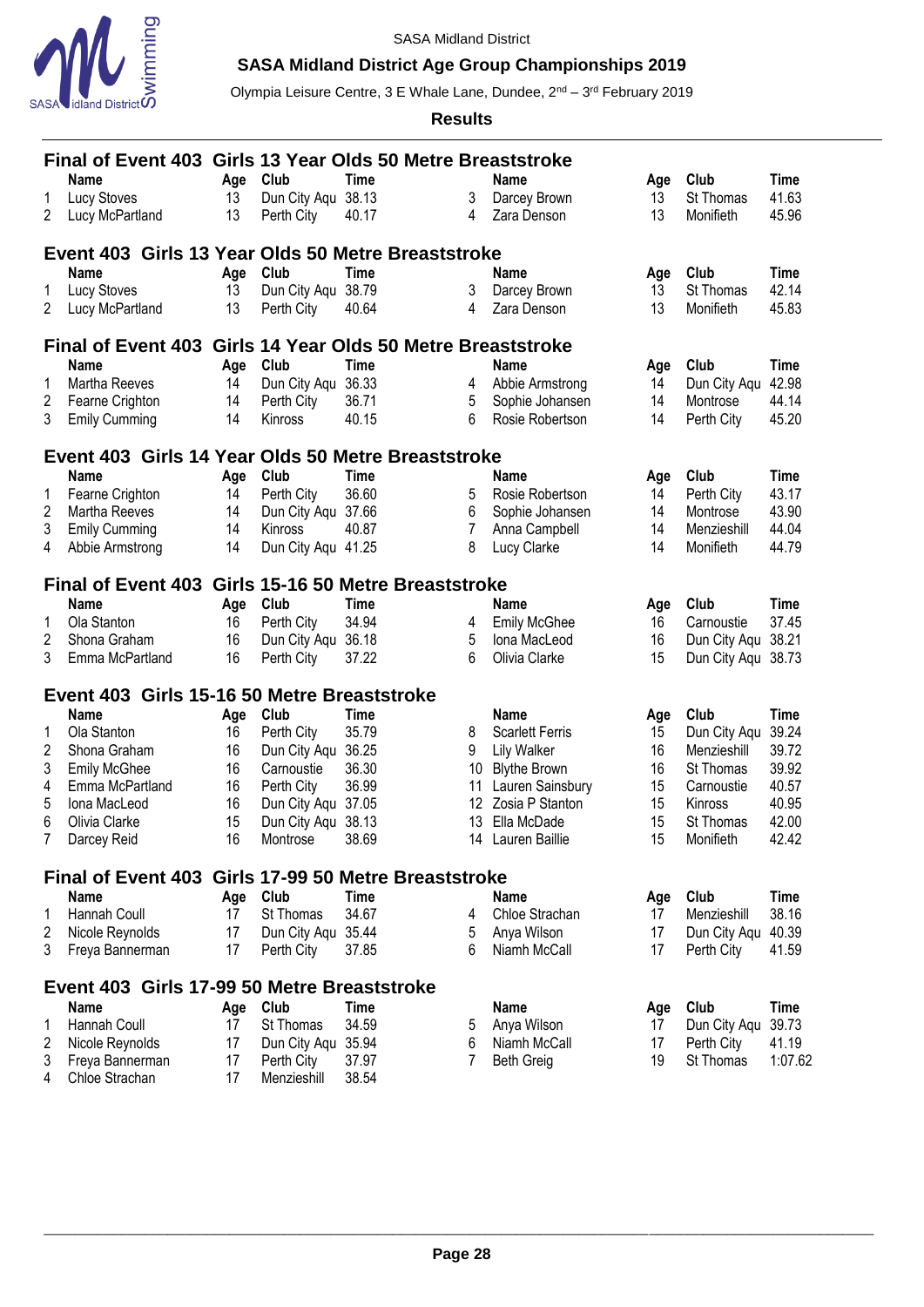

# **SASA Midland District Age Group Championships 2019**

Olympia Leisure Centre, 3 E Whale Lane, Dundee, 2<sup>nd</sup> – 3<sup>rd</sup> February 2019

**Results**

|   | Final of Event 403 Girls 13 Year Olds 50 Metre Breaststroke |     |                    |             |                |                        |     |                    |             |
|---|-------------------------------------------------------------|-----|--------------------|-------------|----------------|------------------------|-----|--------------------|-------------|
|   | <b>Name</b>                                                 | Age | Club               | Time        |                | <b>Name</b>            | Age | Club               | <b>Time</b> |
| 1 | <b>Lucy Stoves</b>                                          | 13  | Dun City Aqu 38.13 |             | 3              | Darcey Brown           | 13  | St Thomas          | 41.63       |
| 2 | Lucy McPartland                                             | 13  | Perth City         | 40.17       | 4              | Zara Denson            | 13  | Monifieth          | 45.96       |
|   | Event 403 Girls 13 Year Olds 50 Metre Breaststroke          |     |                    |             |                |                        |     |                    |             |
|   | <b>Name</b>                                                 | Age | Club               | Time        |                | <b>Name</b>            | Age | Club               | <b>Time</b> |
| 1 | <b>Lucy Stoves</b>                                          | 13  | Dun City Agu       | 38.79       | 3              | Darcey Brown           | 13  | St Thomas          | 42.14       |
| 2 | Lucy McPartland                                             | 13  | Perth City         | 40.64       | 4              | Zara Denson            | 13  | Monifieth          | 45.83       |
|   | Final of Event 403 Girls 14 Year Olds 50 Metre Breaststroke |     |                    |             |                |                        |     |                    |             |
|   | <b>Name</b>                                                 | Age | Club               | Time        |                | <b>Name</b>            | Age | Club               | <b>Time</b> |
| 1 | Martha Reeves                                               | 14  | Dun City Agu       | 36.33       | 4              | Abbie Armstrong        | 14  | Dun City Agu       | 42.98       |
| 2 | Fearne Crighton                                             | 14  | Perth City         | 36.71       | 5              | Sophie Johansen        | 14  | Montrose           | 44.14       |
| 3 | <b>Emily Cumming</b>                                        | 14  | Kinross            | 40.15       | 6              | Rosie Robertson        | 14  | Perth City         | 45.20       |
|   | Event 403 Girls 14 Year Olds 50 Metre Breaststroke          |     |                    |             |                |                        |     |                    |             |
|   | <b>Name</b>                                                 | Age | Club               | Time        |                | Name                   | Age | Club               | <b>Time</b> |
| 1 | Fearne Crighton                                             | 14  | Perth City         | 36.60       | 5              | Rosie Robertson        | 14  | Perth City         | 43.17       |
| 2 | Martha Reeves                                               | 14  | Dun City Aqu 37.66 |             | 6              | Sophie Johansen        | 14  | Montrose           | 43.90       |
| 3 | <b>Emily Cumming</b>                                        | 14  | Kinross            | 40.87       | $\overline{7}$ | Anna Campbell          | 14  | Menzieshill        | 44.04       |
| 4 |                                                             | 14  | Dun City Agu 41.25 |             | 8              | Lucy Clarke            | 14  | Monifieth          | 44.79       |
|   | Abbie Armstrong                                             |     |                    |             |                |                        |     |                    |             |
|   | Final of Event 403 Girls 15-16 50 Metre Breaststroke        |     |                    |             |                |                        |     |                    |             |
|   | <b>Name</b>                                                 | Age | Club               | <b>Time</b> |                | Name                   | Age | Club               | <b>Time</b> |
| 1 | Ola Stanton                                                 | 16  | Perth City         | 34.94       | 4              | <b>Emily McGhee</b>    | 16  | Carnoustie         | 37.45       |
| 2 | Shona Graham                                                | 16  | Dun City Aqu       | 36.18       | 5              | Iona MacLeod           | 16  | Dun City Aqu 38.21 |             |
| 3 | Emma McPartland                                             | 16  | Perth City         | 37.22       | 6              | Olivia Clarke          | 15  | Dun City Aqu 38.73 |             |
|   | Event 403 Girls 15-16 50 Metre Breaststroke                 |     |                    |             |                |                        |     |                    |             |
|   | Name                                                        | Age | Club               | <b>Time</b> |                | <b>Name</b>            | Age | Club               | <b>Time</b> |
| 1 | Ola Stanton                                                 | 16  | Perth City         | 35.79       | 8              | <b>Scarlett Ferris</b> | 15  | Dun City Aqu       | 39.24       |
| 2 | Shona Graham                                                | 16  | Dun City Aqu 36.25 |             | 9              | <b>Lily Walker</b>     | 16  | Menzieshill        | 39.72       |
| 3 | <b>Emily McGhee</b>                                         | 16  | Carnoustie         | 36.30       | 10             | <b>Blythe Brown</b>    | 16  | St Thomas          | 39.92       |
| 4 | Emma McPartland                                             | 16  | Perth City         | 36.99       | 11             | Lauren Sainsbury       | 15  | Carnoustie         | 40.57       |
| 5 | Iona MacLeod                                                | 16  | Dun City Aqu 37.05 |             | 12             | Zosia P Stanton        | 15  | Kinross            | 40.95       |
| 6 | Olivia Clarke                                               | 15  | Dun City Aqu 38.13 |             |                | 13 Ella McDade         | 15  | St Thomas          | 42.00       |
| 7 | Darcey Reid                                                 | 16  | Montrose           | 38.69       |                | 14 Lauren Baillie      | 15  | Monifieth          | 42.42       |
|   | Final of Event 403 Girls 17-99 50 Metre Breaststroke        |     |                    |             |                |                        |     |                    |             |
|   | Name                                                        | Age | Club               | <b>Time</b> |                | <b>Name</b>            | Age | Club               | <b>Time</b> |
| 1 | Hannah Coull                                                | 17  | St Thomas          | 34.67       | 4              | Chloe Strachan         | 17  | Menzieshill        | 38.16       |
| 2 | Nicole Reynolds                                             | 17  | Dun City Aqu       | 35.44       | 5              | Anya Wilson            | 17  | Dun City Aqu       | 40.39       |
| 3 | Freya Bannerman                                             | 17  | Perth City         | 37.85       | 6              | Niamh McCall           | 17  | Perth City         | 41.59       |
|   | Event 403 Girls 17-99 50 Metre Breaststroke                 |     |                    |             |                |                        |     |                    |             |
|   | Name                                                        | Age | Club               | Time        |                | <b>Name</b>            | Age | Club               | <b>Time</b> |
| 1 | <b>Hannah Coull</b>                                         | 17  | St Thomas          | 34.59       | 5              | Anya Wilson            | 17  | Dun City Aqu       | 39.73       |
| 2 | Nicole Reynolds                                             | 17  | Dun City Aqu       | 35.94       | 6              | Niamh McCall           | 17  | Perth City         | 41.19       |
| 3 | Freya Bannerman                                             | 17  | Perth City         | 37.97       | 7              | <b>Beth Greig</b>      | 19  | St Thomas          | 1:07.62     |

Chloe Strachan 17 Menzieshill 38.54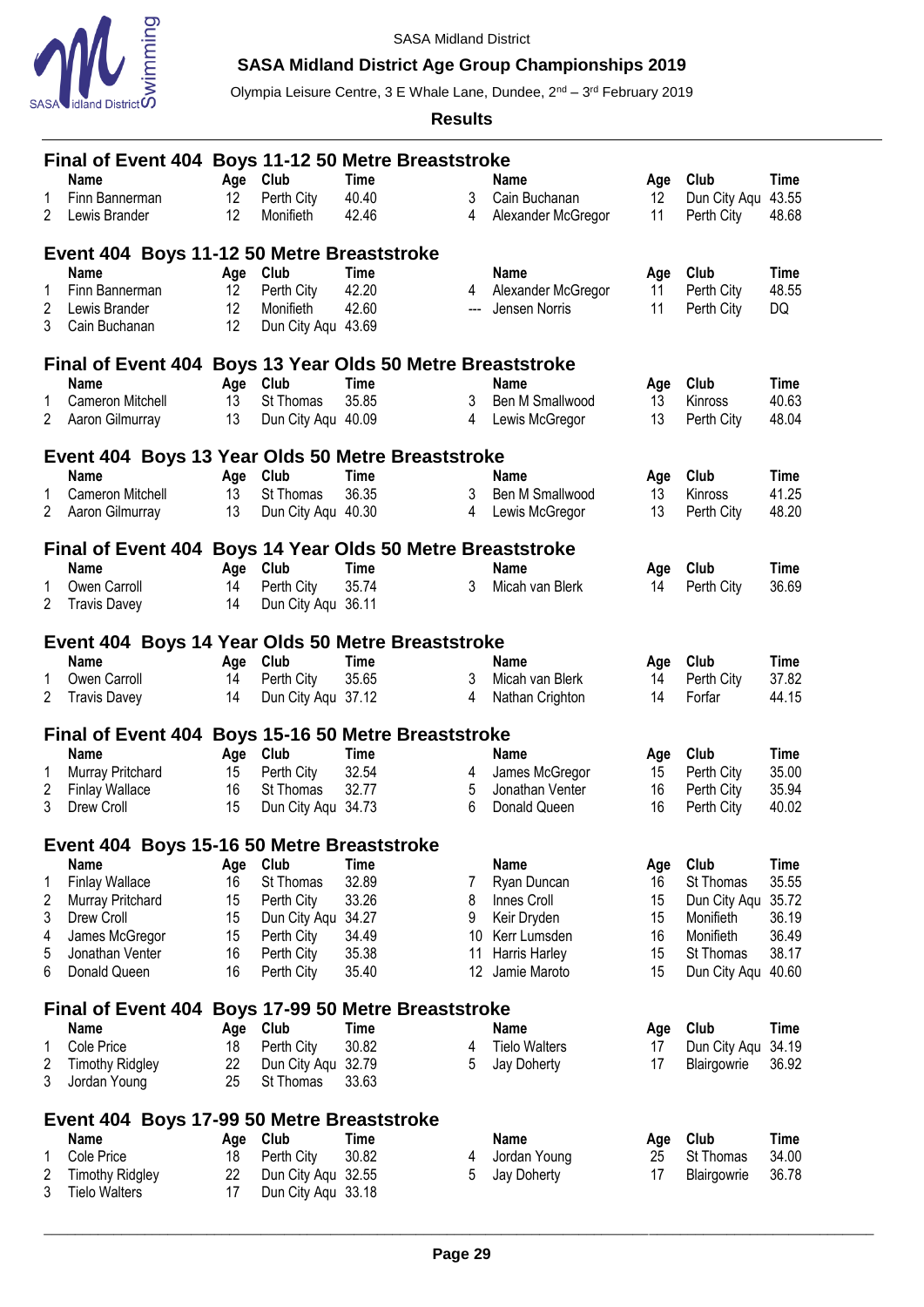

# **SASA Midland District Age Group Championships 2019**

Olympia Leisure Centre, 3 E Whale Lane, Dundee, 2<sup>nd</sup> – 3<sup>rd</sup> February 2019

**Results**

|                | Final of Event 404 Boys 11-12 50 Metre Breaststroke        |          |                    |             |     |                      |     |                    |       |
|----------------|------------------------------------------------------------|----------|--------------------|-------------|-----|----------------------|-----|--------------------|-------|
|                | <b>Name</b>                                                | Age      | Club               | <b>Time</b> |     | <b>Name</b>          | Age | Club               | Time  |
| 1              | Finn Bannerman                                             | 12       | Perth City         | 40.40       | 3   | Cain Buchanan        | 12  | Dun City Aqu       | 43.55 |
| 2              | Lewis Brander                                              | 12       | Monifieth          | 42.46       | 4   | Alexander McGregor   | 11  | Perth City         | 48.68 |
|                | Event 404 Boys 11-12 50 Metre Breaststroke                 |          |                    |             |     |                      |     |                    |       |
|                | <b>Name</b>                                                | Age Club |                    | <b>Time</b> |     | Name                 | Age | Club               | Time  |
| 1              | Finn Bannerman                                             | 12       | Perth City         | 42.20       | 4   | Alexander McGregor   | 11  | Perth City         | 48.55 |
| 2              | Lewis Brander                                              | 12       | Monifieth          | 42.60       | --- | Jensen Norris        | 11  | Perth City         | DQ    |
| 3              | Cain Buchanan                                              | 12       | Dun City Agu 43.69 |             |     |                      |     |                    |       |
|                | Final of Event 404 Boys 13 Year Olds 50 Metre Breaststroke |          |                    |             |     |                      |     |                    |       |
|                | <b>Name</b>                                                | Age Club |                    | <b>Time</b> |     | <b>Name</b>          | Age | Club               | Time  |
| 1              | Cameron Mitchell                                           | 13       | St Thomas          | 35.85       | 3   | Ben M Smallwood      | 13  | Kinross            | 40.63 |
| $\overline{2}$ | Aaron Gilmurray                                            | 13       | Dun City Aqu 40.09 |             | 4   | Lewis McGregor       | 13  | Perth City         | 48.04 |
|                | Event 404 Boys 13 Year Olds 50 Metre Breaststroke          |          |                    |             |     |                      |     |                    |       |
|                | <b>Name</b>                                                | Age      | Club               | <b>Time</b> |     | Name                 | Age | Club               | Time  |
| 1              | <b>Cameron Mitchell</b>                                    | 13       | St Thomas          | 36.35       | 3   | Ben M Smallwood      | 13  | Kinross            | 41.25 |
| 2              | Aaron Gilmurray                                            | 13       | Dun City Aqu 40.30 |             | 4   | Lewis McGregor       | 13  | Perth City         | 48.20 |
|                | Final of Event 404 Boys 14 Year Olds 50 Metre Breaststroke |          |                    |             |     |                      |     |                    |       |
|                | Name                                                       | Age      | Club               | <b>Time</b> |     | Name                 | Age | Club               | Time  |
| 1              | Owen Carroll                                               | 14       | Perth City         | 35.74       | 3   | Micah van Blerk      | 14  | Perth City         | 36.69 |
| 2              | <b>Travis Davey</b>                                        | 14       | Dun City Aqu 36.11 |             |     |                      |     |                    |       |
|                | Event 404 Boys 14 Year Olds 50 Metre Breaststroke          |          |                    |             |     |                      |     |                    |       |
|                | <b>Name</b>                                                | Age      | Club               | <b>Time</b> |     | Name                 | Age | Club               | Time  |
| 1              | Owen Carroll                                               | 14       | Perth City         | 35.65       | 3   | Micah van Blerk      | 14  | Perth City         | 37.82 |
| 2              | <b>Travis Davey</b>                                        | 14       | Dun City Aqu 37.12 |             | 4   | Nathan Crighton      | 14  | Forfar             | 44.15 |
|                | Final of Event 404 Boys 15-16 50 Metre Breaststroke        |          |                    |             |     |                      |     |                    |       |
|                | Name                                                       | Age      | Club               | <b>Time</b> |     | Name                 | Age | Club               | Time  |
| 1              | Murray Pritchard                                           | 15       | Perth City         | 32.54       | 4   | James McGregor       | 15  | Perth City         | 35.00 |
| 2              | <b>Finlay Wallace</b>                                      | 16       | St Thomas          | 32.77       | 5   | Jonathan Venter      | 16  | Perth City         | 35.94 |
| 3              | Drew Croll                                                 | 15       | Dun City Aqu       | 34.73       | 6   | Donald Queen         | 16  | Perth City         | 40.02 |
|                | Event 404 Boys 15-16 50 Metre Breaststroke                 |          |                    |             |     |                      |     |                    |       |
|                | <b>Name</b>                                                | Age      | Club               | Time        |     | <b>Name</b>          | Age | Club               | Time  |
| 1              | <b>Finlay Wallace</b>                                      | 16       | St Thomas          | 32.89       | 7   | Ryan Duncan          | 16  | St Thomas          | 35.55 |
| 2              | Murray Pritchard                                           | 15       | Perth City         | 33.26       | 8   | Innes Croll          | 15  | Dun City Aqu       | 35.72 |
| 3              | Drew Croll                                                 | 15       | Dun City Aqu       | 34.27       | 9   | Keir Dryden          | 15  | Monifieth          | 36.19 |
| 4              | James McGregor                                             | 15       | Perth City         | 34.49       | 10  | Kerr Lumsden         | 16  | Monifieth          | 36.49 |
| 5              | Jonathan Venter                                            | 16       | Perth City         | 35.38       | 11  | Harris Harley        | 15  | St Thomas          | 38.17 |
| 6              | Donald Queen                                               | 16       | Perth City         | 35.40       | 12  | Jamie Maroto         | 15  | Dun City Aqu 40.60 |       |
|                | Final of Event 404 Boys 17-99 50 Metre Breaststroke        |          |                    |             |     |                      |     |                    |       |
|                | <b>Name</b>                                                | Age      | Club               | Time        |     | <b>Name</b>          | Age | Club               | Time  |
| 1              | Cole Price                                                 | 18       | Perth City         | 30.82       | 4   | <b>Tielo Walters</b> | 17  | Dun City Aqu       | 34.19 |
| 2              | <b>Timothy Ridgley</b>                                     | 22       | Dun City Aqu       | 32.79       | 5   | Jay Doherty          | 17  | Blairgowrie        | 36.92 |
| 3              | Jordan Young                                               | 25       | St Thomas          | 33.63       |     |                      |     |                    |       |
|                | Event 404 Boys 17-99 50 Metre Breaststroke                 |          |                    |             |     |                      |     |                    |       |
|                | <b>Name</b>                                                | Age Club |                    | Time        |     | <b>Name</b>          | Age | Club               | Time  |
| 1              | Cole Price                                                 | 18       | Perth City         | 30.82       | 4   | Jordan Young         | 25  | St Thomas          | 34.00 |
| 2              | <b>Timothy Ridgley</b>                                     | 22       | Dun City Aqu 32.55 |             | 5   | Jay Doherty          | 17  | Blairgowrie        | 36.78 |

Tielo Walters 17 Dun City Aqu 33.18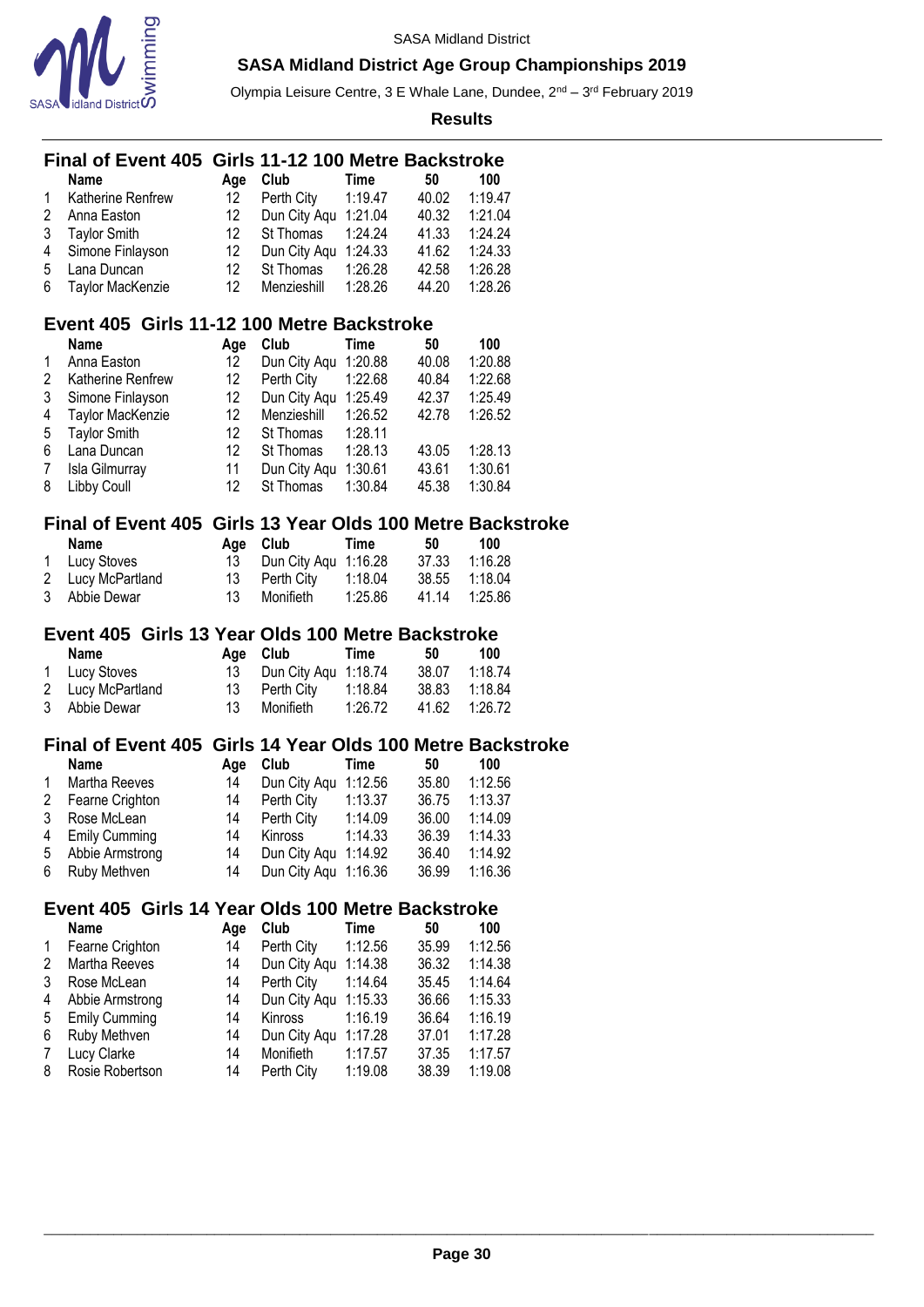

Olympia Leisure Centre, 3 E Whale Lane, Dundee, 2<sup>nd</sup> – 3<sup>rd</sup> February 2019

|        | <b>Final of Event 405</b>                                                 |           | Girls 11-12 100 Metre Backstroke             |                    |                |                    |  |
|--------|---------------------------------------------------------------------------|-----------|----------------------------------------------|--------------------|----------------|--------------------|--|
|        | <b>Name</b>                                                               | Age       | Club                                         | <b>Time</b>        | 50             | 100                |  |
| 1      | Katherine Renfrew                                                         | 12        | Perth City                                   | 1:19.47            | 40.02          | 1:19.47            |  |
| 2      | Anna Easton                                                               | 12        | Dun City Aqu 1:21.04                         |                    | 40.32          | 1:21.04            |  |
| 3      | <b>Taylor Smith</b>                                                       | 12        | St Thomas                                    | 1:24.24            | 41.33          | 1:24.24            |  |
| 4      | Simone Finlayson                                                          | 12        | Dun City Aqu                                 | 1:24.33            | 41.62          | 1:24.33            |  |
| 5      | Lana Duncan                                                               | 12        | St Thomas                                    | 1:26.28            | 42.58          | 1:26.28            |  |
| 6      | Taylor MacKenzie                                                          | 12        | Menzieshill                                  | 1:28.26            | 44.20          | 1:28.26            |  |
|        | Event 405 Girls 11-12 100 Metre Backstroke                                |           |                                              |                    |                |                    |  |
|        | <b>Name</b>                                                               | Age       | Club                                         | <b>Time</b>        | 50             | 100                |  |
| 1      | Anna Easton                                                               | 12        | Dun City Aqu 1:20.88                         |                    | 40.08          | 1:20.88            |  |
| 2      | Katherine Renfrew                                                         | 12        | Perth City                                   | 1:22.68            | 40.84          | 1:22.68            |  |
| 3      | Simone Finlayson                                                          | 12        | Dun City Aqu 1:25.49                         |                    | 42.37          | 1:25.49            |  |
| 4      | Taylor MacKenzie                                                          | 12        | Menzieshill                                  | 1:26.52            | 42.78          | 1:26.52            |  |
| 5      | <b>Taylor Smith</b>                                                       | 12        | St Thomas                                    | 1:28.11            |                |                    |  |
| 6      | Lana Duncan                                                               | 12        | St Thomas                                    | 1:28.13            | 43.05          | 1:28.13            |  |
| 7      | Isla Gilmurray                                                            | 11        | Dun City Aqu                                 | 1:30.61            | 43.61          | 1:30.61            |  |
| 8      | Libby Coull                                                               | 12        | St Thomas                                    | 1:30.84            | 45.38          | 1:30.84            |  |
|        | Final of Event 405 Girls 13 Year Olds 100 Metre Backstroke                |           |                                              |                    |                |                    |  |
|        | <b>Name</b>                                                               | Age       | Club                                         | <b>Time</b>        | 50             | 100                |  |
| 1      | Lucy Stoves                                                               | 13        | Dun City Aqu 1:16.28                         |                    | 37.33          | 1:16.28            |  |
| 2      | Lucy McPartland                                                           | 13        | Perth City                                   | 1:18.04            | 38.55          | 1:18.04            |  |
| 3      | Abbie Dewar                                                               | 13        | Monifieth                                    | 1:25.86            | 41.14          | 1:25.86            |  |
|        |                                                                           |           |                                              |                    |                |                    |  |
|        |                                                                           |           |                                              |                    |                |                    |  |
|        | Event 405 Girls 13 Year Olds 100 Metre Backstroke<br><b>Name</b>          |           | Club                                         | <b>Time</b>        | 50             | 100                |  |
| 1      |                                                                           | Age<br>13 |                                              |                    | 38.07          | 1:18.74            |  |
|        | Lucy Stoves                                                               |           | Dun City Aqu 1:18.74                         |                    |                |                    |  |
| 2<br>3 | Lucy McPartland<br>Abbie Dewar                                            | 13<br>13  | Perth City<br>Monifieth                      | 1:18.84<br>1:26.72 | 38.83<br>41.62 | 1:18.84<br>1:26.72 |  |
|        |                                                                           |           |                                              |                    |                |                    |  |
|        | Final of Event 405 Girls 14 Year Olds 100 Metre Backstroke<br><b>Name</b> |           |                                              |                    |                |                    |  |
|        |                                                                           | Age       | Club                                         | <b>Time</b>        | 50             | 100                |  |
| 1      | Martha Reeves                                                             | 14        | Dun City Aqu 1:12.56                         |                    | 35.80          | 1:12.56            |  |
| 2      | Fearne Crighton                                                           | 14        | Perth City                                   | 1:13.37            | 36.75          | 1:13.37            |  |
| 3<br>4 | Rose McLean                                                               | 14<br>14  | Perth City                                   | 1:14.09            | 36.00          | 1:14.09            |  |
|        | <b>Emily Cumming</b>                                                      |           | Kinross                                      | 1:14.33            | 36.39          | 1:14.33            |  |
| 5<br>6 | Abbie Armstrong<br>Ruby Methven                                           | 14<br>14  | Dun City Aqu 1:14.92<br>Dun City Aqu 1:16.36 |                    | 36.40<br>36.99 | 1:14.92<br>1:16.36 |  |
|        |                                                                           |           |                                              |                    |                |                    |  |
|        | Event 405 Girls 14 Year Olds 100 Metre Backstroke                         |           |                                              |                    |                |                    |  |
|        | <b>Name</b>                                                               | Age       | Club                                         | <b>Time</b>        | 50             | 100                |  |
| 1      | Fearne Crighton<br>Martha Reeves                                          | 14        | Perth City                                   | 1:12.56            | 35.99          | 1:12.56            |  |
| 2      |                                                                           | 14        | Dun City Aqu                                 | 1:14.38            | 36.32          | 1:14.38            |  |
| 3      | Rose McLean                                                               | 14<br>14  | Perth City                                   | 1:14.64            | 35.45          | 1:14.64            |  |
| 4      | Abbie Armstrong                                                           | 14        | Dun City Aqu<br>Kinross                      | 1:15.33            | 36.66          | 1:15.33            |  |
| 5      | <b>Emily Cumming</b>                                                      |           |                                              | 1:16.19            | 36.64          | 1:16.19            |  |
| 6<br>7 | Ruby Methven<br>Lucy Clarke                                               | 14<br>14  | Dun City Aqu<br>Monifieth                    | 1:17.28<br>1:17.57 | 37.01<br>37.35 | 1:17.28<br>1:17.57 |  |
| 8      | Rosie Robertson                                                           | 14        | Perth City                                   | 1:19.08            | 38.39          | 1:19.08            |  |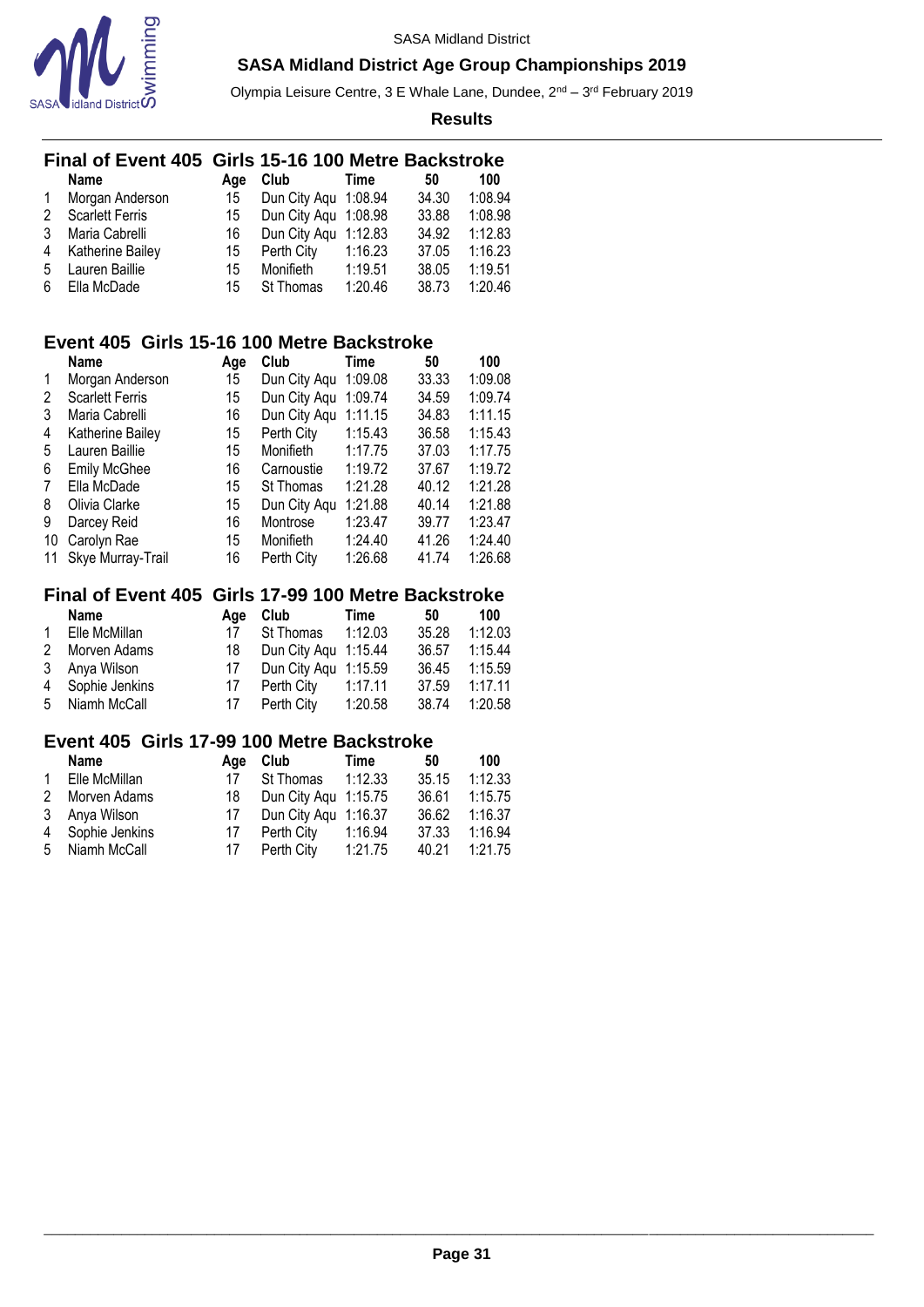

Olympia Leisure Centre, 3 E Whale Lane, Dundee, 2<sup>nd</sup> – 3<sup>rd</sup> February 2019

**Results**

|              | Final of Event 405 Girls 15-16 100 Metre Backstroke |     |                      |         |       |         |
|--------------|-----------------------------------------------------|-----|----------------------|---------|-------|---------|
|              | <b>Name</b>                                         | Age | Club                 | Time    | 50    | 100     |
| $\mathbf{1}$ | Morgan Anderson                                     | 15  | Dun City Aqu 1:08.94 |         | 34.30 | 1:08.94 |
| 2            | <b>Scarlett Ferris</b>                              | 15  | Dun City Aqu 1:08.98 |         | 33.88 | 1:08.98 |
| 3            | Maria Cabrelli                                      | 16  | Dun City Agu         | 1:12.83 | 34.92 | 1:12.83 |
| 4            | Katherine Bailey                                    | 15  | Perth City           | 1:16.23 | 37.05 | 1:16.23 |
| -5           | Lauren Baillie                                      | 15  | Monifieth            | 1:19.51 | 38.05 | 1:19.51 |
| 6            | Ella McDade                                         | 15  | St Thomas            | 1:20.46 | 38.73 | 1:20.46 |

### **Event 405 Girls 15-16 100 Metre Backstroke**

|    | <b>Name</b>            | Age | Club             | Time    | 50    | 100     |
|----|------------------------|-----|------------------|---------|-------|---------|
|    | Morgan Anderson        | 15  | Dun City Aqu     | 1:09.08 | 33.33 | 1:09.08 |
| 2  | <b>Scarlett Ferris</b> | 15  | Dun City Aqu     | 1:09.74 | 34.59 | 1:09.74 |
| 3  | Maria Cabrelli         | 16  | Dun City Agu     | 1:11.15 | 34.83 | 1:11.15 |
| 4  | Katherine Bailey       | 15  | Perth City       | 1:15.43 | 36.58 | 1:15.43 |
| 5  | Lauren Baillie         | 15  | Monifieth        | 1:17.75 | 37.03 | 1:17.75 |
| 6  | <b>Emily McGhee</b>    | 16  | Carnoustie       | 1:19.72 | 37.67 | 1:19.72 |
|    | Ella McDade            | 15  | <b>St Thomas</b> | 1:21.28 | 40.12 | 1:21.28 |
| 8  | Olivia Clarke          | 15  | Dun City Aqu     | 1:21.88 | 40.14 | 1:21.88 |
| 9  | Darcey Reid            | 16  | Montrose         | 1:23.47 | 39.77 | 1:23.47 |
| 10 | Carolyn Rae            | 15  | Monifieth        | 1:24.40 | 41.26 | 1:24.40 |
| 11 | Skye Murray-Trail      | 16  | Perth City       | 1:26.68 | 41.74 | 1:26.68 |

### **Final of Event 405 Girls 17-99 100 Metre Backstroke**

|   | <b>Name</b>      | Aae | Club                 | Time    | 50    | 100     |
|---|------------------|-----|----------------------|---------|-------|---------|
| 1 | Elle McMillan    | 17  | St Thomas 1:12.03    |         | 35.28 | 1:12.03 |
|   | 2 Morven Adams   | 18  | Dun City Aqu 1:15.44 |         | 36.57 | 1:15.44 |
|   | 3 Anya Wilson    | 17  | Dun City Aqu 1:15.59 |         | 36.45 | 1:15.59 |
|   | 4 Sophie Jenkins | 17  | Perth City           | 1:17.11 | 37.59 | 1:17.11 |
|   | 5 Niamh McCall   | 17  | Perth City           | 1:20.58 | 38.74 | 1:20.58 |

### **Event 405 Girls 17-99 100 Metre Backstroke**

|              | Name             | Aae | Club                 | Time    | 50    | 100     |
|--------------|------------------|-----|----------------------|---------|-------|---------|
| $\mathbf{1}$ | Elle McMillan    | 17  | St Thomas 1:12.33    |         | 35.15 | 1:12.33 |
|              | 2 Morven Adams   | 18  | Dun City Agu 1:15.75 |         | 36.61 | 1:15.75 |
|              | 3 Anya Wilson    | 17  | Dun City Agu 1:16.37 |         | 36.62 | 1:16.37 |
|              | 4 Sophie Jenkins | 17  | Perth City           | 1:16.94 | 37.33 | 1:16.94 |
|              | 5 Niamh McCall   | 17  | Perth City           | 1:21.75 | 40.21 | 1:21.75 |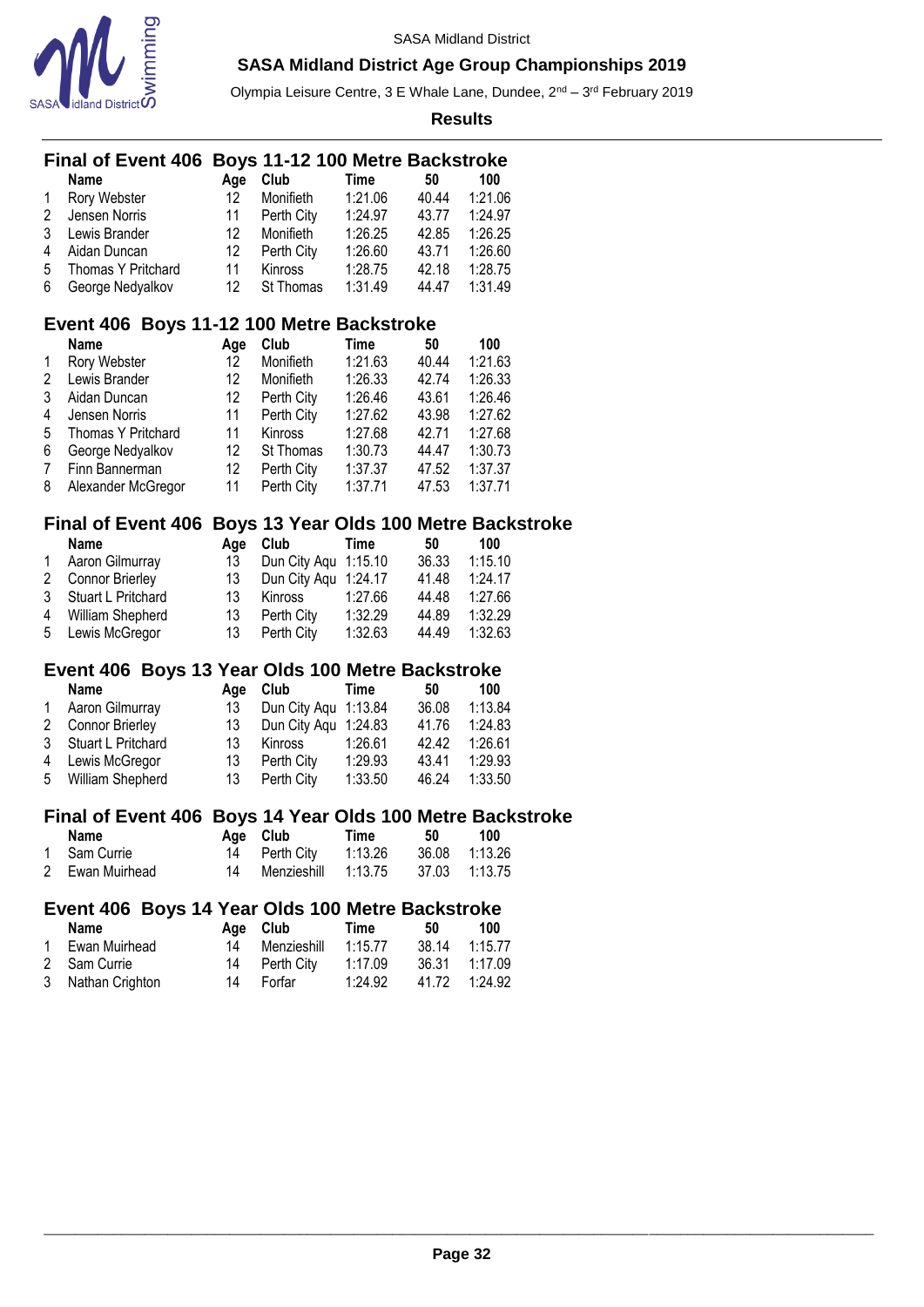

Olympia Leisure Centre, 3 E Whale Lane, Dundee, 2<sup>nd</sup> – 3<sup>rd</sup> February 2019

|        | <b>Final of Event 406</b>                                 |     | Boys 11-12 100 Metre Backstroke        |             |       |         |  |
|--------|-----------------------------------------------------------|-----|----------------------------------------|-------------|-------|---------|--|
|        | <b>Name</b>                                               | Age | Club                                   | <b>Time</b> | 50    | 100     |  |
| 1      | Rory Webster                                              | 12  | Monifieth                              | 1:21.06     | 40.44 | 1:21.06 |  |
| 2      | Jensen Norris                                             | 11  | Perth City                             | 1:24.97     | 43.77 | 1:24.97 |  |
| 3      | Lewis Brander                                             | 12  | Monifieth                              | 1:26.25     | 42.85 | 1:26.25 |  |
| 4      | Aidan Duncan                                              | 12  | Perth City                             | 1:26.60     | 43.71 | 1:26.60 |  |
| 5      | Thomas Y Pritchard                                        | 11  | Kinross                                | 1:28.75     | 42.18 | 1:28.75 |  |
| 6      | George Nedyalkov                                          | 12  | St Thomas                              | 1:31.49     | 44.47 | 1:31.49 |  |
|        | Event 406 Boys 11-12 100 Metre Backstroke                 |     |                                        |             |       |         |  |
|        | <b>Name</b>                                               | Age | Club                                   | <b>Time</b> | 50    | 100     |  |
| 1      | Rory Webster                                              | 12  | Monifieth                              | 1:21.63     | 40.44 | 1:21.63 |  |
| 2      | Lewis Brander                                             | 12  | Monifieth                              | 1:26.33     | 42.74 | 1:26.33 |  |
| 3      | Aidan Duncan                                              | 12  | Perth City                             | 1:26.46     | 43.61 | 1:26.46 |  |
| 4      | Jensen Norris                                             | 11  | Perth City                             | 1:27.62     | 43.98 | 1:27.62 |  |
|        | Thomas Y Pritchard                                        | 11  | Kinross                                | 1:27.68     | 42.71 | 1:27.68 |  |
| 5<br>6 |                                                           | 12  | St Thomas                              | 1:30.73     | 44.47 | 1:30.73 |  |
|        | George Nedyalkov                                          | 12  |                                        | 1:37.37     |       |         |  |
| 7      | Finn Bannerman                                            |     | Perth City                             |             | 47.52 | 1:37.37 |  |
| 8      | Alexander McGregor                                        | 11  | Perth City                             | 1:37.71     | 47.53 | 1:37.71 |  |
|        | <b>Final of Event 406</b>                                 |     | Boys 13 Year Olds 100 Metre Backstroke |             |       |         |  |
|        | Name                                                      | Age | Club                                   | <b>Time</b> | 50    | 100     |  |
| 1      | Aaron Gilmurray                                           | 13  | Dun City Aqu 1:15.10                   |             | 36.33 | 1:15.10 |  |
| 2      | Connor Brierley                                           | 13  | Dun City Aqu 1:24.17                   |             | 41.48 | 1:24.17 |  |
| 3      | Stuart L Pritchard                                        | 13  | Kinross                                | 1:27.66     | 44.48 | 1:27.66 |  |
| 4      | William Shepherd                                          | 13  | Perth City                             | 1:32.29     | 44.89 | 1:32.29 |  |
| 5      | Lewis McGregor                                            | 13  | Perth City                             | 1:32.63     | 44.49 | 1:32.63 |  |
|        | Event 406 Boys 13 Year Olds 100 Metre Backstroke          |     |                                        |             |       |         |  |
|        | <b>Name</b>                                               | Age | Club                                   | <b>Time</b> | 50    | 100     |  |
| 1      | Aaron Gilmurray                                           | 13  | Dun City Aqu                           | 1:13.84     | 36.08 | 1:13.84 |  |
| 2      | <b>Connor Brierley</b>                                    | 13  | Dun City Aqu                           | 1:24.83     | 41.76 | 1:24.83 |  |
| 3      | Stuart L Pritchard                                        | 13  | Kinross                                | 1:26.61     | 42.42 | 1:26.61 |  |
| 4      | Lewis McGregor                                            | 13  | Perth City                             | 1:29.93     | 43.41 | 1:29.93 |  |
|        |                                                           | 13  |                                        |             |       |         |  |
| 5      | William Shepherd                                          |     | Perth City                             | 1:33.50     | 46.24 | 1:33.50 |  |
|        | Final of Event 406 Boys 14 Year Olds 100 Metre Backstroke |     |                                        |             |       |         |  |
|        | <b>Name</b>                                               | Age | Club                                   | <b>Time</b> | 50    | 100     |  |
| 1      | Sam Currie                                                | 14  | Perth City                             | 1:13.26     | 36.08 | 1:13.26 |  |
| 2      | Ewan Muirhead                                             | 14  | Menzieshill                            | 1:13.75     | 37.03 | 1:13.75 |  |
|        | Event 406 Boys 14 Year Olds 100 Metre Backstroke          |     |                                        |             |       |         |  |
|        | <b>Name</b>                                               | Age | Club                                   | <b>Time</b> | 50    | 100     |  |
| 1      | Ewan Muirhead                                             | 14  | Menzieshill                            | 1:15.77     | 38.14 | 1:15.77 |  |
| 2      | Sam Currie                                                | 14  | Perth City                             | 1:17.09     | 36.31 | 1:17.09 |  |
| 3      | Nathan Crighton                                           | 14  | Forfar                                 | 1:24.92     | 41.72 | 1:24.92 |  |
|        |                                                           |     |                                        |             |       |         |  |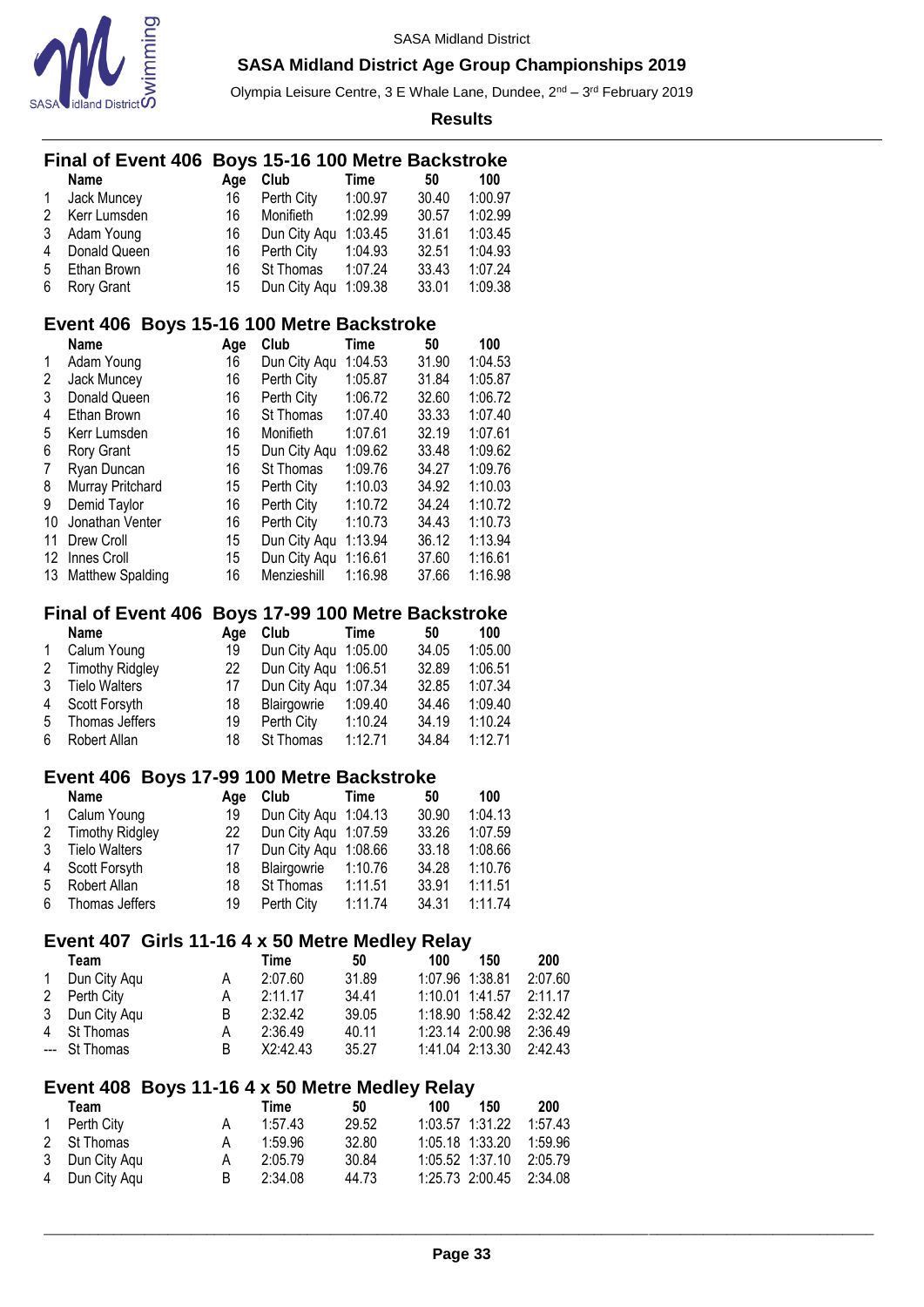

Olympia Leisure Centre, 3 E Whale Lane, Dundee, 2<sup>nd</sup> – 3<sup>rd</sup> February 2019

|        | Final of Event 406 Boys 15-16 100 Metre Backstroke |          |                                         |             |                |                 |         |
|--------|----------------------------------------------------|----------|-----------------------------------------|-------------|----------------|-----------------|---------|
|        | Name                                               | Age      | Club                                    | <b>Time</b> | 50             | 100             |         |
| 1      | Jack Muncey                                        | 16       | Perth City                              | 1:00.97     | 30.40          | 1:00.97         |         |
| 2      | Kerr Lumsden                                       | 16       | Monifieth                               | 1:02.99     | 30.57          | 1:02.99         |         |
| 3      | Adam Young                                         | 16       | Dun City Aqu 1:03.45                    |             | 31.61          | 1:03.45         |         |
| 4      | Donald Queen                                       | 16       | Perth City                              | 1:04.93     | 32.51          | 1:04.93         |         |
| 5      | Ethan Brown                                        | 16       | St Thomas                               | 1:07.24     | 33.43          | 1:07.24         |         |
| 6      | Rory Grant                                         | 15       | Dun City Aqu                            | 1:09.38     | 33.01          | 1:09.38         |         |
|        | Event 406 Boys 15-16 100 Metre Backstroke          |          |                                         |             |                |                 |         |
|        | <b>Name</b>                                        | Age      | Club                                    | <b>Time</b> | 50             | 100             |         |
| 1      | Adam Young                                         | 16       | Dun City Aqu                            | 1:04.53     | 31.90          | 1:04.53         |         |
| 2      | Jack Muncey                                        | 16       | Perth City                              | 1:05.87     | 31.84          | 1:05.87         |         |
| 3      | Donald Queen                                       | 16       | Perth City                              | 1:06.72     | 32.60          | 1:06.72         |         |
| 4      | Ethan Brown                                        | 16       | St Thomas                               | 1:07.40     | 33.33          | 1:07.40         |         |
| 5      | Kerr Lumsden                                       | 16       | Monifieth                               | 1:07.61     | 32.19          | 1:07.61         |         |
| 6      | Rory Grant                                         | 15       | Dun City Aqu                            | 1:09.62     | 33.48          | 1:09.62         |         |
| 7      | Ryan Duncan                                        | 16       | St Thomas                               | 1:09.76     | 34.27          | 1:09.76         |         |
| 8      | Murray Pritchard                                   | 15       | Perth City                              | 1:10.03     | 34.92          | 1:10.03         |         |
| 9      | Demid Taylor                                       | 16       | Perth City                              | 1:10.72     | 34.24          | 1:10.72         |         |
| 10     | Jonathan Venter                                    | 16       | Perth City                              | 1:10.73     | 34.43          | 1:10.73         |         |
| 11     | Drew Croll                                         | 15       | Dun City Aqu 1:13.94                    |             | 36.12          | 1:13.94         |         |
|        | 12 Innes Croll                                     | 15       | Dun City Aqu 1:16.61                    |             | 37.60          | 1:16.61         |         |
| 13     | <b>Matthew Spalding</b>                            | 16       | Menzieshill                             | 1:16.98     | 37.66          | 1:16.98         |         |
|        | <b>Final of Event 406</b>                          |          |                                         |             |                |                 |         |
|        | <b>Name</b>                                        | Age      | Boys 17-99 100 Metre Backstroke<br>Club | <b>Time</b> | 50             | 100             |         |
| 1      | Calum Young                                        | 19       | Dun City Aqu 1:05.00                    |             | 34.05          | 1:05.00         |         |
| 2      | <b>Timothy Ridgley</b>                             | 22       | Dun City Aqu 1:06.51                    |             | 32.89          | 1:06.51         |         |
| 3      | <b>Tielo Walters</b>                               | 17       | Dun City Aqu                            | 1:07.34     | 32.85          | 1:07.34         |         |
| 4      | Scott Forsyth                                      | 18       | Blairgowrie                             | 1:09.40     | 34.46          | 1:09.40         |         |
| 5      | Thomas Jeffers                                     | 19       | Perth City                              | 1:10.24     | 34.19          | 1:10.24         |         |
| 6      | Robert Allan                                       | 18       | St Thomas                               | 1:12.71     | 34.84          | 1:12.71         |         |
|        |                                                    |          |                                         |             |                |                 |         |
|        | Event 406 Boys 17-99 100 Metre Backstroke          |          |                                         |             |                |                 |         |
|        | <b>Name</b>                                        | Age      | Club                                    | <b>Time</b> | 50             | 100<br>1:04.13  |         |
| 1<br>2 | Calum Young                                        | 19<br>22 | Dun City Aqu 1:04.13                    |             | 30.90          | 1:07.59         |         |
| 3      | <b>Timothy Ridgley</b><br><b>Tielo Walters</b>     | 17       | Dun City Aqu 1:07.59<br>Dun City Aqu    | 1:08.66     | 33.26<br>33.18 | 1:08.66         |         |
|        | Scott Forsyth                                      | 18       |                                         | 1:10.76     | 34.28          | 1:10.76         |         |
| 4<br>5 | Robert Allan                                       | 18       | Blairgowrie<br>St Thomas                | 1:11.51     | 33.91          | 1:11.51         |         |
| 6      | Thomas Jeffers                                     | 19       | Perth City                              | 1:11.74     | 34.31          | 1:11.74         |         |
|        |                                                    |          |                                         |             |                |                 |         |
|        | Event 407 Girls 11-16 4 x 50 Metre Medley Relay    |          |                                         |             |                |                 |         |
|        | Team                                               |          | <b>Time</b>                             | 50          | 100            | 150             | 200     |
| 1      | Dun City Aqu                                       | A        | 2:07.60                                 | 31.89       |                | 1:07.96 1:38.81 | 2:07.60 |
| 2      | Perth City                                         | A        | 2:11.17                                 | 34.41       |                | 1:10.01 1:41.57 | 2:11.17 |
| 3      | Dun City Aqu                                       | B        | 2:32.42                                 | 39.05       |                | 1:18.90 1:58.42 | 2:32.42 |
| 4      | St Thomas                                          | A        | 2:36.49                                 | 40.11       |                | 1:23.14 2:00.98 | 2:36.49 |
| ---    | St Thomas                                          | B        | X2:42.43                                | 35.27       |                | 1:41.04 2:13.30 | 2:42.43 |
|        | Event 408 Boys 11-16 4 x 50 Metre Medley Relay     |          |                                         |             |                |                 |         |
|        | Team                                               |          | <b>Time</b>                             | 50          | 100            | 150             | 200     |
| 1      | Perth City                                         | A        | 1:57.43                                 | 29.52       |                | 1:03.57 1:31.22 | 1:57.43 |
| 2      | St Thomas                                          | А        | 1:59.96                                 | 32.80       |                | 1:05.18 1:33.20 | 1:59.96 |
| 3      | Dun City Aqu                                       | А        | 2:05.79                                 | 30.84       |                | 1:05.52 1:37.10 | 2:05.79 |
| 4      | Dun City Aqu                                       | B        | 2:34.08                                 | 44.73       |                | 1:25.73 2:00.45 | 2:34.08 |
|        |                                                    |          |                                         |             |                |                 |         |